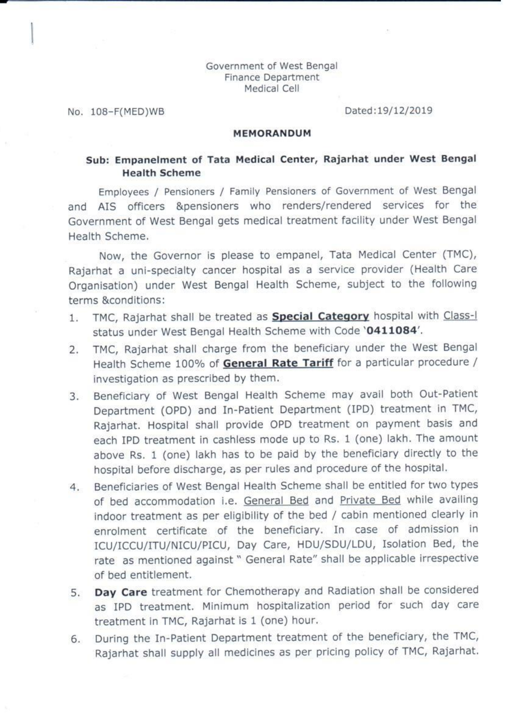#### Government of West Bengal Finance Department Medical Cell

No. 108-F(MED)WB

Dated:19/12/2019

#### **MEMORANDUM**

#### Sub: Empanelment of Tata Medical Center, Rajarhat under West Bengal **Health Scheme**

Employees / Pensioners / Family Pensioners of Government of West Bengal and AIS officers &pensioners who renders/rendered services for the Government of West Bengal gets medical treatment facility under West Bengal Health Scheme.

Now, the Governor is please to empanel, Tata Medical Center (TMC), Rajarhat a uni-specialty cancer hospital as a service provider (Health Care Organisation) under West Bengal Health Scheme, subject to the following terms &conditions:

- TMC, Rajarhat shall be treated as **Special Category** hospital with Class-I  $1.$ status under West Bengal Health Scheme with Code '0411084'.
- TMC, Rajarhat shall charge from the beneficiary under the West Bengal 2. Health Scheme 100% of General Rate Tariff for a particular procedure / investigation as prescribed by them.
- Beneficiary of West Bengal Health Scheme may avail both Out-Patient  $3.$ Department (OPD) and In-Patient Department (IPD) treatment in TMC, Rajarhat. Hospital shall provide OPD treatment on payment basis and each IPD treatment in cashless mode up to Rs. 1 (one) lakh. The amount above Rs. 1 (one) lakh has to be paid by the beneficiary directly to the hospital before discharge, as per rules and procedure of the hospital.
- Beneficiaries of West Bengal Health Scheme shall be entitled for two types  $4.$ of bed accommodation i.e. General Bed and Private Bed while availing indoor treatment as per eligibility of the bed / cabin mentioned clearly in enrolment certificate of the beneficiary. In case of admission in ICU/ICCU/ITU/NICU/PICU, Day Care, HDU/SDU/LDU, Isolation Bed, the rate as mentioned against " General Rate" shall be applicable irrespective of bed entitlement.
- Day Care treatment for Chemotherapy and Radiation shall be considered 5. as IPD treatment. Minimum hospitalization period for such day care treatment in TMC, Rajarhat is 1 (one) hour.
- During the In-Patient Department treatment of the beneficiary, the TMC, 6. Rajarhat shall supply all medicines as per pricing policy of TMC, Rajarhat.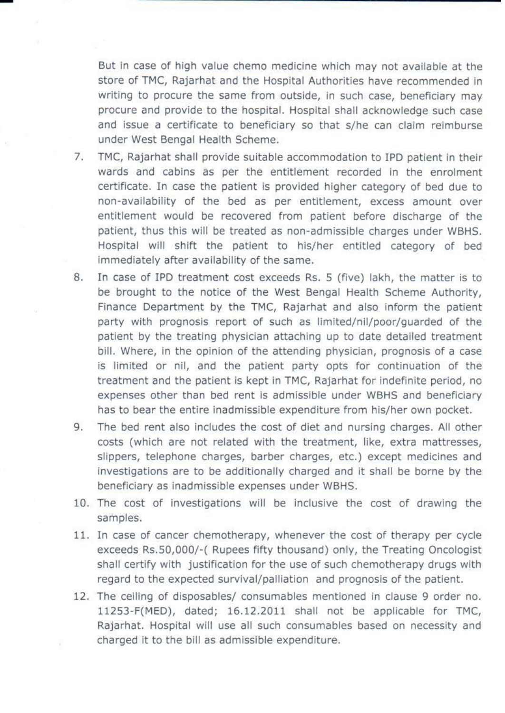But in case of high value chemo medicine which may not available at the store of TMC, Rajarhat and the Hospital Authorities have recommended in writing to procure the same from outside, in such case, beneficiary may procure and provide to the hospital. Hospital shall acknowledge such case and issue a certificate to beneficiary so that s/he can claim reimburse under West Bengal Health Scheme.

- 7. TMC, Rajarhat shall provide suitable accommodation to IPD patient in their wards and cabins as per the entitlement recorded in the enrolment certificate. In case the patient is provided higher category of bed due to non-availability of the bed as per entitlement, excess amount over entitlement would be recovered from patient before discharge of the patient, thus this will be treated as non-admissible charges under WBHS. Hospital will shift the patient to his/her entitled category of bed immediately after availability of the same.
- 8. In case of IPD treatment cost exceeds Rs. 5 (five) lakh, the matter is to be brought to the notice of the West Bengal Health Scheme Authority, Finance Department by the TMC, Rajarhat and also inform the patient party with prognosis report of such as limited/nil/poor/guarded of the patient by the treating physician attaching up to date detailed treatment bill. Where, in the opinion of the attending physician, prognosis of a case is limited or nil, and the patient party opts for continuation of the treatment and the patient is kept in TMC, Rajarhat for indefinite period, no expenses other than bed rent is admissible under WBHS and beneficiary has to bear the entire inadmissible expenditure from his/her own pocket.
- The bed rent also includes the cost of diet and nursing charges. All other 9. costs (which are not related with the treatment, like, extra mattresses, slippers, telephone charges, barber charges, etc.) except medicines and investigations are to be additionally charged and it shall be borne by the beneficiary as inadmissible expenses under WBHS.
- 10. The cost of investigations will be inclusive the cost of drawing the samples.
- 11. In case of cancer chemotherapy, whenever the cost of therapy per cycle exceeds Rs.50,000/-( Rupees fifty thousand) only, the Treating Oncologist shall certify with justification for the use of such chemotherapy drugs with regard to the expected survival/palliation and prognosis of the patient.
- 12. The ceiling of disposables/ consumables mentioned in clause 9 order no. 11253-F(MED), dated; 16.12.2011 shall not be applicable for TMC, Rajarhat. Hospital will use all such consumables based on necessity and charged it to the bill as admissible expenditure.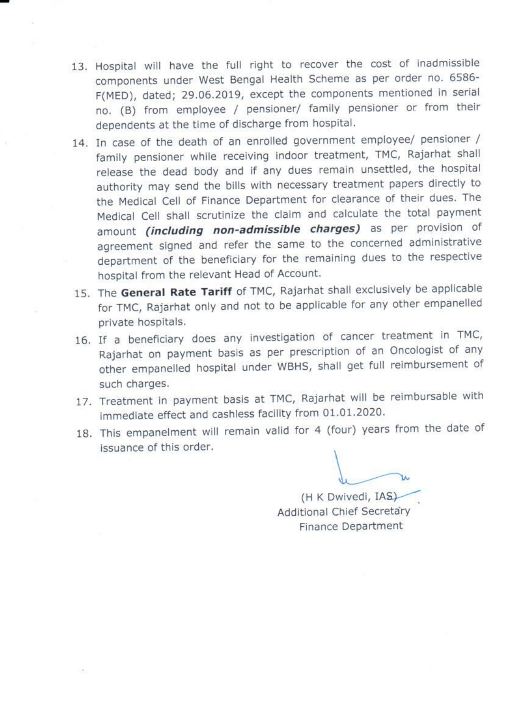- 13. Hospital will have the full right to recover the cost of inadmissible components under West Bengal Health Scheme as per order no. 6586-F(MED), dated; 29.06.2019, except the components mentioned in serial no. (B) from employee / pensioner/ family pensioner or from their dependents at the time of discharge from hospital.
- 14. In case of the death of an enrolled government employee/ pensioner / family pensioner while receiving indoor treatment, TMC, Rajarhat shall release the dead body and if any dues remain unsettled, the hospital authority may send the bills with necessary treatment papers directly to the Medical Cell of Finance Department for clearance of their dues. The Medical Cell shall scrutinize the claim and calculate the total payment amount *(including non-admissible charges)* as per provision of agreement signed and refer the same to the concerned administrative department of the beneficiary for the remaining dues to the respective hospital from the relevant Head of Account.
- 15. The General Rate Tariff of TMC, Rajarhat shall exclusively be applicable for TMC, Rajarhat only and not to be applicable for any other empanelled private hospitals.
- 16. If a beneficiary does any investigation of cancer treatment in TMC, Rajarhat on payment basis as per prescription of an Oncologist of any other empanelled hospital under WBHS, shall get full reimbursement of such charges.
- 17. Treatment in payment basis at TMC, Rajarhat will be reimbursable with immediate effect and cashless facility from 01.01.2020.
- 18. This empanelment will remain valid for 4 (four) years from the date of issuance of this order.

(H K Dwivedi, IAS) Additional Chief Secretary Finance Department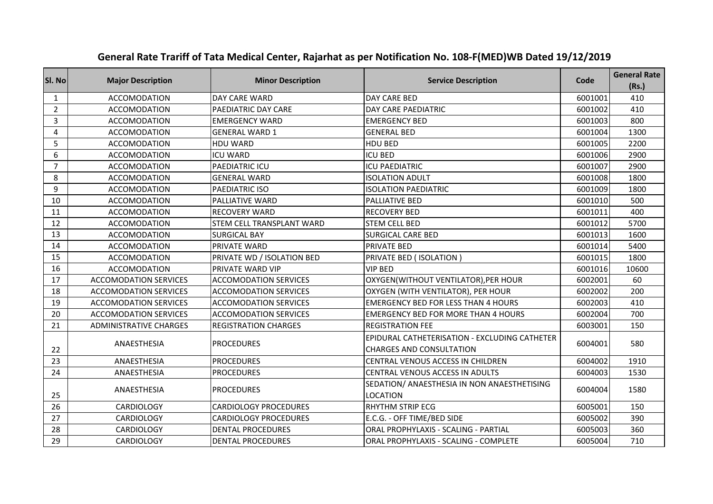| SI. No         | <b>Major Description</b>      | <b>Minor Description</b>     | <b>Service Description</b>                                                       | Code    | <b>General Rate</b><br>(Rs.) |
|----------------|-------------------------------|------------------------------|----------------------------------------------------------------------------------|---------|------------------------------|
| 1              | <b>ACCOMODATION</b>           | DAY CARE WARD                | DAY CARE BED                                                                     | 6001001 | 410                          |
| $\overline{2}$ | <b>ACCOMODATION</b>           | PAEDIATRIC DAY CARE          | DAY CARE PAEDIATRIC                                                              | 6001002 | 410                          |
| 3              | <b>ACCOMODATION</b>           | <b>EMERGENCY WARD</b>        | <b>EMERGENCY BED</b>                                                             | 6001003 | 800                          |
| 4              | <b>ACCOMODATION</b>           | <b>GENERAL WARD 1</b>        | <b>GENERAL BED</b>                                                               | 6001004 | 1300                         |
| 5              | <b>ACCOMODATION</b>           | <b>HDU WARD</b>              | HDU BED                                                                          | 6001005 | 2200                         |
| 6              | <b>ACCOMODATION</b>           | <b>ICU WARD</b>              | <b>ICU BED</b>                                                                   | 6001006 | 2900                         |
| $\overline{7}$ | <b>ACCOMODATION</b>           | PAEDIATRIC ICU               | <b>ICU PAEDIATRIC</b>                                                            | 6001007 | 2900                         |
| 8              | <b>ACCOMODATION</b>           | <b>GENERAL WARD</b>          | <b>ISOLATION ADULT</b>                                                           | 6001008 | 1800                         |
| 9              | <b>ACCOMODATION</b>           | PAEDIATRIC ISO               | <b>ISOLATION PAEDIATRIC</b>                                                      | 6001009 | 1800                         |
| 10             | <b>ACCOMODATION</b>           | PALLIATIVE WARD              | PALLIATIVE BED                                                                   | 6001010 | 500                          |
| 11             | <b>ACCOMODATION</b>           | <b>RECOVERY WARD</b>         | <b>RECOVERY BED</b>                                                              | 6001011 | 400                          |
| 12             | <b>ACCOMODATION</b>           | STEM CELL TRANSPLANT WARD    | <b>STEM CELL BED</b>                                                             | 6001012 | 5700                         |
| 13             | <b>ACCOMODATION</b>           | <b>SURGICAL BAY</b>          | <b>SURGICAL CARE BED</b>                                                         | 6001013 | 1600                         |
| 14             | <b>ACCOMODATION</b>           | PRIVATE WARD                 | PRIVATE BED                                                                      | 6001014 | 5400                         |
| 15             | <b>ACCOMODATION</b>           | PRIVATE WD / ISOLATION BED   | PRIVATE BED ( ISOLATION )                                                        | 6001015 | 1800                         |
| 16             | <b>ACCOMODATION</b>           | <b>PRIVATE WARD VIP</b>      | <b>VIP BED</b>                                                                   | 6001016 | 10600                        |
| 17             | <b>ACCOMODATION SERVICES</b>  | <b>ACCOMODATION SERVICES</b> | OXYGEN(WITHOUT VENTILATOR), PER HOUR                                             | 6002001 | 60                           |
| 18             | <b>ACCOMODATION SERVICES</b>  | <b>ACCOMODATION SERVICES</b> | OXYGEN (WITH VENTILATOR), PER HOUR                                               | 6002002 | 200                          |
| 19             | <b>ACCOMODATION SERVICES</b>  | <b>ACCOMODATION SERVICES</b> | <b>EMERGENCY BED FOR LESS THAN 4 HOURS</b>                                       | 6002003 | 410                          |
| 20             | <b>ACCOMODATION SERVICES</b>  | <b>ACCOMODATION SERVICES</b> | <b>EMERGENCY BED FOR MORE THAN 4 HOURS</b>                                       | 6002004 | 700                          |
| 21             | <b>ADMINISTRATIVE CHARGES</b> | <b>REGISTRATION CHARGES</b>  | <b>REGISTRATION FEE</b>                                                          | 6003001 | 150                          |
| 22             | ANAESTHESIA                   | <b>PROCEDURES</b>            | EPIDURAL CATHETERISATION - EXCLUDING CATHETER<br><b>CHARGES AND CONSULTATION</b> | 6004001 | 580                          |
| 23             | ANAESTHESIA                   | <b>PROCEDURES</b>            | CENTRAL VENOUS ACCESS IN CHILDREN                                                | 6004002 | 1910                         |
| 24             | ANAESTHESIA                   | <b>PROCEDURES</b>            | CENTRAL VENOUS ACCESS IN ADULTS                                                  | 6004003 | 1530                         |
| 25             | ANAESTHESIA                   | <b>PROCEDURES</b>            | SEDATION/ ANAESTHESIA IN NON ANAESTHETISING<br><b>LOCATION</b>                   | 6004004 | 1580                         |
| 26             | <b>CARDIOLOGY</b>             | <b>CARDIOLOGY PROCEDURES</b> | RHYTHM STRIP ECG                                                                 | 6005001 | 150                          |
| 27             | <b>CARDIOLOGY</b>             | <b>CARDIOLOGY PROCEDURES</b> | E.C.G. - OFF TIME/BED SIDE                                                       | 6005002 | 390                          |
| 28             | <b>CARDIOLOGY</b>             | <b>DENTAL PROCEDURES</b>     | ORAL PROPHYLAXIS - SCALING - PARTIAL                                             | 6005003 | 360                          |
| 29             | <b>CARDIOLOGY</b>             | <b>DENTAL PROCEDURES</b>     | ORAL PROPHYLAXIS - SCALING - COMPLETE                                            | 6005004 | 710                          |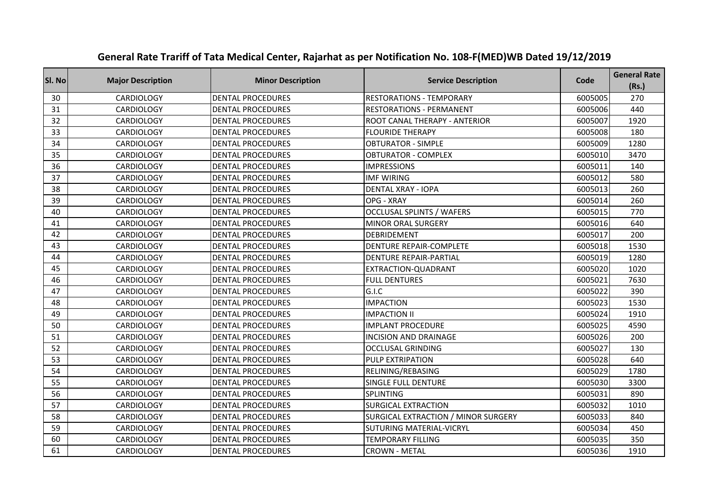| Sl. No | <b>Major Description</b> | <b>Minor Description</b> | <b>Service Description</b>          | Code    | <b>General Rate</b><br>(Rs.) |
|--------|--------------------------|--------------------------|-------------------------------------|---------|------------------------------|
| 30     | <b>CARDIOLOGY</b>        | <b>DENTAL PROCEDURES</b> | <b>RESTORATIONS - TEMPORARY</b>     | 6005005 | 270                          |
| 31     | <b>CARDIOLOGY</b>        | <b>DENTAL PROCEDURES</b> | <b>RESTORATIONS - PERMANENT</b>     | 6005006 | 440                          |
| 32     | <b>CARDIOLOGY</b>        | <b>DENTAL PROCEDURES</b> | ROOT CANAL THERAPY - ANTERIOR       | 6005007 | 1920                         |
| 33     | <b>CARDIOLOGY</b>        | <b>DENTAL PROCEDURES</b> | <b>FLOURIDE THERAPY</b>             | 6005008 | 180                          |
| 34     | <b>CARDIOLOGY</b>        | <b>DENTAL PROCEDURES</b> | <b>OBTURATOR - SIMPLE</b>           | 6005009 | 1280                         |
| 35     | <b>CARDIOLOGY</b>        | <b>DENTAL PROCEDURES</b> | <b>OBTURATOR - COMPLEX</b>          | 6005010 | 3470                         |
| 36     | <b>CARDIOLOGY</b>        | <b>DENTAL PROCEDURES</b> | <b>IMPRESSIONS</b>                  | 6005011 | 140                          |
| 37     | <b>CARDIOLOGY</b>        | <b>DENTAL PROCEDURES</b> | <b>IMF WIRING</b>                   | 6005012 | 580                          |
| 38     | <b>CARDIOLOGY</b>        | <b>DENTAL PROCEDURES</b> | <b>DENTAL XRAY - IOPA</b>           | 6005013 | 260                          |
| 39     | <b>CARDIOLOGY</b>        | <b>DENTAL PROCEDURES</b> | OPG - XRAY                          | 6005014 | 260                          |
| 40     | <b>CARDIOLOGY</b>        | <b>DENTAL PROCEDURES</b> | <b>OCCLUSAL SPLINTS / WAFERS</b>    | 6005015 | 770                          |
| 41     | CARDIOLOGY               | <b>DENTAL PROCEDURES</b> | <b>MINOR ORAL SURGERY</b>           | 6005016 | 640                          |
| 42     | <b>CARDIOLOGY</b>        | <b>DENTAL PROCEDURES</b> | DEBRIDEMENT                         | 6005017 | 200                          |
| 43     | <b>CARDIOLOGY</b>        | <b>DENTAL PROCEDURES</b> | DENTURE REPAIR-COMPLETE             | 6005018 | 1530                         |
| 44     | <b>CARDIOLOGY</b>        | <b>DENTAL PROCEDURES</b> | <b>DENTURE REPAIR-PARTIAL</b>       | 6005019 | 1280                         |
| 45     | CARDIOLOGY               | <b>DENTAL PROCEDURES</b> | EXTRACTION-QUADRANT                 | 6005020 | 1020                         |
| 46     | <b>CARDIOLOGY</b>        | <b>DENTAL PROCEDURES</b> | <b>FULL DENTURES</b>                | 6005021 | 7630                         |
| 47     | CARDIOLOGY               | <b>DENTAL PROCEDURES</b> | G.I.C                               | 6005022 | 390                          |
| 48     | <b>CARDIOLOGY</b>        | <b>DENTAL PROCEDURES</b> | <b>IMPACTION</b>                    | 6005023 | 1530                         |
| 49     | <b>CARDIOLOGY</b>        | <b>DENTAL PROCEDURES</b> | <b>IMPACTION II</b>                 | 6005024 | 1910                         |
| 50     | <b>CARDIOLOGY</b>        | <b>DENTAL PROCEDURES</b> | <b>IMPLANT PROCEDURE</b>            | 6005025 | 4590                         |
| 51     | CARDIOLOGY               | <b>DENTAL PROCEDURES</b> | <b>INCISION AND DRAINAGE</b>        | 6005026 | 200                          |
| 52     | CARDIOLOGY               | <b>DENTAL PROCEDURES</b> | <b>OCCLUSAL GRINDING</b>            | 6005027 | 130                          |
| 53     | <b>CARDIOLOGY</b>        | <b>DENTAL PROCEDURES</b> | PULP EXTRIPATION                    | 6005028 | 640                          |
| 54     | CARDIOLOGY               | <b>DENTAL PROCEDURES</b> | RELINING/REBASING                   | 6005029 | 1780                         |
| 55     | CARDIOLOGY               | <b>DENTAL PROCEDURES</b> | SINGLE FULL DENTURE                 | 6005030 | 3300                         |
| 56     | <b>CARDIOLOGY</b>        | <b>DENTAL PROCEDURES</b> | SPLINTING                           | 6005031 | 890                          |
| 57     | <b>CARDIOLOGY</b>        | <b>DENTAL PROCEDURES</b> | <b>SURGICAL EXTRACTION</b>          | 6005032 | 1010                         |
| 58     | <b>CARDIOLOGY</b>        | <b>DENTAL PROCEDURES</b> | SURGICAL EXTRACTION / MINOR SURGERY | 6005033 | 840                          |
| 59     | <b>CARDIOLOGY</b>        | <b>DENTAL PROCEDURES</b> | SUTURING MATERIAL-VICRYL            | 6005034 | 450                          |
| 60     | <b>CARDIOLOGY</b>        | <b>DENTAL PROCEDURES</b> | <b>TEMPORARY FILLING</b>            | 6005035 | 350                          |
| 61     | <b>CARDIOLOGY</b>        | <b>DENTAL PROCEDURES</b> | <b>CROWN - METAL</b>                | 6005036 | 1910                         |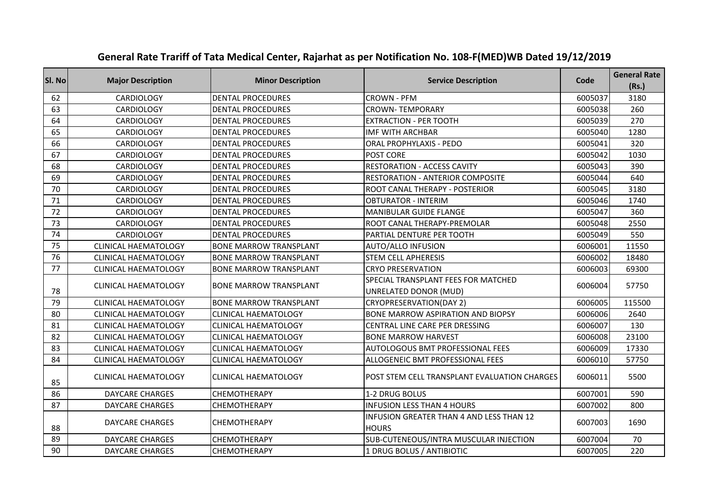| SI. No | <b>Major Description</b>    | <b>Minor Description</b>      | <b>Service Description</b>                               | Code    | <b>General Rate</b><br>(Rs.) |
|--------|-----------------------------|-------------------------------|----------------------------------------------------------|---------|------------------------------|
| 62     | <b>CARDIOLOGY</b>           | <b>DENTAL PROCEDURES</b>      | <b>CROWN - PFM</b>                                       | 6005037 | 3180                         |
| 63     | <b>CARDIOLOGY</b>           | <b>DENTAL PROCEDURES</b>      | <b>CROWN-TEMPORARY</b>                                   | 6005038 | 260                          |
| 64     | <b>CARDIOLOGY</b>           | <b>DENTAL PROCEDURES</b>      | <b>EXTRACTION - PER TOOTH</b>                            | 6005039 | 270                          |
| 65     | <b>CARDIOLOGY</b>           | <b>DENTAL PROCEDURES</b>      | <b>IMF WITH ARCHBAR</b>                                  | 6005040 | 1280                         |
| 66     | <b>CARDIOLOGY</b>           | <b>DENTAL PROCEDURES</b>      | <b>ORAL PROPHYLAXIS - PEDO</b>                           | 6005041 | 320                          |
| 67     | <b>CARDIOLOGY</b>           | <b>DENTAL PROCEDURES</b>      | POST CORE                                                | 6005042 | 1030                         |
| 68     | <b>CARDIOLOGY</b>           | <b>DENTAL PROCEDURES</b>      | <b>RESTORATION - ACCESS CAVITY</b>                       | 6005043 | 390                          |
| 69     | <b>CARDIOLOGY</b>           | <b>DENTAL PROCEDURES</b>      | <b>RESTORATION - ANTERIOR COMPOSITE</b>                  | 6005044 | 640                          |
| 70     | <b>CARDIOLOGY</b>           | <b>DENTAL PROCEDURES</b>      | ROOT CANAL THERAPY - POSTERIOR                           | 6005045 | 3180                         |
| 71     | <b>CARDIOLOGY</b>           | <b>DENTAL PROCEDURES</b>      | <b>OBTURATOR - INTERIM</b>                               | 6005046 | 1740                         |
| 72     | <b>CARDIOLOGY</b>           | <b>DENTAL PROCEDURES</b>      | <b>MANIBULAR GUIDE FLANGE</b>                            | 6005047 | 360                          |
| 73     | CARDIOLOGY                  | <b>DENTAL PROCEDURES</b>      | ROOT CANAL THERAPY-PREMOLAR                              | 6005048 | 2550                         |
| 74     | <b>CARDIOLOGY</b>           | <b>DENTAL PROCEDURES</b>      | PARTIAL DENTURE PER TOOTH                                | 6005049 | 550                          |
| 75     | <b>CLINICAL HAEMATOLOGY</b> | <b>BONE MARROW TRANSPLANT</b> | <b>AUTO/ALLO INFUSION</b>                                | 6006001 | 11550                        |
| 76     | <b>CLINICAL HAEMATOLOGY</b> | <b>BONE MARROW TRANSPLANT</b> | <b>STEM CELL APHERESIS</b>                               | 6006002 | 18480                        |
| 77     | <b>CLINICAL HAEMATOLOGY</b> | <b>BONE MARROW TRANSPLANT</b> | <b>CRYO PRESERVATION</b>                                 | 6006003 | 69300                        |
|        | <b>CLINICAL HAEMATOLOGY</b> | <b>BONE MARROW TRANSPLANT</b> | SPECIAL TRANSPLANT FEES FOR MATCHED                      | 6006004 | 57750                        |
| 78     |                             |                               | UNRELATED DONOR (MUD)                                    |         |                              |
| 79     | <b>CLINICAL HAEMATOLOGY</b> | <b>BONE MARROW TRANSPLANT</b> | <b>CRYOPRESERVATION(DAY 2)</b>                           | 6006005 | 115500                       |
| 80     | <b>CLINICAL HAEMATOLOGY</b> | <b>CLINICAL HAEMATOLOGY</b>   | <b>BONE MARROW ASPIRATION AND BIOPSY</b>                 | 6006006 | 2640                         |
| 81     | <b>CLINICAL HAEMATOLOGY</b> | <b>CLINICAL HAEMATOLOGY</b>   | CENTRAL LINE CARE PER DRESSING                           | 6006007 | 130                          |
| 82     | <b>CLINICAL HAEMATOLOGY</b> | <b>CLINICAL HAEMATOLOGY</b>   | <b>BONE MARROW HARVEST</b>                               | 6006008 | 23100                        |
| 83     | <b>CLINICAL HAEMATOLOGY</b> | <b>CLINICAL HAEMATOLOGY</b>   | AUTOLOGOUS BMT PROFESSIONAL FEES                         | 6006009 | 17330                        |
| 84     | <b>CLINICAL HAEMATOLOGY</b> | <b>CLINICAL HAEMATOLOGY</b>   | ALLOGENEIC BMT PROFESSIONAL FEES                         | 6006010 | 57750                        |
| 85     | <b>CLINICAL HAEMATOLOGY</b> | <b>CLINICAL HAEMATOLOGY</b>   | POST STEM CELL TRANSPLANT EVALUATION CHARGES             | 6006011 | 5500                         |
| 86     | <b>DAYCARE CHARGES</b>      | <b>CHEMOTHERAPY</b>           | 1-2 DRUG BOLUS                                           | 6007001 | 590                          |
| 87     | <b>DAYCARE CHARGES</b>      | <b>CHEMOTHERAPY</b>           | <b>INFUSION LESS THAN 4 HOURS</b>                        | 6007002 | 800                          |
| 88     | <b>DAYCARE CHARGES</b>      | <b>CHEMOTHERAPY</b>           | INFUSION GREATER THAN 4 AND LESS THAN 12<br><b>HOURS</b> | 6007003 | 1690                         |
| 89     | <b>DAYCARE CHARGES</b>      | <b>CHEMOTHERAPY</b>           | SUB-CUTENEOUS/INTRA MUSCULAR INJECTION                   | 6007004 | 70                           |
| 90     | <b>DAYCARE CHARGES</b>      | <b>CHEMOTHERAPY</b>           | 1 DRUG BOLUS / ANTIBIOTIC                                | 6007005 | 220                          |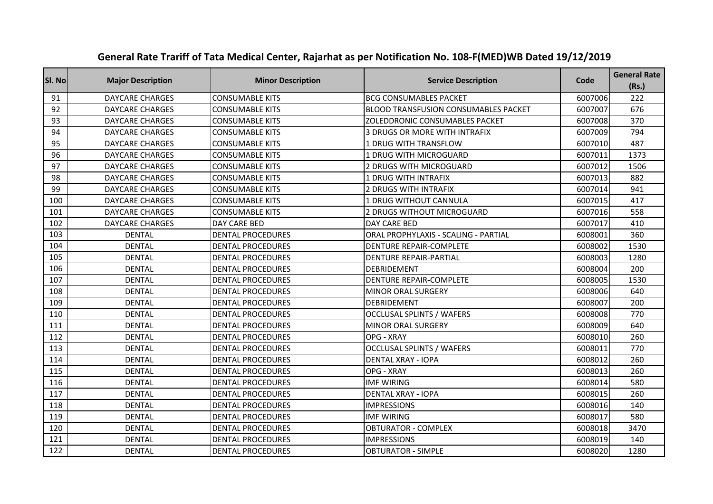| Sl. No | <b>Major Description</b> | <b>Minor Description</b> | <b>Service Description</b>                  | Code    | <b>General Rate</b><br>(Rs.) |
|--------|--------------------------|--------------------------|---------------------------------------------|---------|------------------------------|
| 91     | <b>DAYCARE CHARGES</b>   | <b>CONSUMABLE KITS</b>   | <b>BCG CONSUMABLES PACKET</b>               | 6007006 | 222                          |
| 92     | <b>DAYCARE CHARGES</b>   | <b>CONSUMABLE KITS</b>   | <b>BLOOD TRANSFUSION CONSUMABLES PACKET</b> | 6007007 | 676                          |
| 93     | <b>DAYCARE CHARGES</b>   | <b>CONSUMABLE KITS</b>   | ZOLEDDRONIC CONSUMABLES PACKET              | 6007008 | 370                          |
| 94     | <b>DAYCARE CHARGES</b>   | <b>CONSUMABLE KITS</b>   | <b>3 DRUGS OR MORE WITH INTRAFIX</b>        | 6007009 | 794                          |
| 95     | <b>DAYCARE CHARGES</b>   | <b>CONSUMABLE KITS</b>   | 1 DRUG WITH TRANSFLOW                       | 6007010 | 487                          |
| 96     | <b>DAYCARE CHARGES</b>   | <b>CONSUMABLE KITS</b>   | 1 DRUG WITH MICROGUARD                      | 6007011 | 1373                         |
| 97     | <b>DAYCARE CHARGES</b>   | <b>CONSUMABLE KITS</b>   | <b>2 DRUGS WITH MICROGUARD</b>              | 6007012 | 1506                         |
| 98     | <b>DAYCARE CHARGES</b>   | <b>CONSUMABLE KITS</b>   | <b>1 DRUG WITH INTRAFIX</b>                 | 6007013 | 882                          |
| 99     | <b>DAYCARE CHARGES</b>   | <b>CONSUMABLE KITS</b>   | <b>2 DRUGS WITH INTRAFIX</b>                | 6007014 | 941                          |
| 100    | <b>DAYCARE CHARGES</b>   | <b>CONSUMABLE KITS</b>   | 1 DRUG WITHOUT CANNULA                      | 6007015 | 417                          |
| 101    | <b>DAYCARE CHARGES</b>   | <b>CONSUMABLE KITS</b>   | 2 DRUGS WITHOUT MICROGUARD                  | 6007016 | 558                          |
| 102    | <b>DAYCARE CHARGES</b>   | <b>DAY CARE BED</b>      | DAY CARE BED                                | 6007017 | 410                          |
| 103    | <b>DENTAL</b>            | <b>DENTAL PROCEDURES</b> | ORAL PROPHYLAXIS - SCALING - PARTIAL        | 6008001 | 360                          |
| 104    | <b>DENTAL</b>            | <b>DENTAL PROCEDURES</b> | <b>DENTURE REPAIR-COMPLETE</b>              | 6008002 | 1530                         |
| 105    | <b>DENTAL</b>            | <b>DENTAL PROCEDURES</b> | <b>DENTURE REPAIR-PARTIAL</b>               | 6008003 | 1280                         |
| 106    | <b>DENTAL</b>            | <b>DENTAL PROCEDURES</b> | <b>DEBRIDEMENT</b>                          | 6008004 | 200                          |
| 107    | <b>DENTAL</b>            | <b>DENTAL PROCEDURES</b> | <b>DENTURE REPAIR-COMPLETE</b>              | 6008005 | 1530                         |
| 108    | <b>DENTAL</b>            | <b>DENTAL PROCEDURES</b> | MINOR ORAL SURGERY                          | 6008006 | 640                          |
| 109    | <b>DENTAL</b>            | <b>DENTAL PROCEDURES</b> | DEBRIDEMENT                                 | 6008007 | 200                          |
| 110    | <b>DENTAL</b>            | <b>DENTAL PROCEDURES</b> | <b>OCCLUSAL SPLINTS / WAFERS</b>            | 6008008 | 770                          |
| 111    | <b>DENTAL</b>            | <b>DENTAL PROCEDURES</b> | MINOR ORAL SURGERY                          | 6008009 | 640                          |
| 112    | <b>DENTAL</b>            | <b>DENTAL PROCEDURES</b> | OPG - XRAY                                  | 6008010 | 260                          |
| 113    | <b>DENTAL</b>            | <b>DENTAL PROCEDURES</b> | <b>OCCLUSAL SPLINTS / WAFERS</b>            | 6008011 | 770                          |
| 114    | <b>DENTAL</b>            | <b>DENTAL PROCEDURES</b> | <b>DENTAL XRAY - IOPA</b>                   | 6008012 | 260                          |
| 115    | <b>DENTAL</b>            | <b>DENTAL PROCEDURES</b> | OPG - XRAY                                  | 6008013 | 260                          |
| 116    | <b>DENTAL</b>            | <b>DENTAL PROCEDURES</b> | <b>IMF WIRING</b>                           | 6008014 | 580                          |
| 117    | <b>DENTAL</b>            | <b>DENTAL PROCEDURES</b> | <b>DENTAL XRAY - IOPA</b>                   | 6008015 | 260                          |
| 118    | <b>DENTAL</b>            | <b>DENTAL PROCEDURES</b> | <b>IMPRESSIONS</b>                          | 6008016 | 140                          |
| 119    | <b>DENTAL</b>            | <b>DENTAL PROCEDURES</b> | <b>IMF WIRING</b>                           | 6008017 | 580                          |
| 120    | <b>DENTAL</b>            | <b>DENTAL PROCEDURES</b> | <b>OBTURATOR - COMPLEX</b>                  | 6008018 | 3470                         |
| 121    | <b>DENTAL</b>            | <b>DENTAL PROCEDURES</b> | <b>IMPRESSIONS</b>                          | 6008019 | 140                          |
| 122    | <b>DENTAL</b>            | <b>DENTAL PROCEDURES</b> | <b>OBTURATOR - SIMPLE</b>                   | 6008020 | 1280                         |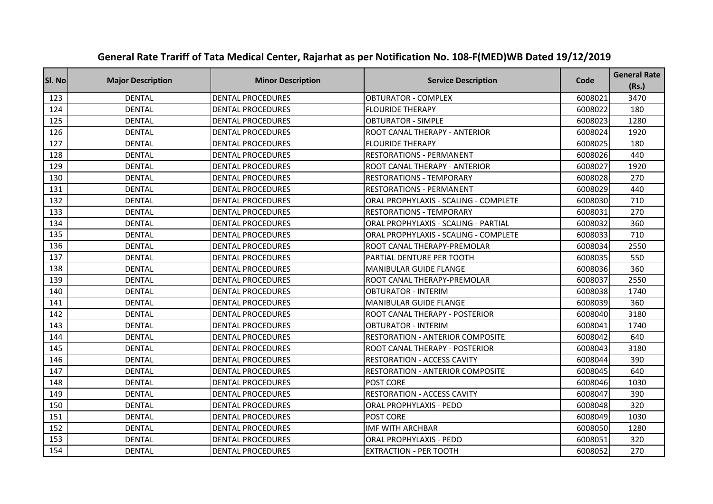| SI. No | <b>Major Description</b> | <b>Minor Description</b> | <b>Service Description</b>            | Code    | <b>General Rate</b><br>(Rs.) |
|--------|--------------------------|--------------------------|---------------------------------------|---------|------------------------------|
| 123    | <b>DENTAL</b>            | <b>DENTAL PROCEDURES</b> | <b>OBTURATOR - COMPLEX</b>            | 6008021 | 3470                         |
| 124    | <b>DENTAL</b>            | <b>DENTAL PROCEDURES</b> | <b>FLOURIDE THERAPY</b>               | 6008022 | 180                          |
| 125    | <b>DENTAL</b>            | <b>DENTAL PROCEDURES</b> | <b>OBTURATOR - SIMPLE</b>             | 6008023 | 1280                         |
| 126    | <b>DENTAL</b>            | <b>DENTAL PROCEDURES</b> | <b>ROOT CANAL THERAPY - ANTERIOR</b>  | 6008024 | 1920                         |
| 127    | <b>DENTAL</b>            | <b>DENTAL PROCEDURES</b> | <b>FLOURIDE THERAPY</b>               | 6008025 | 180                          |
| 128    | <b>DENTAL</b>            | <b>DENTAL PROCEDURES</b> | <b>RESTORATIONS - PERMANENT</b>       | 6008026 | 440                          |
| 129    | <b>DENTAL</b>            | <b>DENTAL PROCEDURES</b> | ROOT CANAL THERAPY - ANTERIOR         | 6008027 | 1920                         |
| 130    | <b>DENTAL</b>            | <b>DENTAL PROCEDURES</b> | <b>RESTORATIONS - TEMPORARY</b>       | 6008028 | 270                          |
| 131    | <b>DENTAL</b>            | <b>DENTAL PROCEDURES</b> | <b>RESTORATIONS - PERMANENT</b>       | 6008029 | 440                          |
| 132    | <b>DENTAL</b>            | <b>DENTAL PROCEDURES</b> | ORAL PROPHYLAXIS - SCALING - COMPLETE | 6008030 | 710                          |
| 133    | <b>DENTAL</b>            | <b>DENTAL PROCEDURES</b> | <b>RESTORATIONS - TEMPORARY</b>       | 6008031 | 270                          |
| 134    | <b>DENTAL</b>            | <b>DENTAL PROCEDURES</b> | ORAL PROPHYLAXIS - SCALING - PARTIAL  | 6008032 | 360                          |
| 135    | <b>DENTAL</b>            | <b>DENTAL PROCEDURES</b> | ORAL PROPHYLAXIS - SCALING - COMPLETE | 6008033 | 710                          |
| 136    | <b>DENTAL</b>            | <b>DENTAL PROCEDURES</b> | ROOT CANAL THERAPY-PREMOLAR           | 6008034 | 2550                         |
| 137    | <b>DENTAL</b>            | <b>DENTAL PROCEDURES</b> | PARTIAL DENTURE PER TOOTH             | 6008035 | 550                          |
| 138    | <b>DENTAL</b>            | <b>DENTAL PROCEDURES</b> | <b>MANIBULAR GUIDE FLANGE</b>         | 6008036 | 360                          |
| 139    | <b>DENTAL</b>            | <b>DENTAL PROCEDURES</b> | ROOT CANAL THERAPY-PREMOLAR           | 6008037 | 2550                         |
| 140    | <b>DENTAL</b>            | <b>DENTAL PROCEDURES</b> | <b>OBTURATOR - INTERIM</b>            | 6008038 | 1740                         |
| 141    | <b>DENTAL</b>            | <b>DENTAL PROCEDURES</b> | <b>MANIBULAR GUIDE FLANGE</b>         | 6008039 | 360                          |
| 142    | <b>DENTAL</b>            | <b>DENTAL PROCEDURES</b> | ROOT CANAL THERAPY - POSTERIOR        | 6008040 | 3180                         |
| 143    | <b>DENTAL</b>            | <b>DENTAL PROCEDURES</b> | <b>OBTURATOR - INTERIM</b>            | 6008041 | 1740                         |
| 144    | <b>DENTAL</b>            | <b>DENTAL PROCEDURES</b> | RESTORATION - ANTERIOR COMPOSITE      | 6008042 | 640                          |
| 145    | <b>DENTAL</b>            | <b>DENTAL PROCEDURES</b> | ROOT CANAL THERAPY - POSTERIOR        | 6008043 | 3180                         |
| 146    | <b>DENTAL</b>            | <b>DENTAL PROCEDURES</b> | <b>RESTORATION - ACCESS CAVITY</b>    | 6008044 | 390                          |
| 147    | <b>DENTAL</b>            | <b>DENTAL PROCEDURES</b> | RESTORATION - ANTERIOR COMPOSITE      | 6008045 | 640                          |
| 148    | <b>DENTAL</b>            | <b>DENTAL PROCEDURES</b> | POST CORE                             | 6008046 | 1030                         |
| 149    | <b>DENTAL</b>            | <b>DENTAL PROCEDURES</b> | <b>RESTORATION - ACCESS CAVITY</b>    | 6008047 | 390                          |
| 150    | <b>DENTAL</b>            | <b>DENTAL PROCEDURES</b> | <b>ORAL PROPHYLAXIS - PEDO</b>        | 6008048 | 320                          |
| 151    | <b>DENTAL</b>            | <b>DENTAL PROCEDURES</b> | POST CORE                             | 6008049 | 1030                         |
| 152    | <b>DENTAL</b>            | <b>DENTAL PROCEDURES</b> | <b>IMF WITH ARCHBAR</b>               | 6008050 | 1280                         |
| 153    | <b>DENTAL</b>            | <b>DENTAL PROCEDURES</b> | <b>ORAL PROPHYLAXIS - PEDO</b>        | 6008051 | 320                          |
| 154    | <b>DENTAL</b>            | <b>DENTAL PROCEDURES</b> | <b>EXTRACTION - PER TOOTH</b>         | 6008052 | 270                          |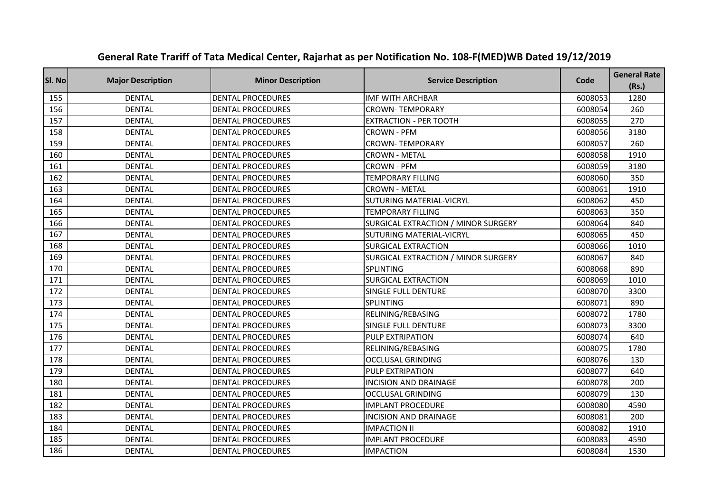| SI. No | <b>Major Description</b> | <b>Minor Description</b> | <b>Service Description</b>          | Code    | <b>General Rate</b><br>(Rs.) |
|--------|--------------------------|--------------------------|-------------------------------------|---------|------------------------------|
| 155    | <b>DENTAL</b>            | <b>DENTAL PROCEDURES</b> | <b>IMF WITH ARCHBAR</b>             | 6008053 | 1280                         |
| 156    | <b>DENTAL</b>            | <b>DENTAL PROCEDURES</b> | <b>CROWN-TEMPORARY</b>              | 6008054 | 260                          |
| 157    | <b>DENTAL</b>            | <b>DENTAL PROCEDURES</b> | <b>EXTRACTION - PER TOOTH</b>       | 6008055 | 270                          |
| 158    | <b>DENTAL</b>            | <b>DENTAL PROCEDURES</b> | <b>CROWN - PFM</b>                  | 6008056 | 3180                         |
| 159    | <b>DENTAL</b>            | <b>DENTAL PROCEDURES</b> | <b>CROWN-TEMPORARY</b>              | 6008057 | 260                          |
| 160    | <b>DENTAL</b>            | <b>DENTAL PROCEDURES</b> | <b>CROWN - METAL</b>                | 6008058 | 1910                         |
| 161    | <b>DENTAL</b>            | <b>DENTAL PROCEDURES</b> | <b>CROWN - PFM</b>                  | 6008059 | 3180                         |
| 162    | <b>DENTAL</b>            | <b>DENTAL PROCEDURES</b> | <b>TEMPORARY FILLING</b>            | 6008060 | 350                          |
| 163    | <b>DENTAL</b>            | <b>DENTAL PROCEDURES</b> | <b>CROWN - METAL</b>                | 6008061 | 1910                         |
| 164    | <b>DENTAL</b>            | <b>DENTAL PROCEDURES</b> | <b>SUTURING MATERIAL-VICRYL</b>     | 6008062 | 450                          |
| 165    | <b>DENTAL</b>            | <b>DENTAL PROCEDURES</b> | <b>TEMPORARY FILLING</b>            | 6008063 | 350                          |
| 166    | <b>DENTAL</b>            | <b>DENTAL PROCEDURES</b> | SURGICAL EXTRACTION / MINOR SURGERY | 6008064 | 840                          |
| 167    | <b>DENTAL</b>            | <b>DENTAL PROCEDURES</b> | SUTURING MATERIAL-VICRYL            | 6008065 | 450                          |
| 168    | <b>DENTAL</b>            | <b>DENTAL PROCEDURES</b> | <b>SURGICAL EXTRACTION</b>          | 6008066 | 1010                         |
| 169    | <b>DENTAL</b>            | <b>DENTAL PROCEDURES</b> | SURGICAL EXTRACTION / MINOR SURGERY | 6008067 | 840                          |
| 170    | <b>DENTAL</b>            | <b>DENTAL PROCEDURES</b> | <b>SPLINTING</b>                    | 6008068 | 890                          |
| 171    | <b>DENTAL</b>            | <b>DENTAL PROCEDURES</b> | <b>SURGICAL EXTRACTION</b>          | 6008069 | 1010                         |
| 172    | <b>DENTAL</b>            | <b>DENTAL PROCEDURES</b> | <b>SINGLE FULL DENTURE</b>          | 6008070 | 3300                         |
| 173    | <b>DENTAL</b>            | <b>DENTAL PROCEDURES</b> | SPLINTING                           | 6008071 | 890                          |
| 174    | <b>DENTAL</b>            | <b>DENTAL PROCEDURES</b> | RELINING/REBASING                   | 6008072 | 1780                         |
| 175    | <b>DENTAL</b>            | <b>DENTAL PROCEDURES</b> | <b>SINGLE FULL DENTURE</b>          | 6008073 | 3300                         |
| 176    | <b>DENTAL</b>            | <b>DENTAL PROCEDURES</b> | PULP EXTRIPATION                    | 6008074 | 640                          |
| 177    | <b>DENTAL</b>            | <b>DENTAL PROCEDURES</b> | RELINING/REBASING                   | 6008075 | 1780                         |
| 178    | <b>DENTAL</b>            | <b>DENTAL PROCEDURES</b> | <b>OCCLUSAL GRINDING</b>            | 6008076 | 130                          |
| 179    | <b>DENTAL</b>            | <b>DENTAL PROCEDURES</b> | PULP EXTRIPATION                    | 6008077 | 640                          |
| 180    | <b>DENTAL</b>            | <b>DENTAL PROCEDURES</b> | <b>INCISION AND DRAINAGE</b>        | 6008078 | 200                          |
| 181    | <b>DENTAL</b>            | <b>DENTAL PROCEDURES</b> | <b>OCCLUSAL GRINDING</b>            | 6008079 | 130                          |
| 182    | <b>DENTAL</b>            | <b>DENTAL PROCEDURES</b> | <b>IMPLANT PROCEDURE</b>            | 6008080 | 4590                         |
| 183    | <b>DENTAL</b>            | <b>DENTAL PROCEDURES</b> | <b>INCISION AND DRAINAGE</b>        | 6008081 | 200                          |
| 184    | <b>DENTAL</b>            | <b>DENTAL PROCEDURES</b> | <b>IMPACTION II</b>                 | 6008082 | 1910                         |
| 185    | <b>DENTAL</b>            | <b>DENTAL PROCEDURES</b> | <b>IMPLANT PROCEDURE</b>            | 6008083 | 4590                         |
| 186    | <b>DENTAL</b>            | <b>DENTAL PROCEDURES</b> | <b>IMPACTION</b>                    | 6008084 | 1530                         |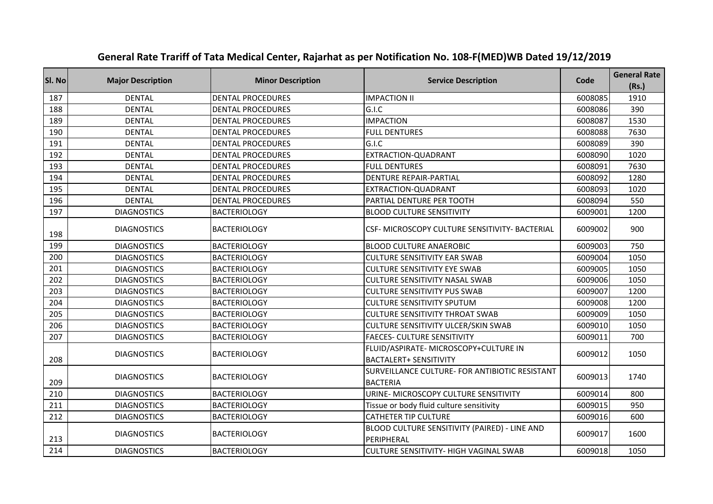| SI. No | <b>Major Description</b> | <b>Minor Description</b> | <b>Service Description</b>                                             | Code    | <b>General Rate</b><br>(Rs.) |
|--------|--------------------------|--------------------------|------------------------------------------------------------------------|---------|------------------------------|
| 187    | <b>DENTAL</b>            | <b>DENTAL PROCEDURES</b> | <b>IMPACTION II</b>                                                    | 6008085 | 1910                         |
| 188    | <b>DENTAL</b>            | <b>DENTAL PROCEDURES</b> | G.I.C                                                                  | 6008086 | 390                          |
| 189    | <b>DENTAL</b>            | <b>DENTAL PROCEDURES</b> | <b>IMPACTION</b>                                                       | 6008087 | 1530                         |
| 190    | <b>DENTAL</b>            | <b>DENTAL PROCEDURES</b> | <b>FULL DENTURES</b>                                                   | 6008088 | 7630                         |
| 191    | <b>DENTAL</b>            | <b>DENTAL PROCEDURES</b> | G.I.C                                                                  | 6008089 | 390                          |
| 192    | <b>DENTAL</b>            | <b>DENTAL PROCEDURES</b> | EXTRACTION-QUADRANT                                                    | 6008090 | 1020                         |
| 193    | <b>DENTAL</b>            | <b>DENTAL PROCEDURES</b> | <b>FULL DENTURES</b>                                                   | 6008091 | 7630                         |
| 194    | <b>DENTAL</b>            | <b>DENTAL PROCEDURES</b> | <b>DENTURE REPAIR-PARTIAL</b>                                          | 6008092 | 1280                         |
| 195    | <b>DENTAL</b>            | <b>DENTAL PROCEDURES</b> | EXTRACTION-QUADRANT                                                    | 6008093 | 1020                         |
| 196    | <b>DENTAL</b>            | <b>DENTAL PROCEDURES</b> | PARTIAL DENTURE PER TOOTH                                              | 6008094 | 550                          |
| 197    | <b>DIAGNOSTICS</b>       | <b>BACTERIOLOGY</b>      | <b>BLOOD CULTURE SENSITIVITY</b>                                       | 6009001 | 1200                         |
| 198    | <b>DIAGNOSTICS</b>       | <b>BACTERIOLOGY</b>      | CSF- MICROSCOPY CULTURE SENSITIVITY- BACTERIAL                         | 6009002 | 900                          |
| 199    | <b>DIAGNOSTICS</b>       | <b>BACTERIOLOGY</b>      | <b>BLOOD CULTURE ANAEROBIC</b>                                         | 6009003 | 750                          |
| 200    | <b>DIAGNOSTICS</b>       | <b>BACTERIOLOGY</b>      | <b>CULTURE SENSITIVITY EAR SWAB</b>                                    | 6009004 | 1050                         |
| 201    | <b>DIAGNOSTICS</b>       | <b>BACTERIOLOGY</b>      | <b>CULTURE SENSITIVITY EYE SWAB</b>                                    | 6009005 | 1050                         |
| 202    | <b>DIAGNOSTICS</b>       | <b>BACTERIOLOGY</b>      | CULTURE SENSITIVITY NASAL SWAB                                         | 6009006 | 1050                         |
| 203    | <b>DIAGNOSTICS</b>       | <b>BACTERIOLOGY</b>      | <b>CULTURE SENSITIVITY PUS SWAB</b>                                    | 6009007 | 1200                         |
| 204    | <b>DIAGNOSTICS</b>       | <b>BACTERIOLOGY</b>      | <b>CULTURE SENSITIVITY SPUTUM</b>                                      | 6009008 | 1200                         |
| 205    | <b>DIAGNOSTICS</b>       | <b>BACTERIOLOGY</b>      | <b>CULTURE SENSITIVITY THROAT SWAB</b>                                 | 6009009 | 1050                         |
| 206    | <b>DIAGNOSTICS</b>       | <b>BACTERIOLOGY</b>      | <b>CULTURE SENSITIVITY ULCER/SKIN SWAB</b>                             | 6009010 | 1050                         |
| 207    | <b>DIAGNOSTICS</b>       | <b>BACTERIOLOGY</b>      | <b>FAECES- CULTURE SENSITIVITY</b>                                     | 6009011 | 700                          |
| 208    | <b>DIAGNOSTICS</b>       | <b>BACTERIOLOGY</b>      | FLUID/ASPIRATE- MICROSCOPY+CULTURE IN<br><b>BACTALERT+ SENSITIVITY</b> | 6009012 | 1050                         |
| 209    | <b>DIAGNOSTICS</b>       | <b>BACTERIOLOGY</b>      | SURVEILLANCE CULTURE- FOR ANTIBIOTIC RESISTANT<br><b>BACTERIA</b>      | 6009013 | 1740                         |
| 210    | <b>DIAGNOSTICS</b>       | <b>BACTERIOLOGY</b>      | URINE- MICROSCOPY CULTURE SENSITIVITY                                  | 6009014 | 800                          |
| 211    | <b>DIAGNOSTICS</b>       | <b>BACTERIOLOGY</b>      | Tissue or body fluid culture sensitivity                               | 6009015 | 950                          |
| 212    | <b>DIAGNOSTICS</b>       | <b>BACTERIOLOGY</b>      | <b>CATHETER TIP CULTURE</b>                                            | 6009016 | 600                          |
| 213    | <b>DIAGNOSTICS</b>       | <b>BACTERIOLOGY</b>      | BLOOD CULTURE SENSITIVITY (PAIRED) - LINE AND<br>PERIPHERAL            | 6009017 | 1600                         |
| 214    | <b>DIAGNOSTICS</b>       | <b>BACTERIOLOGY</b>      | <b>CULTURE SENSITIVITY- HIGH VAGINAL SWAB</b>                          | 6009018 | 1050                         |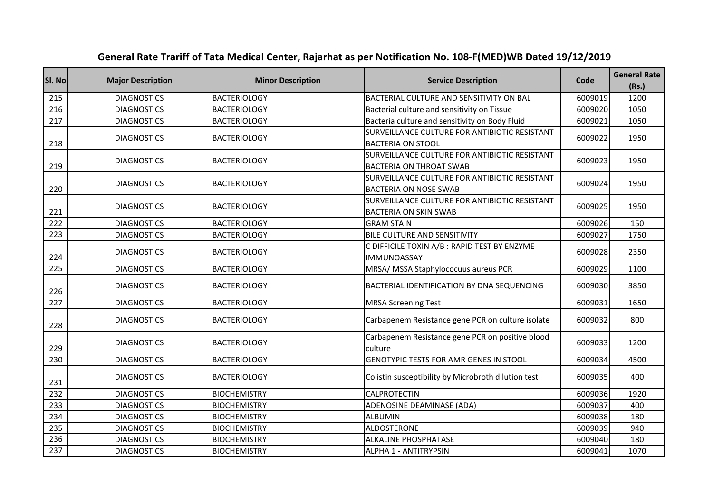| SI. No | <b>Major Description</b> | <b>Minor Description</b> | <b>Service Description</b>                                                      | Code    | <b>General Rate</b><br>(Rs.) |
|--------|--------------------------|--------------------------|---------------------------------------------------------------------------------|---------|------------------------------|
| 215    | <b>DIAGNOSTICS</b>       | <b>BACTERIOLOGY</b>      | BACTERIAL CULTURE AND SENSITIVITY ON BAL                                        | 6009019 | 1200                         |
| 216    | <b>DIAGNOSTICS</b>       | <b>BACTERIOLOGY</b>      | Bacterial culture and sensitivity on Tissue                                     | 6009020 | 1050                         |
| 217    | <b>DIAGNOSTICS</b>       | <b>BACTERIOLOGY</b>      | Bacteria culture and sensitivity on Body Fluid                                  | 6009021 | 1050                         |
| 218    | <b>DIAGNOSTICS</b>       | <b>BACTERIOLOGY</b>      | SURVEILLANCE CULTURE FOR ANTIBIOTIC RESISTANT<br><b>BACTERIA ON STOOL</b>       | 6009022 | 1950                         |
| 219    | <b>DIAGNOSTICS</b>       | <b>BACTERIOLOGY</b>      | SURVEILLANCE CULTURE FOR ANTIBIOTIC RESISTANT<br><b>BACTERIA ON THROAT SWAB</b> | 6009023 | 1950                         |
| 220    | <b>DIAGNOSTICS</b>       | <b>BACTERIOLOGY</b>      | SURVEILLANCE CULTURE FOR ANTIBIOTIC RESISTANT<br><b>BACTERIA ON NOSE SWAB</b>   | 6009024 | 1950                         |
| 221    | <b>DIAGNOSTICS</b>       | <b>BACTERIOLOGY</b>      | SURVEILLANCE CULTURE FOR ANTIBIOTIC RESISTANT<br><b>BACTERIA ON SKIN SWAB</b>   | 6009025 | 1950                         |
| 222    | <b>DIAGNOSTICS</b>       | <b>BACTERIOLOGY</b>      | <b>GRAM STAIN</b>                                                               | 6009026 | 150                          |
| 223    | <b>DIAGNOSTICS</b>       | <b>BACTERIOLOGY</b>      | BILE CULTURE AND SENSITIVITY                                                    | 6009027 | 1750                         |
| 224    | <b>DIAGNOSTICS</b>       | <b>BACTERIOLOGY</b>      | C DIFFICILE TOXIN A/B : RAPID TEST BY ENZYME<br><b>IMMUNOASSAY</b>              | 6009028 | 2350                         |
| 225    | <b>DIAGNOSTICS</b>       | <b>BACTERIOLOGY</b>      | MRSA/ MSSA Staphylococuus aureus PCR                                            | 6009029 | 1100                         |
| 226    | <b>DIAGNOSTICS</b>       | <b>BACTERIOLOGY</b>      | BACTERIAL IDENTIFICATION BY DNA SEQUENCING                                      | 6009030 | 3850                         |
| 227    | <b>DIAGNOSTICS</b>       | <b>BACTERIOLOGY</b>      | <b>MRSA Screening Test</b>                                                      | 6009031 | 1650                         |
| 228    | <b>DIAGNOSTICS</b>       | <b>BACTERIOLOGY</b>      | Carbapenem Resistance gene PCR on culture isolate                               | 6009032 | 800                          |
| 229    | <b>DIAGNOSTICS</b>       | <b>BACTERIOLOGY</b>      | Carbapenem Resistance gene PCR on positive blood<br>culture                     | 6009033 | 1200                         |
| 230    | <b>DIAGNOSTICS</b>       | <b>BACTERIOLOGY</b>      | GENOTYPIC TESTS FOR AMR GENES IN STOOL                                          | 6009034 | 4500                         |
| 231    | <b>DIAGNOSTICS</b>       | <b>BACTERIOLOGY</b>      | Colistin susceptibility by Microbroth dilution test                             | 6009035 | 400                          |
| 232    | <b>DIAGNOSTICS</b>       | <b>BIOCHEMISTRY</b>      | CALPROTECTIN                                                                    | 6009036 | 1920                         |
| 233    | <b>DIAGNOSTICS</b>       | <b>BIOCHEMISTRY</b>      | ADENOSINE DEAMINASE (ADA)                                                       | 6009037 | 400                          |
| 234    | <b>DIAGNOSTICS</b>       | <b>BIOCHEMISTRY</b>      | <b>ALBUMIN</b>                                                                  | 6009038 | 180                          |
| 235    | <b>DIAGNOSTICS</b>       | <b>BIOCHEMISTRY</b>      | <b>ALDOSTERONE</b>                                                              | 6009039 | 940                          |
| 236    | <b>DIAGNOSTICS</b>       | <b>BIOCHEMISTRY</b>      | <b>ALKALINE PHOSPHATASE</b>                                                     | 6009040 | 180                          |
| 237    | <b>DIAGNOSTICS</b>       | <b>BIOCHEMISTRY</b>      | <b>ALPHA 1 - ANTITRYPSIN</b>                                                    | 6009041 | 1070                         |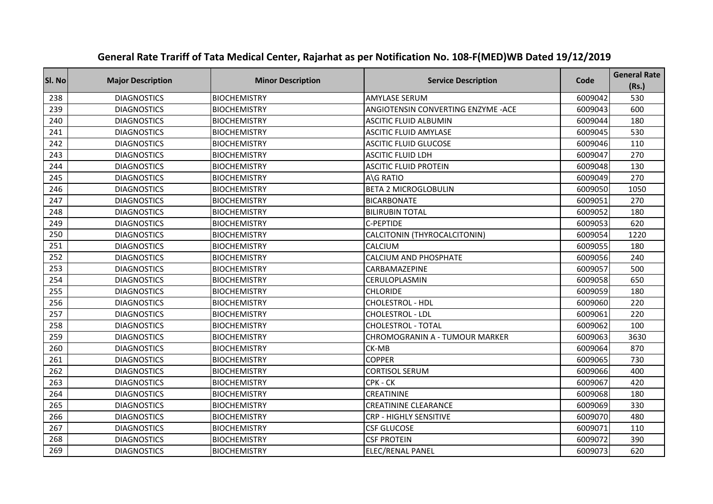| Sl. No | <b>Major Description</b> | <b>Minor Description</b> | <b>Service Description</b>            | Code    | <b>General Rate</b><br>(Rs.) |
|--------|--------------------------|--------------------------|---------------------------------------|---------|------------------------------|
| 238    | <b>DIAGNOSTICS</b>       | <b>BIOCHEMISTRY</b>      | <b>AMYLASE SERUM</b>                  | 6009042 | 530                          |
| 239    | <b>DIAGNOSTICS</b>       | <b>BIOCHEMISTRY</b>      | ANGIOTENSIN CONVERTING ENZYME - ACE   | 6009043 | 600                          |
| 240    | <b>DIAGNOSTICS</b>       | <b>BIOCHEMISTRY</b>      | <b>ASCITIC FLUID ALBUMIN</b>          | 6009044 | 180                          |
| 241    | <b>DIAGNOSTICS</b>       | <b>BIOCHEMISTRY</b>      | <b>ASCITIC FLUID AMYLASE</b>          | 6009045 | 530                          |
| 242    | <b>DIAGNOSTICS</b>       | <b>BIOCHEMISTRY</b>      | <b>ASCITIC FLUID GLUCOSE</b>          | 6009046 | 110                          |
| 243    | <b>DIAGNOSTICS</b>       | <b>BIOCHEMISTRY</b>      | <b>ASCITIC FLUID LDH</b>              | 6009047 | 270                          |
| 244    | <b>DIAGNOSTICS</b>       | <b>BIOCHEMISTRY</b>      | <b>ASCITIC FLUID PROTEIN</b>          | 6009048 | 130                          |
| 245    | <b>DIAGNOSTICS</b>       | <b>BIOCHEMISTRY</b>      | A\G RATIO                             | 6009049 | 270                          |
| 246    | <b>DIAGNOSTICS</b>       | <b>BIOCHEMISTRY</b>      | <b>BETA 2 MICROGLOBULIN</b>           | 6009050 | 1050                         |
| 247    | <b>DIAGNOSTICS</b>       | <b>BIOCHEMISTRY</b>      | <b>BICARBONATE</b>                    | 6009051 | 270                          |
| 248    | <b>DIAGNOSTICS</b>       | <b>BIOCHEMISTRY</b>      | <b>BILIRUBIN TOTAL</b>                | 6009052 | 180                          |
| 249    | <b>DIAGNOSTICS</b>       | <b>BIOCHEMISTRY</b>      | C-PEPTIDE                             | 6009053 | 620                          |
| 250    | <b>DIAGNOSTICS</b>       | <b>BIOCHEMISTRY</b>      | CALCITONIN (THYROCALCITONIN)          | 6009054 | 1220                         |
| 251    | <b>DIAGNOSTICS</b>       | <b>BIOCHEMISTRY</b>      | CALCIUM                               | 6009055 | 180                          |
| 252    | <b>DIAGNOSTICS</b>       | <b>BIOCHEMISTRY</b>      | <b>CALCIUM AND PHOSPHATE</b>          | 6009056 | 240                          |
| 253    | <b>DIAGNOSTICS</b>       | <b>BIOCHEMISTRY</b>      | CARBAMAZEPINE                         | 6009057 | 500                          |
| 254    | <b>DIAGNOSTICS</b>       | <b>BIOCHEMISTRY</b>      | CERULOPLASMIN                         | 6009058 | 650                          |
| 255    | <b>DIAGNOSTICS</b>       | <b>BIOCHEMISTRY</b>      | <b>CHLORIDE</b>                       | 6009059 | 180                          |
| 256    | <b>DIAGNOSTICS</b>       | <b>BIOCHEMISTRY</b>      | CHOLESTROL - HDL                      | 6009060 | 220                          |
| 257    | <b>DIAGNOSTICS</b>       | <b>BIOCHEMISTRY</b>      | CHOLESTROL - LDL                      | 6009061 | 220                          |
| 258    | <b>DIAGNOSTICS</b>       | <b>BIOCHEMISTRY</b>      | <b>CHOLESTROL - TOTAL</b>             | 6009062 | 100                          |
| 259    | <b>DIAGNOSTICS</b>       | <b>BIOCHEMISTRY</b>      | <b>CHROMOGRANIN A - TUMOUR MARKER</b> | 6009063 | 3630                         |
| 260    | <b>DIAGNOSTICS</b>       | <b>BIOCHEMISTRY</b>      | CK-MB                                 | 6009064 | 870                          |
| 261    | <b>DIAGNOSTICS</b>       | <b>BIOCHEMISTRY</b>      | <b>COPPER</b>                         | 6009065 | 730                          |
| 262    | <b>DIAGNOSTICS</b>       | <b>BIOCHEMISTRY</b>      | <b>CORTISOL SERUM</b>                 | 6009066 | 400                          |
| 263    | <b>DIAGNOSTICS</b>       | <b>BIOCHEMISTRY</b>      | CPK - CK                              | 6009067 | 420                          |
| 264    | <b>DIAGNOSTICS</b>       | <b>BIOCHEMISTRY</b>      | CREATININE                            | 6009068 | 180                          |
| 265    | <b>DIAGNOSTICS</b>       | <b>BIOCHEMISTRY</b>      | <b>CREATININE CLEARANCE</b>           | 6009069 | 330                          |
| 266    | <b>DIAGNOSTICS</b>       | <b>BIOCHEMISTRY</b>      | <b>CRP - HIGHLY SENSITIVE</b>         | 6009070 | 480                          |
| 267    | <b>DIAGNOSTICS</b>       | <b>BIOCHEMISTRY</b>      | <b>CSF GLUCOSE</b>                    | 6009071 | 110                          |
| 268    | <b>DIAGNOSTICS</b>       | <b>BIOCHEMISTRY</b>      | <b>CSF PROTEIN</b>                    | 6009072 | 390                          |
| 269    | <b>DIAGNOSTICS</b>       | <b>BIOCHEMISTRY</b>      | <b>ELEC/RENAL PANEL</b>               | 6009073 | 620                          |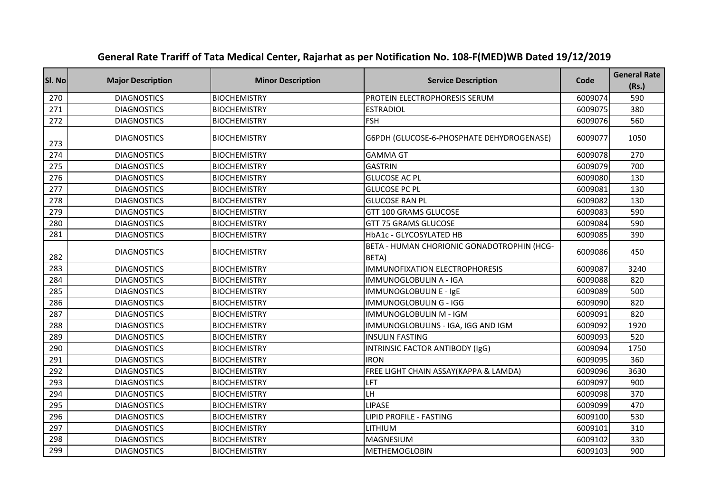| SI. No | <b>Major Description</b> | <b>Minor Description</b> | <b>Service Description</b>                          | Code    | <b>General Rate</b><br>(Rs.) |
|--------|--------------------------|--------------------------|-----------------------------------------------------|---------|------------------------------|
| 270    | <b>DIAGNOSTICS</b>       | <b>BIOCHEMISTRY</b>      | PROTEIN ELECTROPHORESIS SERUM                       | 6009074 | 590                          |
| 271    | <b>DIAGNOSTICS</b>       | <b>BIOCHEMISTRY</b>      | <b>ESTRADIOL</b>                                    | 6009075 | 380                          |
| 272    | <b>DIAGNOSTICS</b>       | <b>BIOCHEMISTRY</b>      | <b>FSH</b>                                          | 6009076 | 560                          |
| 273    | <b>DIAGNOSTICS</b>       | <b>BIOCHEMISTRY</b>      | G6PDH (GLUCOSE-6-PHOSPHATE DEHYDROGENASE)           | 6009077 | 1050                         |
| 274    | <b>DIAGNOSTICS</b>       | <b>BIOCHEMISTRY</b>      | <b>GAMMA GT</b>                                     | 6009078 | 270                          |
| 275    | <b>DIAGNOSTICS</b>       | <b>BIOCHEMISTRY</b>      | <b>GASTRIN</b>                                      | 6009079 | 700                          |
| 276    | <b>DIAGNOSTICS</b>       | <b>BIOCHEMISTRY</b>      | <b>GLUCOSE AC PL</b>                                | 6009080 | 130                          |
| 277    | <b>DIAGNOSTICS</b>       | <b>BIOCHEMISTRY</b>      | <b>GLUCOSE PC PL</b>                                | 6009081 | 130                          |
| 278    | <b>DIAGNOSTICS</b>       | <b>BIOCHEMISTRY</b>      | <b>GLUCOSE RAN PL</b>                               | 6009082 | 130                          |
| 279    | <b>DIAGNOSTICS</b>       | <b>BIOCHEMISTRY</b>      | GTT 100 GRAMS GLUCOSE                               | 6009083 | 590                          |
| 280    | <b>DIAGNOSTICS</b>       | <b>BIOCHEMISTRY</b>      | GTT 75 GRAMS GLUCOSE                                | 6009084 | 590                          |
| 281    | <b>DIAGNOSTICS</b>       | <b>BIOCHEMISTRY</b>      | HbA1c - GLYCOSYLATED HB                             | 6009085 | 390                          |
| 282    | <b>DIAGNOSTICS</b>       | <b>BIOCHEMISTRY</b>      | BETA - HUMAN CHORIONIC GONADOTROPHIN (HCG-<br>BETA) | 6009086 | 450                          |
| 283    | <b>DIAGNOSTICS</b>       | <b>BIOCHEMISTRY</b>      | <b>IMMUNOFIXATION ELECTROPHORESIS</b>               | 6009087 | 3240                         |
| 284    | <b>DIAGNOSTICS</b>       | <b>BIOCHEMISTRY</b>      | IMMUNOGLOBULIN A - IGA                              | 6009088 | 820                          |
| 285    | <b>DIAGNOSTICS</b>       | <b>BIOCHEMISTRY</b>      | IMMUNOGLOBULIN E - IgE                              | 6009089 | 500                          |
| 286    | <b>DIAGNOSTICS</b>       | <b>BIOCHEMISTRY</b>      | <b>IMMUNOGLOBULIN G - IGG</b>                       | 6009090 | 820                          |
| 287    | <b>DIAGNOSTICS</b>       | <b>BIOCHEMISTRY</b>      | IMMUNOGLOBULIN M - IGM                              | 6009091 | 820                          |
| 288    | <b>DIAGNOSTICS</b>       | <b>BIOCHEMISTRY</b>      | IMMUNOGLOBULINS - IGA, IGG AND IGM                  | 6009092 | 1920                         |
| 289    | <b>DIAGNOSTICS</b>       | <b>BIOCHEMISTRY</b>      | <b>INSULIN FASTING</b>                              | 6009093 | 520                          |
| 290    | <b>DIAGNOSTICS</b>       | <b>BIOCHEMISTRY</b>      | <b>INTRINSIC FACTOR ANTIBODY (IgG)</b>              | 6009094 | 1750                         |
| 291    | <b>DIAGNOSTICS</b>       | <b>BIOCHEMISTRY</b>      | <b>IRON</b>                                         | 6009095 | 360                          |
| 292    | <b>DIAGNOSTICS</b>       | <b>BIOCHEMISTRY</b>      | FREE LIGHT CHAIN ASSAY(KAPPA & LAMDA)               | 6009096 | 3630                         |
| 293    | <b>DIAGNOSTICS</b>       | <b>BIOCHEMISTRY</b>      | LFT                                                 | 6009097 | 900                          |
| 294    | <b>DIAGNOSTICS</b>       | <b>BIOCHEMISTRY</b>      | LH                                                  | 6009098 | 370                          |
| 295    | <b>DIAGNOSTICS</b>       | <b>BIOCHEMISTRY</b>      | <b>LIPASE</b>                                       | 6009099 | 470                          |
| 296    | <b>DIAGNOSTICS</b>       | <b>BIOCHEMISTRY</b>      | LIPID PROFILE - FASTING                             | 6009100 | 530                          |
| 297    | <b>DIAGNOSTICS</b>       | <b>BIOCHEMISTRY</b>      | LITHIUM                                             | 6009101 | 310                          |
| 298    | <b>DIAGNOSTICS</b>       | <b>BIOCHEMISTRY</b>      | <b>MAGNESIUM</b>                                    | 6009102 | 330                          |
| 299    | <b>DIAGNOSTICS</b>       | <b>BIOCHEMISTRY</b>      | <b>METHEMOGLOBIN</b>                                | 6009103 | 900                          |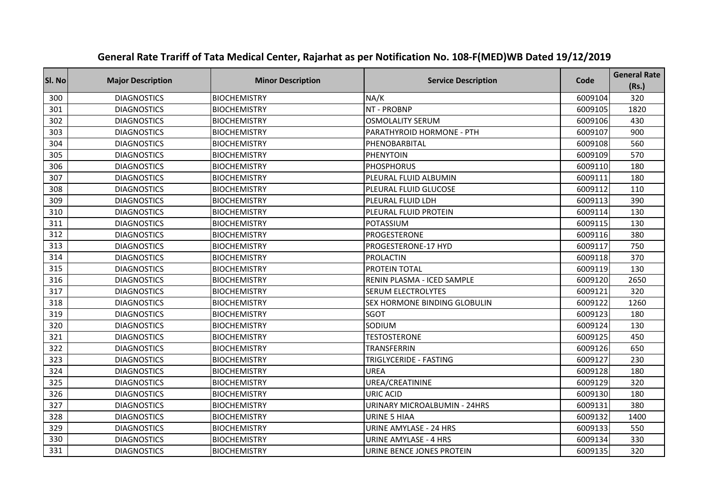| Sl. No | <b>Major Description</b> | <b>Minor Description</b> | <b>Service Description</b>    | Code    | <b>General Rate</b><br>(Rs.) |
|--------|--------------------------|--------------------------|-------------------------------|---------|------------------------------|
| 300    | <b>DIAGNOSTICS</b>       | <b>BIOCHEMISTRY</b>      | NA/K                          | 6009104 | 320                          |
| 301    | <b>DIAGNOSTICS</b>       | <b>BIOCHEMISTRY</b>      | NT - PROBNP                   | 6009105 | 1820                         |
| 302    | <b>DIAGNOSTICS</b>       | <b>BIOCHEMISTRY</b>      | <b>OSMOLALITY SERUM</b>       | 6009106 | 430                          |
| 303    | <b>DIAGNOSTICS</b>       | <b>BIOCHEMISTRY</b>      | PARATHYROID HORMONE - PTH     | 6009107 | 900                          |
| 304    | <b>DIAGNOSTICS</b>       | <b>BIOCHEMISTRY</b>      | PHENOBARBITAL                 | 6009108 | 560                          |
| 305    | <b>DIAGNOSTICS</b>       | <b>BIOCHEMISTRY</b>      | <b>PHENYTOIN</b>              | 6009109 | 570                          |
| 306    | <b>DIAGNOSTICS</b>       | <b>BIOCHEMISTRY</b>      | <b>PHOSPHORUS</b>             | 6009110 | 180                          |
| 307    | <b>DIAGNOSTICS</b>       | <b>BIOCHEMISTRY</b>      | PLEURAL FLUID ALBUMIN         | 6009111 | 180                          |
| 308    | <b>DIAGNOSTICS</b>       | <b>BIOCHEMISTRY</b>      | PLEURAL FLUID GLUCOSE         | 6009112 | 110                          |
| 309    | <b>DIAGNOSTICS</b>       | <b>BIOCHEMISTRY</b>      | PLEURAL FLUID LDH             | 6009113 | 390                          |
| 310    | <b>DIAGNOSTICS</b>       | <b>BIOCHEMISTRY</b>      | PLEURAL FLUID PROTEIN         | 6009114 | 130                          |
| 311    | <b>DIAGNOSTICS</b>       | <b>BIOCHEMISTRY</b>      | POTASSIUM                     | 6009115 | 130                          |
| 312    | <b>DIAGNOSTICS</b>       | <b>BIOCHEMISTRY</b>      | PROGESTERONE                  | 6009116 | 380                          |
| 313    | <b>DIAGNOSTICS</b>       | <b>BIOCHEMISTRY</b>      | PROGESTERONE-17 HYD           | 6009117 | 750                          |
| 314    | <b>DIAGNOSTICS</b>       | <b>BIOCHEMISTRY</b>      | <b>PROLACTIN</b>              | 6009118 | 370                          |
| 315    | <b>DIAGNOSTICS</b>       | <b>BIOCHEMISTRY</b>      | PROTEIN TOTAL                 | 6009119 | 130                          |
| 316    | <b>DIAGNOSTICS</b>       | <b>BIOCHEMISTRY</b>      | RENIN PLASMA - ICED SAMPLE    | 6009120 | 2650                         |
| 317    | <b>DIAGNOSTICS</b>       | <b>BIOCHEMISTRY</b>      | <b>SERUM ELECTROLYTES</b>     | 6009121 | 320                          |
| 318    | <b>DIAGNOSTICS</b>       | <b>BIOCHEMISTRY</b>      | SEX HORMONE BINDING GLOBULIN  | 6009122 | 1260                         |
| 319    | <b>DIAGNOSTICS</b>       | <b>BIOCHEMISTRY</b>      | <b>SGOT</b>                   | 6009123 | 180                          |
| 320    | <b>DIAGNOSTICS</b>       | <b>BIOCHEMISTRY</b>      | SODIUM                        | 6009124 | 130                          |
| 321    | <b>DIAGNOSTICS</b>       | <b>BIOCHEMISTRY</b>      | <b>TESTOSTERONE</b>           | 6009125 | 450                          |
| 322    | <b>DIAGNOSTICS</b>       | <b>BIOCHEMISTRY</b>      | TRANSFERRIN                   | 6009126 | 650                          |
| 323    | <b>DIAGNOSTICS</b>       | <b>BIOCHEMISTRY</b>      | TRIGLYCERIDE - FASTING        | 6009127 | 230                          |
| 324    | <b>DIAGNOSTICS</b>       | <b>BIOCHEMISTRY</b>      | <b>UREA</b>                   | 6009128 | 180                          |
| 325    | <b>DIAGNOSTICS</b>       | <b>BIOCHEMISTRY</b>      | UREA/CREATININE               | 6009129 | 320                          |
| 326    | <b>DIAGNOSTICS</b>       | <b>BIOCHEMISTRY</b>      | <b>URIC ACID</b>              | 6009130 | 180                          |
| 327    | <b>DIAGNOSTICS</b>       | <b>BIOCHEMISTRY</b>      | URINARY MICROALBUMIN - 24HRS  | 6009131 | 380                          |
| 328    | <b>DIAGNOSTICS</b>       | <b>BIOCHEMISTRY</b>      | <b>URINE 5 HIAA</b>           | 6009132 | 1400                         |
| 329    | <b>DIAGNOSTICS</b>       | <b>BIOCHEMISTRY</b>      | <b>URINE AMYLASE - 24 HRS</b> | 6009133 | 550                          |
| 330    | <b>DIAGNOSTICS</b>       | <b>BIOCHEMISTRY</b>      | <b>URINE AMYLASE - 4 HRS</b>  | 6009134 | 330                          |
| 331    | <b>DIAGNOSTICS</b>       | <b>BIOCHEMISTRY</b>      | URINE BENCE JONES PROTEIN     | 6009135 | 320                          |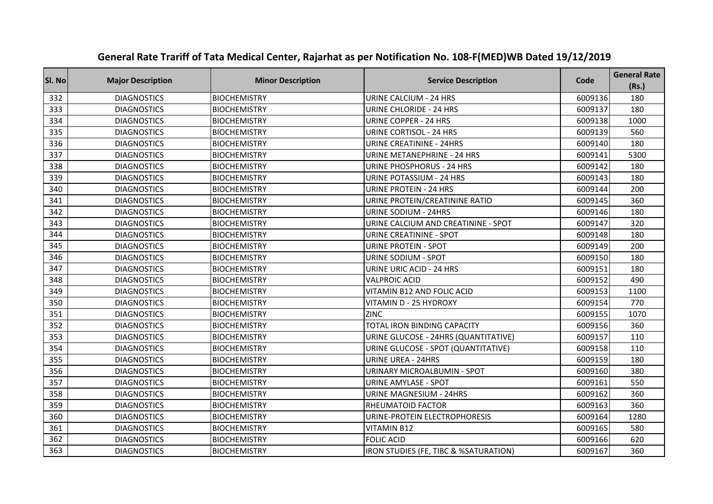| Sl. No | <b>Major Description</b> | <b>Minor Description</b> | <b>Service Description</b>            | Code    | <b>General Rate</b><br>(Rs.) |
|--------|--------------------------|--------------------------|---------------------------------------|---------|------------------------------|
| 332    | <b>DIAGNOSTICS</b>       | <b>BIOCHEMISTRY</b>      | <b>URINE CALCIUM - 24 HRS</b>         | 6009136 | 180                          |
| 333    | <b>DIAGNOSTICS</b>       | <b>BIOCHEMISTRY</b>      | URINE CHLORIDE - 24 HRS               | 6009137 | 180                          |
| 334    | <b>DIAGNOSTICS</b>       | <b>BIOCHEMISTRY</b>      | <b>URINE COPPER - 24 HRS</b>          | 6009138 | 1000                         |
| 335    | <b>DIAGNOSTICS</b>       | <b>BIOCHEMISTRY</b>      | URINE CORTISOL - 24 HRS               | 6009139 | 560                          |
| 336    | <b>DIAGNOSTICS</b>       | <b>BIOCHEMISTRY</b>      | <b>URINE CREATININE - 24HRS</b>       | 6009140 | 180                          |
| 337    | <b>DIAGNOSTICS</b>       | <b>BIOCHEMISTRY</b>      | <b>URINE METANEPHRINE - 24 HRS</b>    | 6009141 | 5300                         |
| 338    | <b>DIAGNOSTICS</b>       | <b>BIOCHEMISTRY</b>      | URINE PHOSPHORUS - 24 HRS             | 6009142 | 180                          |
| 339    | <b>DIAGNOSTICS</b>       | <b>BIOCHEMISTRY</b>      | <b>URINE POTASSIUM - 24 HRS</b>       | 6009143 | 180                          |
| 340    | <b>DIAGNOSTICS</b>       | <b>BIOCHEMISTRY</b>      | <b>URINE PROTEIN - 24 HRS</b>         | 6009144 | 200                          |
| 341    | <b>DIAGNOSTICS</b>       | <b>BIOCHEMISTRY</b>      | URINE PROTEIN/CREATININE RATIO        | 6009145 | 360                          |
| 342    | <b>DIAGNOSTICS</b>       | <b>BIOCHEMISTRY</b>      | URINE SODIUM - 24HRS                  | 6009146 | 180                          |
| 343    | <b>DIAGNOSTICS</b>       | <b>BIOCHEMISTRY</b>      | URINE CALCIUM AND CREATININE - SPOT   | 6009147 | 320                          |
| 344    | <b>DIAGNOSTICS</b>       | <b>BIOCHEMISTRY</b>      | URINE CREATININE - SPOT               | 6009148 | 180                          |
| 345    | <b>DIAGNOSTICS</b>       | <b>BIOCHEMISTRY</b>      | <b>URINE PROTEIN - SPOT</b>           | 6009149 | 200                          |
| 346    | <b>DIAGNOSTICS</b>       | <b>BIOCHEMISTRY</b>      | URINE SODIUM - SPOT                   | 6009150 | 180                          |
| 347    | <b>DIAGNOSTICS</b>       | <b>BIOCHEMISTRY</b>      | <b>URINE URIC ACID - 24 HRS</b>       | 6009151 | 180                          |
| 348    | <b>DIAGNOSTICS</b>       | <b>BIOCHEMISTRY</b>      | <b>VALPROIC ACID</b>                  | 6009152 | 490                          |
| 349    | <b>DIAGNOSTICS</b>       | <b>BIOCHEMISTRY</b>      | VITAMIN B12 AND FOLIC ACID            | 6009153 | 1100                         |
| 350    | <b>DIAGNOSTICS</b>       | <b>BIOCHEMISTRY</b>      | VITAMIN D - 25 HYDROXY                | 6009154 | 770                          |
| 351    | <b>DIAGNOSTICS</b>       | <b>BIOCHEMISTRY</b>      | <b>ZINC</b>                           | 6009155 | 1070                         |
| 352    | <b>DIAGNOSTICS</b>       | <b>BIOCHEMISTRY</b>      | TOTAL IRON BINDING CAPACITY           | 6009156 | 360                          |
| 353    | <b>DIAGNOSTICS</b>       | <b>BIOCHEMISTRY</b>      | URINE GLUCOSE - 24HRS (QUANTITATIVE)  | 6009157 | 110                          |
| 354    | <b>DIAGNOSTICS</b>       | <b>BIOCHEMISTRY</b>      | URINE GLUCOSE - SPOT (QUANTITATIVE)   | 6009158 | 110                          |
| 355    | <b>DIAGNOSTICS</b>       | <b>BIOCHEMISTRY</b>      | URINE UREA - 24HRS                    | 6009159 | 180                          |
| 356    | <b>DIAGNOSTICS</b>       | <b>BIOCHEMISTRY</b>      | <b>URINARY MICROALBUMIN - SPOT</b>    | 6009160 | 380                          |
| 357    | <b>DIAGNOSTICS</b>       | <b>BIOCHEMISTRY</b>      | <b>URINE AMYLASE - SPOT</b>           | 6009161 | 550                          |
| 358    | <b>DIAGNOSTICS</b>       | <b>BIOCHEMISTRY</b>      | <b>URINE MAGNESIUM - 24HRS</b>        | 6009162 | 360                          |
| 359    | <b>DIAGNOSTICS</b>       | <b>BIOCHEMISTRY</b>      | RHEUMATOID FACTOR                     | 6009163 | 360                          |
| 360    | <b>DIAGNOSTICS</b>       | <b>BIOCHEMISTRY</b>      | URINE-PROTEIN ELECTROPHORESIS         | 6009164 | 1280                         |
| 361    | <b>DIAGNOSTICS</b>       | <b>BIOCHEMISTRY</b>      | <b>VITAMIN B12</b>                    | 6009165 | 580                          |
| 362    | <b>DIAGNOSTICS</b>       | <b>BIOCHEMISTRY</b>      | <b>FOLIC ACID</b>                     | 6009166 | 620                          |
| 363    | <b>DIAGNOSTICS</b>       | <b>BIOCHEMISTRY</b>      | IRON STUDIES (FE, TIBC & %SATURATION) | 6009167 | 360                          |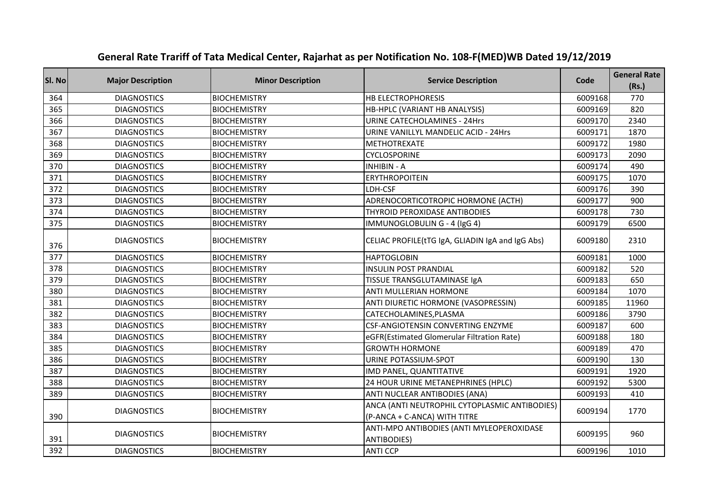| SI. No | <b>Major Description</b> | <b>Minor Description</b> | <b>Service Description</b>                                                    | Code    | <b>General Rate</b><br>(Rs.) |
|--------|--------------------------|--------------------------|-------------------------------------------------------------------------------|---------|------------------------------|
| 364    | <b>DIAGNOSTICS</b>       | <b>BIOCHEMISTRY</b>      | <b>HB ELECTROPHORESIS</b>                                                     | 6009168 | 770                          |
| 365    | <b>DIAGNOSTICS</b>       | <b>BIOCHEMISTRY</b>      | HB-HPLC (VARIANT HB ANALYSIS)                                                 | 6009169 | 820                          |
| 366    | <b>DIAGNOSTICS</b>       | <b>BIOCHEMISTRY</b>      | <b>URINE CATECHOLAMINES - 24Hrs</b>                                           | 6009170 | 2340                         |
| 367    | <b>DIAGNOSTICS</b>       | <b>BIOCHEMISTRY</b>      | URINE VANILLYL MANDELIC ACID - 24Hrs                                          | 6009171 | 1870                         |
| 368    | <b>DIAGNOSTICS</b>       | <b>BIOCHEMISTRY</b>      | <b>METHOTREXATE</b>                                                           | 6009172 | 1980                         |
| 369    | <b>DIAGNOSTICS</b>       | <b>BIOCHEMISTRY</b>      | <b>CYCLOSPORINE</b>                                                           | 6009173 | 2090                         |
| 370    | <b>DIAGNOSTICS</b>       | <b>BIOCHEMISTRY</b>      | <b>INHIBIN - A</b>                                                            | 6009174 | 490                          |
| 371    | <b>DIAGNOSTICS</b>       | <b>BIOCHEMISTRY</b>      | <b>ERYTHROPOITEIN</b>                                                         | 6009175 | 1070                         |
| 372    | <b>DIAGNOSTICS</b>       | <b>BIOCHEMISTRY</b>      | LDH-CSF                                                                       | 6009176 | 390                          |
| 373    | <b>DIAGNOSTICS</b>       | <b>BIOCHEMISTRY</b>      | ADRENOCORTICOTROPIC HORMONE (ACTH)                                            | 6009177 | 900                          |
| 374    | <b>DIAGNOSTICS</b>       | <b>BIOCHEMISTRY</b>      | THYROID PEROXIDASE ANTIBODIES                                                 | 6009178 | 730                          |
| 375    | <b>DIAGNOSTICS</b>       | <b>BIOCHEMISTRY</b>      | IMMUNOGLOBULIN G - 4 (IgG 4)                                                  | 6009179 | 6500                         |
| 376    | <b>DIAGNOSTICS</b>       | <b>BIOCHEMISTRY</b>      | CELIAC PROFILE(tTG IgA, GLIADIN IgA and IgG Abs)                              | 6009180 | 2310                         |
| 377    | <b>DIAGNOSTICS</b>       | <b>BIOCHEMISTRY</b>      | <b>HAPTOGLOBIN</b>                                                            | 6009181 | 1000                         |
| 378    | <b>DIAGNOSTICS</b>       | <b>BIOCHEMISTRY</b>      | <b>INSULIN POST PRANDIAL</b>                                                  | 6009182 | 520                          |
| 379    | <b>DIAGNOSTICS</b>       | <b>BIOCHEMISTRY</b>      | TISSUE TRANSGLUTAMINASE IgA                                                   | 6009183 | 650                          |
| 380    | <b>DIAGNOSTICS</b>       | <b>BIOCHEMISTRY</b>      | ANTI MULLERIAN HORMONE                                                        | 6009184 | 1070                         |
| 381    | <b>DIAGNOSTICS</b>       | <b>BIOCHEMISTRY</b>      | ANTI DIURETIC HORMONE (VASOPRESSIN)                                           | 6009185 | 11960                        |
| 382    | <b>DIAGNOSTICS</b>       | <b>BIOCHEMISTRY</b>      | CATECHOLAMINES, PLASMA                                                        | 6009186 | 3790                         |
| 383    | <b>DIAGNOSTICS</b>       | <b>BIOCHEMISTRY</b>      | CSF-ANGIOTENSIN CONVERTING ENZYME                                             | 6009187 | 600                          |
| 384    | <b>DIAGNOSTICS</b>       | <b>BIOCHEMISTRY</b>      | eGFR(Estimated Glomerular Filtration Rate)                                    | 6009188 | 180                          |
| 385    | <b>DIAGNOSTICS</b>       | <b>BIOCHEMISTRY</b>      | <b>GROWTH HORMONE</b>                                                         | 6009189 | 470                          |
| 386    | <b>DIAGNOSTICS</b>       | <b>BIOCHEMISTRY</b>      | URINE POTASSIUM-SPOT                                                          | 6009190 | 130                          |
| 387    | <b>DIAGNOSTICS</b>       | <b>BIOCHEMISTRY</b>      | IMD PANEL, QUANTITATIVE                                                       | 6009191 | 1920                         |
| 388    | <b>DIAGNOSTICS</b>       | <b>BIOCHEMISTRY</b>      | 24 HOUR URINE METANEPHRINES (HPLC)                                            | 6009192 | 5300                         |
| 389    | <b>DIAGNOSTICS</b>       | <b>BIOCHEMISTRY</b>      | ANTI NUCLEAR ANTIBODIES (ANA)                                                 | 6009193 | 410                          |
| 390    | <b>DIAGNOSTICS</b>       | <b>BIOCHEMISTRY</b>      | ANCA (ANTI NEUTROPHIL CYTOPLASMIC ANTIBODIES)<br>(P-ANCA + C-ANCA) WITH TITRE | 6009194 | 1770                         |
| 391    | <b>DIAGNOSTICS</b>       | <b>BIOCHEMISTRY</b>      | ANTI-MPO ANTIBODIES (ANTI MYLEOPEROXIDASE<br><b>ANTIBODIES)</b>               | 6009195 | 960                          |
| 392    | <b>DIAGNOSTICS</b>       | <b>BIOCHEMISTRY</b>      | <b>ANTI CCP</b>                                                               | 6009196 | 1010                         |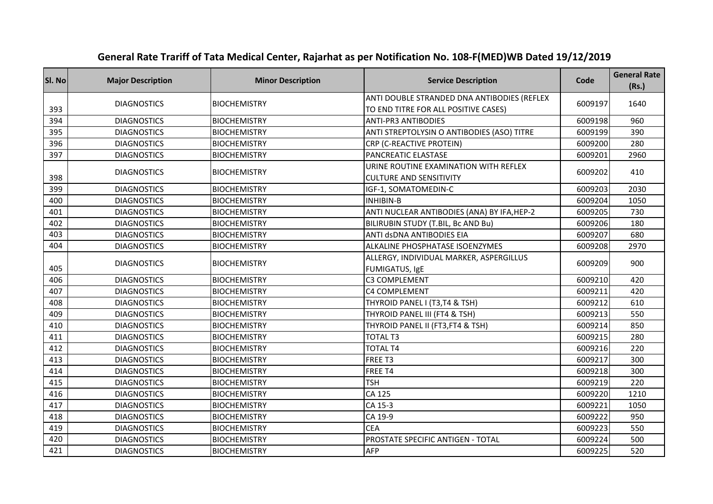| SI. No | <b>Major Description</b> | <b>Minor Description</b> | <b>Service Description</b>                                                          | Code    | <b>General Rate</b><br>(Rs.) |
|--------|--------------------------|--------------------------|-------------------------------------------------------------------------------------|---------|------------------------------|
| 393    | <b>DIAGNOSTICS</b>       | <b>BIOCHEMISTRY</b>      | ANTI DOUBLE STRANDED DNA ANTIBODIES (REFLEX<br>TO END TITRE FOR ALL POSITIVE CASES) | 6009197 | 1640                         |
| 394    | <b>DIAGNOSTICS</b>       | <b>BIOCHEMISTRY</b>      | <b>ANTI-PR3 ANTIBODIES</b>                                                          | 6009198 | 960                          |
| 395    | <b>DIAGNOSTICS</b>       | <b>BIOCHEMISTRY</b>      | ANTI STREPTOLYSIN O ANTIBODIES (ASO) TITRE                                          | 6009199 | 390                          |
| 396    | <b>DIAGNOSTICS</b>       | <b>BIOCHEMISTRY</b>      | CRP (C-REACTIVE PROTEIN)                                                            | 6009200 | 280                          |
| 397    | <b>DIAGNOSTICS</b>       | <b>BIOCHEMISTRY</b>      | PANCREATIC ELASTASE                                                                 | 6009201 | 2960                         |
| 398    | <b>DIAGNOSTICS</b>       | <b>BIOCHEMISTRY</b>      | URINE ROUTINE EXAMINATION WITH REFLEX<br><b>CULTURE AND SENSITIVITY</b>             | 6009202 | 410                          |
| 399    | <b>DIAGNOSTICS</b>       | <b>BIOCHEMISTRY</b>      | IGF-1, SOMATOMEDIN-C                                                                | 6009203 | 2030                         |
| 400    | <b>DIAGNOSTICS</b>       | <b>BIOCHEMISTRY</b>      | <b>INHIBIN-B</b>                                                                    | 6009204 | 1050                         |
| 401    | <b>DIAGNOSTICS</b>       | <b>BIOCHEMISTRY</b>      | ANTI NUCLEAR ANTIBODIES (ANA) BY IFA, HEP-2                                         | 6009205 | 730                          |
| 402    | <b>DIAGNOSTICS</b>       | <b>BIOCHEMISTRY</b>      | BILIRUBIN STUDY (T.BIL, Bc AND Bu)                                                  | 6009206 | 180                          |
| 403    | <b>DIAGNOSTICS</b>       | <b>BIOCHEMISTRY</b>      | ANTI dsDNA ANTIBODIES EIA                                                           | 6009207 | 680                          |
| 404    | <b>DIAGNOSTICS</b>       | <b>BIOCHEMISTRY</b>      | ALKALINE PHOSPHATASE ISOENZYMES                                                     | 6009208 | 2970                         |
| 405    | <b>DIAGNOSTICS</b>       | <b>BIOCHEMISTRY</b>      | ALLERGY, INDIVIDUAL MARKER, ASPERGILLUS<br>FUMIGATUS, IgE                           | 6009209 | 900                          |
| 406    | <b>DIAGNOSTICS</b>       | <b>BIOCHEMISTRY</b>      | C3 COMPLEMENT                                                                       | 6009210 | 420                          |
| 407    | <b>DIAGNOSTICS</b>       | <b>BIOCHEMISTRY</b>      | C4 COMPLEMENT                                                                       | 6009211 | 420                          |
| 408    | <b>DIAGNOSTICS</b>       | <b>BIOCHEMISTRY</b>      | THYROID PANEL I (T3,T4 & TSH)                                                       | 6009212 | 610                          |
| 409    | <b>DIAGNOSTICS</b>       | <b>BIOCHEMISTRY</b>      | THYROID PANEL III (FT4 & TSH)                                                       | 6009213 | 550                          |
| 410    | <b>DIAGNOSTICS</b>       | <b>BIOCHEMISTRY</b>      | THYROID PANEL II (FT3, FT4 & TSH)                                                   | 6009214 | 850                          |
| 411    | <b>DIAGNOSTICS</b>       | <b>BIOCHEMISTRY</b>      | <b>TOTAL T3</b>                                                                     | 6009215 | 280                          |
| 412    | <b>DIAGNOSTICS</b>       | <b>BIOCHEMISTRY</b>      | <b>TOTAL T4</b>                                                                     | 6009216 | 220                          |
| 413    | <b>DIAGNOSTICS</b>       | <b>BIOCHEMISTRY</b>      | FREE T3                                                                             | 6009217 | 300                          |
| 414    | <b>DIAGNOSTICS</b>       | <b>BIOCHEMISTRY</b>      | FREE T4                                                                             | 6009218 | 300                          |
| 415    | <b>DIAGNOSTICS</b>       | <b>BIOCHEMISTRY</b>      | <b>TSH</b>                                                                          | 6009219 | 220                          |
| 416    | <b>DIAGNOSTICS</b>       | <b>BIOCHEMISTRY</b>      | CA 125                                                                              | 6009220 | 1210                         |
| 417    | <b>DIAGNOSTICS</b>       | <b>BIOCHEMISTRY</b>      | CA 15-3                                                                             | 6009221 | 1050                         |
| 418    | <b>DIAGNOSTICS</b>       | <b>BIOCHEMISTRY</b>      | CA 19-9                                                                             | 6009222 | 950                          |
| 419    | <b>DIAGNOSTICS</b>       | <b>BIOCHEMISTRY</b>      | <b>CEA</b>                                                                          | 6009223 | 550                          |
| 420    | <b>DIAGNOSTICS</b>       | <b>BIOCHEMISTRY</b>      | PROSTATE SPECIFIC ANTIGEN - TOTAL                                                   | 6009224 | 500                          |
| 421    | <b>DIAGNOSTICS</b>       | <b>BIOCHEMISTRY</b>      | <b>AFP</b>                                                                          | 6009225 | 520                          |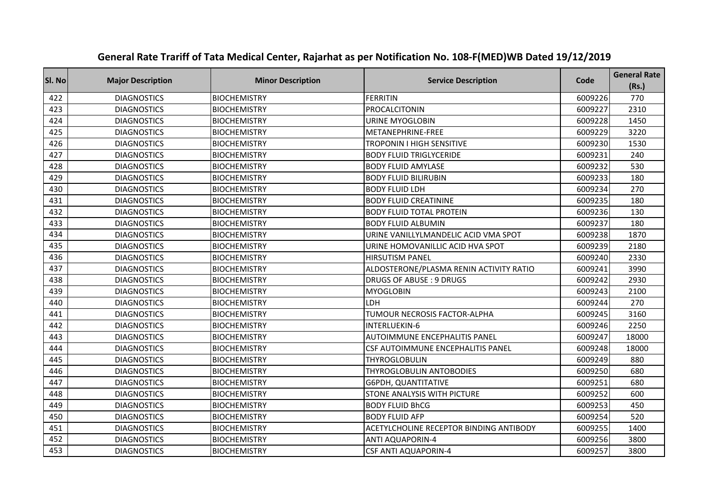| Sl. No | <b>Major Description</b> | <b>Minor Description</b> | <b>Service Description</b>              | Code    | <b>General Rate</b><br>(Rs.) |
|--------|--------------------------|--------------------------|-----------------------------------------|---------|------------------------------|
| 422    | <b>DIAGNOSTICS</b>       | <b>BIOCHEMISTRY</b>      | <b>FERRITIN</b>                         | 6009226 | 770                          |
| 423    | <b>DIAGNOSTICS</b>       | <b>BIOCHEMISTRY</b>      | PROCALCITONIN                           | 6009227 | 2310                         |
| 424    | <b>DIAGNOSTICS</b>       | <b>BIOCHEMISTRY</b>      | <b>URINE MYOGLOBIN</b>                  | 6009228 | 1450                         |
| 425    | <b>DIAGNOSTICS</b>       | <b>BIOCHEMISTRY</b>      | METANEPHRINE-FREE                       | 6009229 | 3220                         |
| 426    | <b>DIAGNOSTICS</b>       | <b>BIOCHEMISTRY</b>      | TROPONIN I HIGH SENSITIVE               | 6009230 | 1530                         |
| 427    | <b>DIAGNOSTICS</b>       | <b>BIOCHEMISTRY</b>      | <b>BODY FLUID TRIGLYCERIDE</b>          | 6009231 | 240                          |
| 428    | <b>DIAGNOSTICS</b>       | <b>BIOCHEMISTRY</b>      | <b>BODY FLUID AMYLASE</b>               | 6009232 | 530                          |
| 429    | <b>DIAGNOSTICS</b>       | <b>BIOCHEMISTRY</b>      | <b>BODY FLUID BILIRUBIN</b>             | 6009233 | 180                          |
| 430    | <b>DIAGNOSTICS</b>       | <b>BIOCHEMISTRY</b>      | <b>BODY FLUID LDH</b>                   | 6009234 | 270                          |
| 431    | <b>DIAGNOSTICS</b>       | <b>BIOCHEMISTRY</b>      | <b>BODY FLUID CREATININE</b>            | 6009235 | 180                          |
| 432    | <b>DIAGNOSTICS</b>       | <b>BIOCHEMISTRY</b>      | <b>BODY FLUID TOTAL PROTEIN</b>         | 6009236 | 130                          |
| 433    | <b>DIAGNOSTICS</b>       | <b>BIOCHEMISTRY</b>      | <b>BODY FLUID ALBUMIN</b>               | 6009237 | 180                          |
| 434    | <b>DIAGNOSTICS</b>       | <b>BIOCHEMISTRY</b>      | URINE VANILLYLMANDELIC ACID VMA SPOT    | 6009238 | 1870                         |
| 435    | <b>DIAGNOSTICS</b>       | <b>BIOCHEMISTRY</b>      | URINE HOMOVANILLIC ACID HVA SPOT        | 6009239 | 2180                         |
| 436    | <b>DIAGNOSTICS</b>       | <b>BIOCHEMISTRY</b>      | <b>HIRSUTISM PANEL</b>                  | 6009240 | 2330                         |
| 437    | <b>DIAGNOSTICS</b>       | <b>BIOCHEMISTRY</b>      | ALDOSTERONE/PLASMA RENIN ACTIVITY RATIO | 6009241 | 3990                         |
| 438    | <b>DIAGNOSTICS</b>       | <b>BIOCHEMISTRY</b>      | <b>DRUGS OF ABUSE: 9 DRUGS</b>          | 6009242 | 2930                         |
| 439    | <b>DIAGNOSTICS</b>       | <b>BIOCHEMISTRY</b>      | <b>MYOGLOBIN</b>                        | 6009243 | 2100                         |
| 440    | <b>DIAGNOSTICS</b>       | <b>BIOCHEMISTRY</b>      | LDH                                     | 6009244 | 270                          |
| 441    | <b>DIAGNOSTICS</b>       | <b>BIOCHEMISTRY</b>      | TUMOUR NECROSIS FACTOR-ALPHA            | 6009245 | 3160                         |
| 442    | <b>DIAGNOSTICS</b>       | <b>BIOCHEMISTRY</b>      | INTERLUEKIN-6                           | 6009246 | 2250                         |
| 443    | <b>DIAGNOSTICS</b>       | <b>BIOCHEMISTRY</b>      | <b>AUTOIMMUNE ENCEPHALITIS PANEL</b>    | 6009247 | 18000                        |
| 444    | <b>DIAGNOSTICS</b>       | <b>BIOCHEMISTRY</b>      | CSF AUTOIMMUNE ENCEPHALITIS PANEL       | 6009248 | 18000                        |
| 445    | <b>DIAGNOSTICS</b>       | <b>BIOCHEMISTRY</b>      | THYROGLOBULIN                           | 6009249 | 880                          |
| 446    | <b>DIAGNOSTICS</b>       | <b>BIOCHEMISTRY</b>      | THYROGLOBULIN ANTOBODIES                | 6009250 | 680                          |
| 447    | <b>DIAGNOSTICS</b>       | <b>BIOCHEMISTRY</b>      | G6PDH, QUANTITATIVE                     | 6009251 | 680                          |
| 448    | <b>DIAGNOSTICS</b>       | <b>BIOCHEMISTRY</b>      | STONE ANALYSIS WITH PICTURE             | 6009252 | 600                          |
| 449    | <b>DIAGNOSTICS</b>       | <b>BIOCHEMISTRY</b>      | <b>BODY FLUID BhCG</b>                  | 6009253 | 450                          |
| 450    | <b>DIAGNOSTICS</b>       | <b>BIOCHEMISTRY</b>      | <b>BODY FLUID AFP</b>                   | 6009254 | 520                          |
| 451    | <b>DIAGNOSTICS</b>       | <b>BIOCHEMISTRY</b>      | ACETYLCHOLINE RECEPTOR BINDING ANTIBODY | 6009255 | 1400                         |
| 452    | <b>DIAGNOSTICS</b>       | <b>BIOCHEMISTRY</b>      | <b>ANTI AQUAPORIN-4</b>                 | 6009256 | 3800                         |
| 453    | <b>DIAGNOSTICS</b>       | <b>BIOCHEMISTRY</b>      | <b>CSF ANTI AQUAPORIN-4</b>             | 6009257 | 3800                         |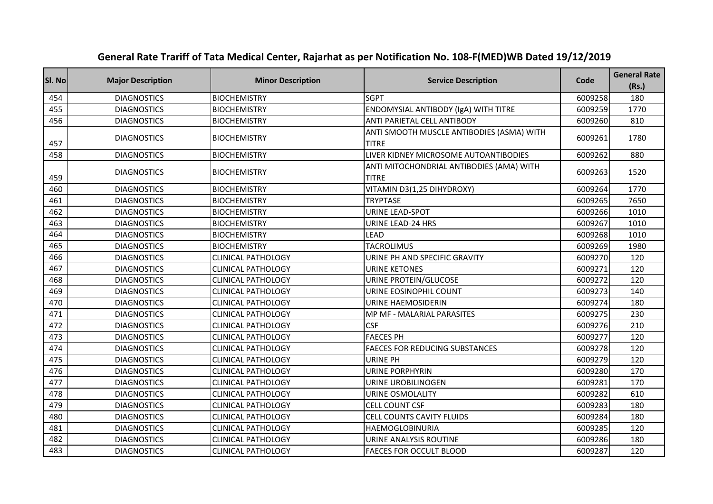| SI. No | <b>Major Description</b> | <b>Minor Description</b>  | <b>Service Description</b>                                | Code    | <b>General Rate</b><br>(Rs.) |
|--------|--------------------------|---------------------------|-----------------------------------------------------------|---------|------------------------------|
| 454    | <b>DIAGNOSTICS</b>       | <b>BIOCHEMISTRY</b>       | <b>SGPT</b>                                               | 6009258 | 180                          |
| 455    | <b>DIAGNOSTICS</b>       | <b>BIOCHEMISTRY</b>       | ENDOMYSIAL ANTIBODY (IgA) WITH TITRE                      | 6009259 | 1770                         |
| 456    | <b>DIAGNOSTICS</b>       | <b>BIOCHEMISTRY</b>       | ANTI PARIETAL CELL ANTIBODY                               | 6009260 | 810                          |
| 457    | <b>DIAGNOSTICS</b>       | <b>BIOCHEMISTRY</b>       | ANTI SMOOTH MUSCLE ANTIBODIES (ASMA) WITH<br><b>TITRE</b> | 6009261 | 1780                         |
| 458    | <b>DIAGNOSTICS</b>       | <b>BIOCHEMISTRY</b>       | LIVER KIDNEY MICROSOME AUTOANTIBODIES                     | 6009262 | 880                          |
| 459    | <b>DIAGNOSTICS</b>       | <b>BIOCHEMISTRY</b>       | ANTI MITOCHONDRIAL ANTIBODIES (AMA) WITH<br><b>TITRE</b>  | 6009263 | 1520                         |
| 460    | <b>DIAGNOSTICS</b>       | <b>BIOCHEMISTRY</b>       | VITAMIN D3(1,25 DIHYDROXY)                                | 6009264 | 1770                         |
| 461    | <b>DIAGNOSTICS</b>       | <b>BIOCHEMISTRY</b>       | <b>TRYPTASE</b>                                           | 6009265 | 7650                         |
| 462    | <b>DIAGNOSTICS</b>       | <b>BIOCHEMISTRY</b>       | <b>URINE LEAD-SPOT</b>                                    | 6009266 | 1010                         |
| 463    | <b>DIAGNOSTICS</b>       | <b>BIOCHEMISTRY</b>       | <b>URINE LEAD-24 HRS</b>                                  | 6009267 | 1010                         |
| 464    | <b>DIAGNOSTICS</b>       | <b>BIOCHEMISTRY</b>       | <b>LEAD</b>                                               | 6009268 | 1010                         |
| 465    | <b>DIAGNOSTICS</b>       | <b>BIOCHEMISTRY</b>       | <b>TACROLIMUS</b>                                         | 6009269 | 1980                         |
| 466    | <b>DIAGNOSTICS</b>       | <b>CLINICAL PATHOLOGY</b> | URINE PH AND SPECIFIC GRAVITY                             | 6009270 | 120                          |
| 467    | <b>DIAGNOSTICS</b>       | <b>CLINICAL PATHOLOGY</b> | <b>URINE KETONES</b>                                      | 6009271 | 120                          |
| 468    | <b>DIAGNOSTICS</b>       | <b>CLINICAL PATHOLOGY</b> | URINE PROTEIN/GLUCOSE                                     | 6009272 | 120                          |
| 469    | <b>DIAGNOSTICS</b>       | <b>CLINICAL PATHOLOGY</b> | URINE EOSINOPHIL COUNT                                    | 6009273 | 140                          |
| 470    | <b>DIAGNOSTICS</b>       | <b>CLINICAL PATHOLOGY</b> | URINE HAEMOSIDERIN                                        | 6009274 | 180                          |
| 471    | <b>DIAGNOSTICS</b>       | <b>CLINICAL PATHOLOGY</b> | MP MF - MALARIAL PARASITES                                | 6009275 | 230                          |
| 472    | <b>DIAGNOSTICS</b>       | <b>CLINICAL PATHOLOGY</b> | <b>CSF</b>                                                | 6009276 | 210                          |
| 473    | <b>DIAGNOSTICS</b>       | <b>CLINICAL PATHOLOGY</b> | <b>FAECES PH</b>                                          | 6009277 | 120                          |
| 474    | <b>DIAGNOSTICS</b>       | <b>CLINICAL PATHOLOGY</b> | <b>FAECES FOR REDUCING SUBSTANCES</b>                     | 6009278 | 120                          |
| 475    | <b>DIAGNOSTICS</b>       | <b>CLINICAL PATHOLOGY</b> | <b>URINE PH</b>                                           | 6009279 | 120                          |
| 476    | <b>DIAGNOSTICS</b>       | <b>CLINICAL PATHOLOGY</b> | <b>URINE PORPHYRIN</b>                                    | 6009280 | 170                          |
| 477    | <b>DIAGNOSTICS</b>       | <b>CLINICAL PATHOLOGY</b> | URINE UROBILINOGEN                                        | 6009281 | 170                          |
| 478    | <b>DIAGNOSTICS</b>       | <b>CLINICAL PATHOLOGY</b> | <b>URINE OSMOLALITY</b>                                   | 6009282 | 610                          |
| 479    | <b>DIAGNOSTICS</b>       | <b>CLINICAL PATHOLOGY</b> | <b>CELL COUNT CSF</b>                                     | 6009283 | 180                          |
| 480    | <b>DIAGNOSTICS</b>       | <b>CLINICAL PATHOLOGY</b> | CELL COUNTS CAVITY FLUIDS                                 | 6009284 | 180                          |
| 481    | <b>DIAGNOSTICS</b>       | <b>CLINICAL PATHOLOGY</b> | <b>HAEMOGLOBINURIA</b>                                    | 6009285 | 120                          |
| 482    | <b>DIAGNOSTICS</b>       | <b>CLINICAL PATHOLOGY</b> | URINE ANALYSIS ROUTINE                                    | 6009286 | 180                          |
| 483    | <b>DIAGNOSTICS</b>       | <b>CLINICAL PATHOLOGY</b> | <b>FAECES FOR OCCULT BLOOD</b>                            | 6009287 | 120                          |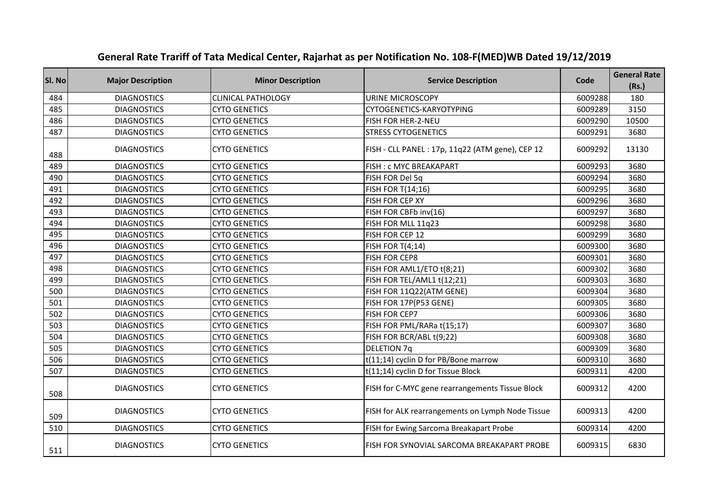| SI. No | <b>Major Description</b> | <b>Minor Description</b>  | <b>Service Description</b>                       | Code    | <b>General Rate</b><br>(Rs.) |
|--------|--------------------------|---------------------------|--------------------------------------------------|---------|------------------------------|
| 484    | <b>DIAGNOSTICS</b>       | <b>CLINICAL PATHOLOGY</b> | <b>URINE MICROSCOPY</b>                          | 6009288 | 180                          |
| 485    | <b>DIAGNOSTICS</b>       | <b>CYTO GENETICS</b>      | CYTOGENETICS-KARYOTYPING                         | 6009289 | 3150                         |
| 486    | <b>DIAGNOSTICS</b>       | <b>CYTO GENETICS</b>      | FISH FOR HER-2-NEU                               | 6009290 | 10500                        |
| 487    | <b>DIAGNOSTICS</b>       | <b>CYTO GENETICS</b>      | <b>STRESS CYTOGENETICS</b>                       | 6009291 | 3680                         |
| 488    | <b>DIAGNOSTICS</b>       | <b>CYTO GENETICS</b>      | FISH - CLL PANEL : 17p, 11q22 (ATM gene), CEP 12 | 6009292 | 13130                        |
| 489    | <b>DIAGNOSTICS</b>       | <b>CYTO GENETICS</b>      | FISH: c MYC BREAKAPART                           | 6009293 | 3680                         |
| 490    | <b>DIAGNOSTICS</b>       | <b>CYTO GENETICS</b>      | FISH FOR Del 5q                                  | 6009294 | 3680                         |
| 491    | <b>DIAGNOSTICS</b>       | <b>CYTO GENETICS</b>      | FISH FOR T(14;16)                                | 6009295 | 3680                         |
| 492    | <b>DIAGNOSTICS</b>       | <b>CYTO GENETICS</b>      | FISH FOR CEP XY                                  | 6009296 | 3680                         |
| 493    | <b>DIAGNOSTICS</b>       | <b>CYTO GENETICS</b>      | FISH FOR CBFb inv(16)                            | 6009297 | 3680                         |
| 494    | <b>DIAGNOSTICS</b>       | <b>CYTO GENETICS</b>      | FISH FOR MLL 11q23                               | 6009298 | 3680                         |
| 495    | <b>DIAGNOSTICS</b>       | <b>CYTO GENETICS</b>      | FISH FOR CEP 12                                  | 6009299 | 3680                         |
| 496    | <b>DIAGNOSTICS</b>       | <b>CYTO GENETICS</b>      | <b>FISH FOR T(4;14)</b>                          | 6009300 | 3680                         |
| 497    | <b>DIAGNOSTICS</b>       | <b>CYTO GENETICS</b>      | <b>FISH FOR CEP8</b>                             | 6009301 | 3680                         |
| 498    | <b>DIAGNOSTICS</b>       | <b>CYTO GENETICS</b>      | FISH FOR AML1/ETO t(8;21)                        | 6009302 | 3680                         |
| 499    | <b>DIAGNOSTICS</b>       | <b>CYTO GENETICS</b>      | FISH FOR TEL/AML1 t(12;21)                       | 6009303 | 3680                         |
| 500    | <b>DIAGNOSTICS</b>       | <b>CYTO GENETICS</b>      | FISH FOR 11Q22(ATM GENE)                         | 6009304 | 3680                         |
| 501    | <b>DIAGNOSTICS</b>       | <b>CYTO GENETICS</b>      | FISH FOR 17P(P53 GENE)                           | 6009305 | 3680                         |
| 502    | <b>DIAGNOSTICS</b>       | <b>CYTO GENETICS</b>      | FISH FOR CEP7                                    | 6009306 | 3680                         |
| 503    | <b>DIAGNOSTICS</b>       | <b>CYTO GENETICS</b>      | FISH FOR PML/RARa t(15;17)                       | 6009307 | 3680                         |
| 504    | <b>DIAGNOSTICS</b>       | <b>CYTO GENETICS</b>      | FISH FOR BCR/ABL t(9;22)                         | 6009308 | 3680                         |
| 505    | <b>DIAGNOSTICS</b>       | <b>CYTO GENETICS</b>      | <b>DELETION 7q</b>                               | 6009309 | 3680                         |
| 506    | <b>DIAGNOSTICS</b>       | <b>CYTO GENETICS</b>      | t(11;14) cyclin D for PB/Bone marrow             | 6009310 | 3680                         |
| 507    | <b>DIAGNOSTICS</b>       | <b>CYTO GENETICS</b>      | t(11;14) cyclin D for Tissue Block               | 6009311 | 4200                         |
| 508    | <b>DIAGNOSTICS</b>       | <b>CYTO GENETICS</b>      | FISH for C-MYC gene rearrangements Tissue Block  | 6009312 | 4200                         |
| 509    | <b>DIAGNOSTICS</b>       | <b>CYTO GENETICS</b>      | FISH for ALK rearrangements on Lymph Node Tissue | 6009313 | 4200                         |
| 510    | <b>DIAGNOSTICS</b>       | <b>CYTO GENETICS</b>      | FISH for Ewing Sarcoma Breakapart Probe          | 6009314 | 4200                         |
| 511    | <b>DIAGNOSTICS</b>       | <b>CYTO GENETICS</b>      | FISH FOR SYNOVIAL SARCOMA BREAKAPART PROBE       | 6009315 | 6830                         |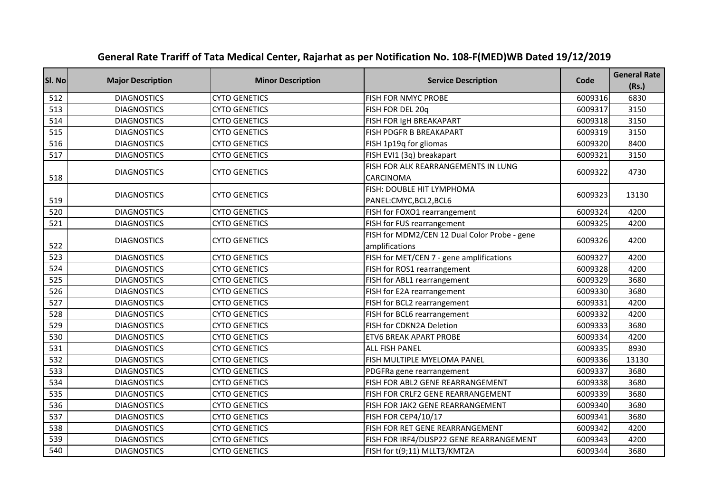| Sl. No | <b>Major Description</b> | <b>Minor Description</b> | <b>Service Description</b>                                     | Code    | <b>General Rate</b><br>(Rs.) |
|--------|--------------------------|--------------------------|----------------------------------------------------------------|---------|------------------------------|
| 512    | <b>DIAGNOSTICS</b>       | <b>CYTO GENETICS</b>     | FISH FOR NMYC PROBE                                            | 6009316 | 6830                         |
| 513    | <b>DIAGNOSTICS</b>       | <b>CYTO GENETICS</b>     | FISH FOR DEL 20q                                               | 6009317 | 3150                         |
| 514    | <b>DIAGNOSTICS</b>       | <b>CYTO GENETICS</b>     | FISH FOR IgH BREAKAPART                                        | 6009318 | 3150                         |
| 515    | <b>DIAGNOSTICS</b>       | <b>CYTO GENETICS</b>     | FISH PDGFR B BREAKAPART                                        | 6009319 | 3150                         |
| 516    | <b>DIAGNOSTICS</b>       | <b>CYTO GENETICS</b>     | FISH 1p19q for gliomas                                         | 6009320 | 8400                         |
| 517    | <b>DIAGNOSTICS</b>       | <b>CYTO GENETICS</b>     | FISH EVI1 (3q) breakapart                                      | 6009321 | 3150                         |
| 518    | <b>DIAGNOSTICS</b>       | <b>CYTO GENETICS</b>     | FISH FOR ALK REARRANGEMENTS IN LUNG<br>CARCINOMA               | 6009322 | 4730                         |
| 519    | <b>DIAGNOSTICS</b>       | <b>CYTO GENETICS</b>     | FISH: DOUBLE HIT LYMPHOMA<br>PANEL:CMYC,BCL2,BCL6              | 6009323 | 13130                        |
| 520    | <b>DIAGNOSTICS</b>       | <b>CYTO GENETICS</b>     | FISH for FOXO1 rearrangement                                   | 6009324 | 4200                         |
| 521    | <b>DIAGNOSTICS</b>       | <b>CYTO GENETICS</b>     | FISH for FUS rearrangement                                     | 6009325 | 4200                         |
| 522    | <b>DIAGNOSTICS</b>       | <b>CYTO GENETICS</b>     | FISH for MDM2/CEN 12 Dual Color Probe - gene<br>amplifications | 6009326 | 4200                         |
| 523    | <b>DIAGNOSTICS</b>       | <b>CYTO GENETICS</b>     | FISH for MET/CEN 7 - gene amplifications                       | 6009327 | 4200                         |
| 524    | <b>DIAGNOSTICS</b>       | <b>CYTO GENETICS</b>     | FISH for ROS1 rearrangement                                    | 6009328 | 4200                         |
| 525    | <b>DIAGNOSTICS</b>       | <b>CYTO GENETICS</b>     | FISH for ABL1 rearrangement                                    | 6009329 | 3680                         |
| 526    | <b>DIAGNOSTICS</b>       | <b>CYTO GENETICS</b>     | FISH for E2A rearrangement                                     | 6009330 | 3680                         |
| 527    | <b>DIAGNOSTICS</b>       | <b>CYTO GENETICS</b>     | FISH for BCL2 rearrangement                                    | 6009331 | 4200                         |
| 528    | <b>DIAGNOSTICS</b>       | <b>CYTO GENETICS</b>     | FISH for BCL6 rearrangement                                    | 6009332 | 4200                         |
| 529    | <b>DIAGNOSTICS</b>       | <b>CYTO GENETICS</b>     | FISH for CDKN2A Deletion                                       | 6009333 | 3680                         |
| 530    | <b>DIAGNOSTICS</b>       | <b>CYTO GENETICS</b>     | <b>ETV6 BREAK APART PROBE</b>                                  | 6009334 | 4200                         |
| 531    | <b>DIAGNOSTICS</b>       | <b>CYTO GENETICS</b>     | <b>ALL FISH PANEL</b>                                          | 6009335 | 8930                         |
| 532    | <b>DIAGNOSTICS</b>       | <b>CYTO GENETICS</b>     | FISH MULTIPLE MYELOMA PANEL                                    | 6009336 | 13130                        |
| 533    | <b>DIAGNOSTICS</b>       | <b>CYTO GENETICS</b>     | PDGFRa gene rearrangement                                      | 6009337 | 3680                         |
| 534    | <b>DIAGNOSTICS</b>       | <b>CYTO GENETICS</b>     | FISH FOR ABL2 GENE REARRANGEMENT                               | 6009338 | 3680                         |
| 535    | <b>DIAGNOSTICS</b>       | <b>CYTO GENETICS</b>     | FISH FOR CRLF2 GENE REARRANGEMENT                              | 6009339 | 3680                         |
| 536    | <b>DIAGNOSTICS</b>       | <b>CYTO GENETICS</b>     | FISH FOR JAK2 GENE REARRANGEMENT                               | 6009340 | 3680                         |
| 537    | <b>DIAGNOSTICS</b>       | <b>CYTO GENETICS</b>     | FISH FOR CEP4/10/17                                            | 6009341 | 3680                         |
| 538    | <b>DIAGNOSTICS</b>       | <b>CYTO GENETICS</b>     | FISH FOR RET GENE REARRANGEMENT                                | 6009342 | 4200                         |
| 539    | <b>DIAGNOSTICS</b>       | <b>CYTO GENETICS</b>     | FISH FOR IRF4/DUSP22 GENE REARRANGEMENT                        | 6009343 | 4200                         |
| 540    | <b>DIAGNOSTICS</b>       | <b>CYTO GENETICS</b>     | FISH for t(9;11) MLLT3/KMT2A                                   | 6009344 | 3680                         |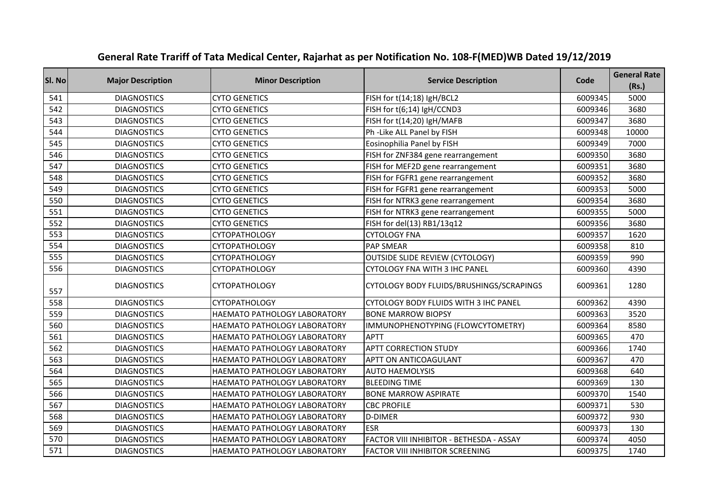| Sl. No | <b>Major Description</b> | <b>Minor Description</b>            | <b>Service Description</b>               | Code    | <b>General Rate</b><br>(Rs.) |
|--------|--------------------------|-------------------------------------|------------------------------------------|---------|------------------------------|
| 541    | <b>DIAGNOSTICS</b>       | <b>CYTO GENETICS</b>                | FISH for t(14;18) IgH/BCL2               | 6009345 | 5000                         |
| 542    | <b>DIAGNOSTICS</b>       | <b>CYTO GENETICS</b>                | FISH for t(6;14) IgH/CCND3               | 6009346 | 3680                         |
| 543    | <b>DIAGNOSTICS</b>       | <b>CYTO GENETICS</b>                | FISH for t(14;20) IgH/MAFB               | 6009347 | 3680                         |
| 544    | <b>DIAGNOSTICS</b>       | <b>CYTO GENETICS</b>                | Ph -Like ALL Panel by FISH               | 6009348 | 10000                        |
| 545    | <b>DIAGNOSTICS</b>       | <b>CYTO GENETICS</b>                | Eosinophilia Panel by FISH               | 6009349 | 7000                         |
| 546    | <b>DIAGNOSTICS</b>       | <b>CYTO GENETICS</b>                | FISH for ZNF384 gene rearrangement       | 6009350 | 3680                         |
| 547    | <b>DIAGNOSTICS</b>       | <b>CYTO GENETICS</b>                | FISH for MEF2D gene rearrangement        | 6009351 | 3680                         |
| 548    | <b>DIAGNOSTICS</b>       | <b>CYTO GENETICS</b>                | FISH for FGFR1 gene rearrangement        | 6009352 | 3680                         |
| 549    | <b>DIAGNOSTICS</b>       | <b>CYTO GENETICS</b>                | FISH for FGFR1 gene rearrangement        | 6009353 | 5000                         |
| 550    | <b>DIAGNOSTICS</b>       | <b>CYTO GENETICS</b>                | FISH for NTRK3 gene rearrangement        | 6009354 | 3680                         |
| 551    | <b>DIAGNOSTICS</b>       | <b>CYTO GENETICS</b>                | FISH for NTRK3 gene rearrangement        | 6009355 | 5000                         |
| 552    | <b>DIAGNOSTICS</b>       | <b>CYTO GENETICS</b>                | FISH for del(13) RB1/13q12               | 6009356 | 3680                         |
| 553    | <b>DIAGNOSTICS</b>       | <b>CYTOPATHOLOGY</b>                | <b>CYTOLOGY FNA</b>                      | 6009357 | 1620                         |
| 554    | <b>DIAGNOSTICS</b>       | <b>CYTOPATHOLOGY</b>                | <b>PAP SMEAR</b>                         | 6009358 | 810                          |
| 555    | <b>DIAGNOSTICS</b>       | <b>CYTOPATHOLOGY</b>                | <b>OUTSIDE SLIDE REVIEW (CYTOLOGY)</b>   | 6009359 | 990                          |
| 556    | <b>DIAGNOSTICS</b>       | <b>CYTOPATHOLOGY</b>                | CYTOLOGY FNA WITH 3 IHC PANEL            | 6009360 | 4390                         |
| 557    | <b>DIAGNOSTICS</b>       | <b>CYTOPATHOLOGY</b>                | CYTOLOGY BODY FLUIDS/BRUSHINGS/SCRAPINGS | 6009361 | 1280                         |
| 558    | <b>DIAGNOSTICS</b>       | <b>CYTOPATHOLOGY</b>                | CYTOLOGY BODY FLUIDS WITH 3 IHC PANEL    | 6009362 | 4390                         |
| 559    | <b>DIAGNOSTICS</b>       | HAEMATO PATHOLOGY LABORATORY        | <b>BONE MARROW BIOPSY</b>                | 6009363 | 3520                         |
| 560    | <b>DIAGNOSTICS</b>       | HAEMATO PATHOLOGY LABORATORY        | IMMUNOPHENOTYPING (FLOWCYTOMETRY)        | 6009364 | 8580                         |
| 561    | <b>DIAGNOSTICS</b>       | HAEMATO PATHOLOGY LABORATORY        | <b>APTT</b>                              | 6009365 | 470                          |
| 562    | <b>DIAGNOSTICS</b>       | HAEMATO PATHOLOGY LABORATORY        | <b>APTT CORRECTION STUDY</b>             | 6009366 | 1740                         |
| 563    | <b>DIAGNOSTICS</b>       | HAEMATO PATHOLOGY LABORATORY        | APTT ON ANTICOAGULANT                    | 6009367 | 470                          |
| 564    | <b>DIAGNOSTICS</b>       | HAEMATO PATHOLOGY LABORATORY        | <b>AUTO HAEMOLYSIS</b>                   | 6009368 | 640                          |
| 565    | <b>DIAGNOSTICS</b>       | HAEMATO PATHOLOGY LABORATORY        | <b>BLEEDING TIME</b>                     | 6009369 | 130                          |
| 566    | <b>DIAGNOSTICS</b>       | HAEMATO PATHOLOGY LABORATORY        | <b>BONE MARROW ASPIRATE</b>              | 6009370 | 1540                         |
| 567    | <b>DIAGNOSTICS</b>       | HAEMATO PATHOLOGY LABORATORY        | <b>CBC PROFILE</b>                       | 6009371 | 530                          |
| 568    | <b>DIAGNOSTICS</b>       | HAEMATO PATHOLOGY LABORATORY        | <b>D-DIMER</b>                           | 6009372 | 930                          |
| 569    | <b>DIAGNOSTICS</b>       | <b>HAEMATO PATHOLOGY LABORATORY</b> | <b>ESR</b>                               | 6009373 | 130                          |
| 570    | <b>DIAGNOSTICS</b>       | HAEMATO PATHOLOGY LABORATORY        | FACTOR VIII INHIBITOR - BETHESDA - ASSAY | 6009374 | 4050                         |
| 571    | <b>DIAGNOSTICS</b>       | <b>HAEMATO PATHOLOGY LABORATORY</b> | <b>FACTOR VIII INHIBITOR SCREENING</b>   | 6009375 | 1740                         |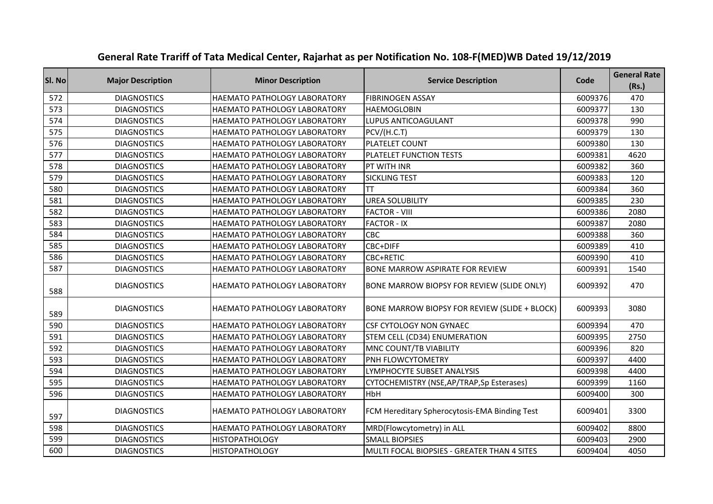| SI. No | <b>Major Description</b> | <b>Minor Description</b>            | <b>Service Description</b>                    | Code    | <b>General Rate</b><br>(Rs.) |
|--------|--------------------------|-------------------------------------|-----------------------------------------------|---------|------------------------------|
| 572    | <b>DIAGNOSTICS</b>       | <b>HAEMATO PATHOLOGY LABORATORY</b> | <b>FIBRINOGEN ASSAY</b>                       | 6009376 | 470                          |
| 573    | <b>DIAGNOSTICS</b>       | <b>HAEMATO PATHOLOGY LABORATORY</b> | <b>HAEMOGLOBIN</b>                            | 6009377 | 130                          |
| 574    | <b>DIAGNOSTICS</b>       | HAEMATO PATHOLOGY LABORATORY        | <b>LUPUS ANTICOAGULANT</b>                    | 6009378 | 990                          |
| 575    | <b>DIAGNOSTICS</b>       | HAEMATO PATHOLOGY LABORATORY        | PCV/(H.C.T)                                   | 6009379 | 130                          |
| 576    | <b>DIAGNOSTICS</b>       | HAEMATO PATHOLOGY LABORATORY        | PLATELET COUNT                                | 6009380 | 130                          |
| 577    | <b>DIAGNOSTICS</b>       | HAEMATO PATHOLOGY LABORATORY        | PLATELET FUNCTION TESTS                       | 6009381 | 4620                         |
| 578    | <b>DIAGNOSTICS</b>       | HAEMATO PATHOLOGY LABORATORY        | PT WITH INR                                   | 6009382 | 360                          |
| 579    | <b>DIAGNOSTICS</b>       | <b>HAEMATO PATHOLOGY LABORATORY</b> | <b>SICKLING TEST</b>                          | 6009383 | 120                          |
| 580    | <b>DIAGNOSTICS</b>       | HAEMATO PATHOLOGY LABORATORY        | <b>TT</b>                                     | 6009384 | 360                          |
| 581    | <b>DIAGNOSTICS</b>       | HAEMATO PATHOLOGY LABORATORY        | <b>UREA SOLUBILITY</b>                        | 6009385 | 230                          |
| 582    | <b>DIAGNOSTICS</b>       | HAEMATO PATHOLOGY LABORATORY        | <b>FACTOR - VIII</b>                          | 6009386 | 2080                         |
| 583    | <b>DIAGNOSTICS</b>       | HAEMATO PATHOLOGY LABORATORY        | <b>FACTOR - IX</b>                            | 6009387 | 2080                         |
| 584    | <b>DIAGNOSTICS</b>       | HAEMATO PATHOLOGY LABORATORY        | CBC                                           | 6009388 | 360                          |
| 585    | <b>DIAGNOSTICS</b>       | HAEMATO PATHOLOGY LABORATORY        | CBC+DIFF                                      | 6009389 | 410                          |
| 586    | <b>DIAGNOSTICS</b>       | HAEMATO PATHOLOGY LABORATORY        | CBC+RETIC                                     | 6009390 | 410                          |
| 587    | <b>DIAGNOSTICS</b>       | HAEMATO PATHOLOGY LABORATORY        | BONE MARROW ASPIRATE FOR REVIEW               | 6009391 | 1540                         |
| 588    | <b>DIAGNOSTICS</b>       | HAEMATO PATHOLOGY LABORATORY        | BONE MARROW BIOPSY FOR REVIEW (SLIDE ONLY)    | 6009392 | 470                          |
| 589    | <b>DIAGNOSTICS</b>       | <b>HAEMATO PATHOLOGY LABORATORY</b> | BONE MARROW BIOPSY FOR REVIEW (SLIDE + BLOCK) | 6009393 | 3080                         |
| 590    | <b>DIAGNOSTICS</b>       | HAEMATO PATHOLOGY LABORATORY        | <b>CSF CYTOLOGY NON GYNAEC</b>                | 6009394 | 470                          |
| 591    | <b>DIAGNOSTICS</b>       | HAEMATO PATHOLOGY LABORATORY        | STEM CELL (CD34) ENUMERATION                  | 6009395 | 2750                         |
| 592    | <b>DIAGNOSTICS</b>       | HAEMATO PATHOLOGY LABORATORY        | MNC COUNT/TB VIABILITY                        | 6009396 | 820                          |
| 593    | <b>DIAGNOSTICS</b>       | HAEMATO PATHOLOGY LABORATORY        | PNH FLOWCYTOMETRY                             | 6009397 | 4400                         |
| 594    | <b>DIAGNOSTICS</b>       | HAEMATO PATHOLOGY LABORATORY        | LYMPHOCYTE SUBSET ANALYSIS                    | 6009398 | 4400                         |
| 595    | <b>DIAGNOSTICS</b>       | HAEMATO PATHOLOGY LABORATORY        | CYTOCHEMISTRY (NSE, AP/TRAP, Sp Esterases)    | 6009399 | 1160                         |
| 596    | <b>DIAGNOSTICS</b>       | HAEMATO PATHOLOGY LABORATORY        | HbH                                           | 6009400 | 300                          |
| 597    | <b>DIAGNOSTICS</b>       | HAEMATO PATHOLOGY LABORATORY        | FCM Hereditary Spherocytosis-EMA Binding Test | 6009401 | 3300                         |
| 598    | <b>DIAGNOSTICS</b>       | HAEMATO PATHOLOGY LABORATORY        | MRD(Flowcytometry) in ALL                     | 6009402 | 8800                         |
| 599    | <b>DIAGNOSTICS</b>       | <b>HISTOPATHOLOGY</b>               | <b>SMALL BIOPSIES</b>                         | 6009403 | 2900                         |
| 600    | <b>DIAGNOSTICS</b>       | <b>HISTOPATHOLOGY</b>               | MULTI FOCAL BIOPSIES - GREATER THAN 4 SITES   | 6009404 | 4050                         |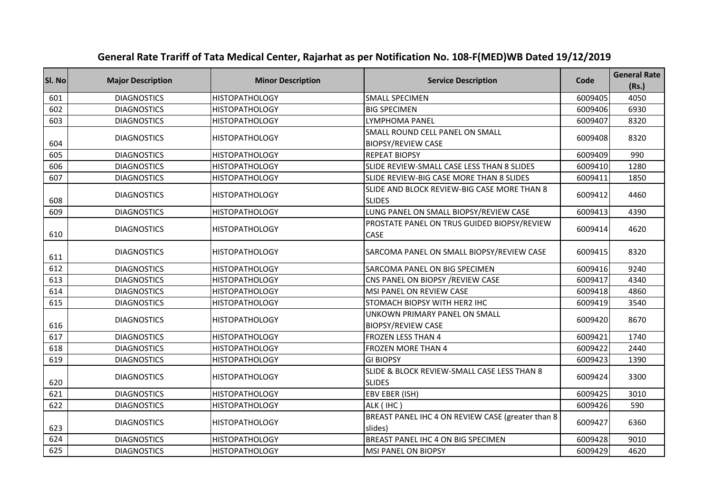| SI. No | <b>Major Description</b> | <b>Minor Description</b> | <b>Service Description</b>                                   | Code    | <b>General Rate</b><br>(Rs.) |
|--------|--------------------------|--------------------------|--------------------------------------------------------------|---------|------------------------------|
| 601    | <b>DIAGNOSTICS</b>       | <b>HISTOPATHOLOGY</b>    | <b>SMALL SPECIMEN</b>                                        | 6009405 | 4050                         |
| 602    | <b>DIAGNOSTICS</b>       | <b>HISTOPATHOLOGY</b>    | <b>BIG SPECIMEN</b>                                          | 6009406 | 6930                         |
| 603    | <b>DIAGNOSTICS</b>       | <b>HISTOPATHOLOGY</b>    | <b>LYMPHOMA PANEL</b>                                        | 6009407 | 8320                         |
| 604    | <b>DIAGNOSTICS</b>       | <b>HISTOPATHOLOGY</b>    | SMALL ROUND CELL PANEL ON SMALL<br><b>BIOPSY/REVIEW CASE</b> | 6009408 | 8320                         |
| 605    | <b>DIAGNOSTICS</b>       | <b>HISTOPATHOLOGY</b>    | <b>REPEAT BIOPSY</b>                                         | 6009409 | 990                          |
| 606    | <b>DIAGNOSTICS</b>       | <b>HISTOPATHOLOGY</b>    | SLIDE REVIEW-SMALL CASE LESS THAN 8 SLIDES                   | 6009410 | 1280                         |
| 607    | <b>DIAGNOSTICS</b>       | <b>HISTOPATHOLOGY</b>    | SLIDE REVIEW-BIG CASE MORE THAN 8 SLIDES                     | 6009411 | 1850                         |
| 608    | <b>DIAGNOSTICS</b>       | <b>HISTOPATHOLOGY</b>    | SLIDE AND BLOCK REVIEW-BIG CASE MORE THAN 8<br><b>SLIDES</b> | 6009412 | 4460                         |
| 609    | <b>DIAGNOSTICS</b>       | <b>HISTOPATHOLOGY</b>    | LUNG PANEL ON SMALL BIOPSY/REVIEW CASE                       | 6009413 | 4390                         |
| 610    | <b>DIAGNOSTICS</b>       | <b>HISTOPATHOLOGY</b>    | PROSTATE PANEL ON TRUS GUIDED BIOPSY/REVIEW<br>CASE          | 6009414 | 4620                         |
| 611    | <b>DIAGNOSTICS</b>       | <b>HISTOPATHOLOGY</b>    | SARCOMA PANEL ON SMALL BIOPSY/REVIEW CASE                    | 6009415 | 8320                         |
| 612    | <b>DIAGNOSTICS</b>       | <b>HISTOPATHOLOGY</b>    | SARCOMA PANEL ON BIG SPECIMEN                                | 6009416 | 9240                         |
| 613    | <b>DIAGNOSTICS</b>       | <b>HISTOPATHOLOGY</b>    | CNS PANEL ON BIOPSY / REVIEW CASE                            | 6009417 | 4340                         |
| 614    | <b>DIAGNOSTICS</b>       | <b>HISTOPATHOLOGY</b>    | MSI PANEL ON REVIEW CASE                                     | 6009418 | 4860                         |
| 615    | <b>DIAGNOSTICS</b>       | <b>HISTOPATHOLOGY</b>    | STOMACH BIOPSY WITH HER2 IHC                                 | 6009419 | 3540                         |
| 616    | <b>DIAGNOSTICS</b>       | <b>HISTOPATHOLOGY</b>    | UNKOWN PRIMARY PANEL ON SMALL<br><b>BIOPSY/REVIEW CASE</b>   | 6009420 | 8670                         |
| 617    | <b>DIAGNOSTICS</b>       | <b>HISTOPATHOLOGY</b>    | <b>FROZEN LESS THAN 4</b>                                    | 6009421 | 1740                         |
| 618    | <b>DIAGNOSTICS</b>       | <b>HISTOPATHOLOGY</b>    | <b>FROZEN MORE THAN 4</b>                                    | 6009422 | 2440                         |
| 619    | <b>DIAGNOSTICS</b>       | <b>HISTOPATHOLOGY</b>    | <b>GI BIOPSY</b>                                             | 6009423 | 1390                         |
| 620    | <b>DIAGNOSTICS</b>       | <b>HISTOPATHOLOGY</b>    | SLIDE & BLOCK REVIEW-SMALL CASE LESS THAN 8<br><b>SLIDES</b> | 6009424 | 3300                         |
| 621    | <b>DIAGNOSTICS</b>       | <b>HISTOPATHOLOGY</b>    | EBV EBER (ISH)                                               | 6009425 | 3010                         |
| 622    | <b>DIAGNOSTICS</b>       | <b>HISTOPATHOLOGY</b>    | ALK (IHC)                                                    | 6009426 | 590                          |
| 623    | <b>DIAGNOSTICS</b>       | <b>HISTOPATHOLOGY</b>    | BREAST PANEL IHC 4 ON REVIEW CASE (greater than 8<br>slides) | 6009427 | 6360                         |
| 624    | <b>DIAGNOSTICS</b>       | <b>HISTOPATHOLOGY</b>    | BREAST PANEL IHC 4 ON BIG SPECIMEN                           | 6009428 | 9010                         |
| 625    | <b>DIAGNOSTICS</b>       | <b>HISTOPATHOLOGY</b>    | IMSI PANEL ON BIOPSY                                         | 6009429 | 4620                         |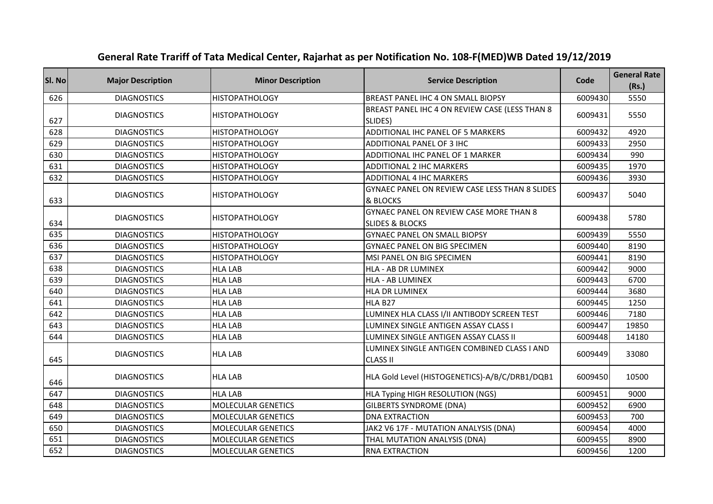| SI. No | <b>Major Description</b> | <b>Minor Description</b>  | <b>Service Description</b>                                                   | Code    | <b>General Rate</b><br>(Rs.) |
|--------|--------------------------|---------------------------|------------------------------------------------------------------------------|---------|------------------------------|
| 626    | <b>DIAGNOSTICS</b>       | <b>HISTOPATHOLOGY</b>     | BREAST PANEL IHC 4 ON SMALL BIOPSY                                           | 6009430 | 5550                         |
| 627    | <b>DIAGNOSTICS</b>       | HISTOPATHOLOGY            | BREAST PANEL IHC 4 ON REVIEW CASE (LESS THAN 8<br>SLIDES)                    | 6009431 | 5550                         |
| 628    | <b>DIAGNOSTICS</b>       | <b>HISTOPATHOLOGY</b>     | ADDITIONAL IHC PANEL OF 5 MARKERS                                            | 6009432 | 4920                         |
| 629    | <b>DIAGNOSTICS</b>       | <b>HISTOPATHOLOGY</b>     | ADDITIONAL PANEL OF 3 IHC                                                    | 6009433 | 2950                         |
| 630    | <b>DIAGNOSTICS</b>       | <b>HISTOPATHOLOGY</b>     | ADDITIONAL IHC PANEL OF 1 MARKER                                             | 6009434 | 990                          |
| 631    | <b>DIAGNOSTICS</b>       | <b>HISTOPATHOLOGY</b>     | <b>ADDITIONAL 2 IHC MARKERS</b>                                              | 6009435 | 1970                         |
| 632    | <b>DIAGNOSTICS</b>       | <b>HISTOPATHOLOGY</b>     | <b>ADDITIONAL 4 IHC MARKERS</b>                                              | 6009436 | 3930                         |
| 633    | <b>DIAGNOSTICS</b>       | <b>HISTOPATHOLOGY</b>     | GYNAEC PANEL ON REVIEW CASE LESS THAN 8 SLIDES<br>& BLOCKS                   | 6009437 | 5040                         |
| 634    | <b>DIAGNOSTICS</b>       | <b>HISTOPATHOLOGY</b>     | <b>GYNAEC PANEL ON REVIEW CASE MORE THAN 8</b><br><b>SLIDES &amp; BLOCKS</b> | 6009438 | 5780                         |
| 635    | <b>DIAGNOSTICS</b>       | <b>HISTOPATHOLOGY</b>     | <b>GYNAEC PANEL ON SMALL BIOPSY</b>                                          | 6009439 | 5550                         |
| 636    | <b>DIAGNOSTICS</b>       | <b>HISTOPATHOLOGY</b>     | <b>GYNAEC PANEL ON BIG SPECIMEN</b>                                          | 6009440 | 8190                         |
| 637    | <b>DIAGNOSTICS</b>       | <b>HISTOPATHOLOGY</b>     | MSI PANEL ON BIG SPECIMEN                                                    | 6009441 | 8190                         |
| 638    | <b>DIAGNOSTICS</b>       | <b>HLA LAB</b>            | HLA - AB DR LUMINEX                                                          | 6009442 | 9000                         |
| 639    | <b>DIAGNOSTICS</b>       | <b>HLA LAB</b>            | <b>HLA - AB LUMINEX</b>                                                      | 6009443 | 6700                         |
| 640    | <b>DIAGNOSTICS</b>       | <b>HLA LAB</b>            | HLA DR LUMINEX                                                               | 6009444 | 3680                         |
| 641    | <b>DIAGNOSTICS</b>       | <b>HLA LAB</b>            | <b>HLA B27</b>                                                               | 6009445 | 1250                         |
| 642    | <b>DIAGNOSTICS</b>       | <b>HLA LAB</b>            | LUMINEX HLA CLASS I/II ANTIBODY SCREEN TEST                                  | 6009446 | 7180                         |
| 643    | <b>DIAGNOSTICS</b>       | <b>HLA LAB</b>            | LUMINEX SINGLE ANTIGEN ASSAY CLASS I                                         | 6009447 | 19850                        |
| 644    | <b>DIAGNOSTICS</b>       | <b>HLA LAB</b>            | LUMINEX SINGLE ANTIGEN ASSAY CLASS II                                        | 6009448 | 14180                        |
| 645    | <b>DIAGNOSTICS</b>       | <b>HLA LAB</b>            | LUMINEX SINGLE ANTIGEN COMBINED CLASS I AND<br><b>CLASS II</b>               | 6009449 | 33080                        |
| 646    | <b>DIAGNOSTICS</b>       | <b>HLA LAB</b>            | HLA Gold Level (HISTOGENETICS)-A/B/C/DRB1/DQB1                               | 6009450 | 10500                        |
| 647    | <b>DIAGNOSTICS</b>       | <b>HLA LAB</b>            | HLA Typing HIGH RESOLUTION (NGS)                                             | 6009451 | 9000                         |
| 648    | <b>DIAGNOSTICS</b>       | <b>MOLECULAR GENETICS</b> | <b>GILBERTS SYNDROME (DNA)</b>                                               | 6009452 | 6900                         |
| 649    | <b>DIAGNOSTICS</b>       | <b>MOLECULAR GENETICS</b> | <b>DNA EXTRACTION</b>                                                        | 6009453 | 700                          |
| 650    | <b>DIAGNOSTICS</b>       | MOLECULAR GENETICS        | JAK2 V6 17F - MUTATION ANALYSIS (DNA)                                        | 6009454 | 4000                         |
| 651    | <b>DIAGNOSTICS</b>       | <b>MOLECULAR GENETICS</b> | THAL MUTATION ANALYSIS (DNA)                                                 | 6009455 | 8900                         |
| 652    | <b>DIAGNOSTICS</b>       | <b>MOLECULAR GENETICS</b> | <b>RNA EXTRACTION</b>                                                        | 6009456 | 1200                         |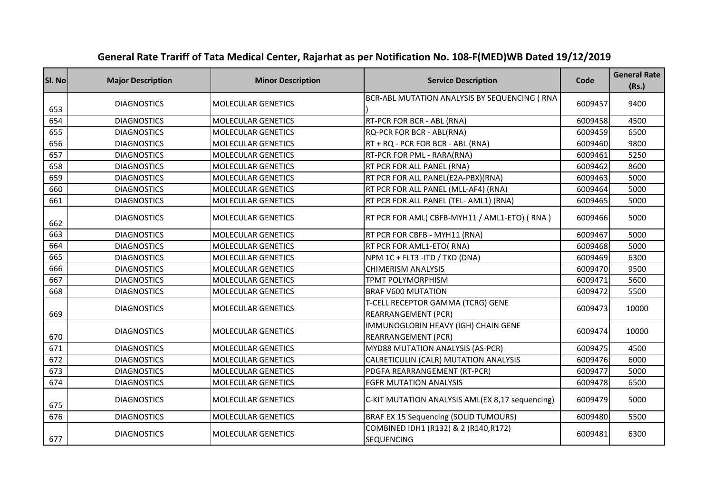| SI. No | <b>Major Description</b> | <b>Minor Description</b>  | <b>Service Description</b>                                        | Code    | <b>General Rate</b><br>(Rs.) |
|--------|--------------------------|---------------------------|-------------------------------------------------------------------|---------|------------------------------|
| 653    | <b>DIAGNOSTICS</b>       | <b>MOLECULAR GENETICS</b> | BCR-ABL MUTATION ANALYSIS BY SEQUENCING (RNA                      | 6009457 | 9400                         |
| 654    | <b>DIAGNOSTICS</b>       | <b>MOLECULAR GENETICS</b> | RT-PCR FOR BCR - ABL (RNA)                                        | 6009458 | 4500                         |
| 655    | <b>DIAGNOSTICS</b>       | <b>MOLECULAR GENETICS</b> | RQ-PCR FOR BCR - ABL(RNA)                                         | 6009459 | 6500                         |
| 656    | <b>DIAGNOSTICS</b>       | <b>MOLECULAR GENETICS</b> | RT + RQ - PCR FOR BCR - ABL (RNA)                                 | 6009460 | 9800                         |
| 657    | <b>DIAGNOSTICS</b>       | <b>MOLECULAR GENETICS</b> | RT-PCR FOR PML - RARA(RNA)                                        | 6009461 | 5250                         |
| 658    | <b>DIAGNOSTICS</b>       | <b>MOLECULAR GENETICS</b> | RT PCR FOR ALL PANEL (RNA)                                        | 6009462 | 8600                         |
| 659    | <b>DIAGNOSTICS</b>       | <b>MOLECULAR GENETICS</b> | RT PCR FOR ALL PANEL(E2A-PBX)(RNA)                                | 6009463 | 5000                         |
| 660    | <b>DIAGNOSTICS</b>       | <b>MOLECULAR GENETICS</b> | RT PCR FOR ALL PANEL (MLL-AF4) (RNA)                              | 6009464 | 5000                         |
| 661    | <b>DIAGNOSTICS</b>       | <b>MOLECULAR GENETICS</b> | RT PCR FOR ALL PANEL (TEL- AML1) (RNA)                            | 6009465 | 5000                         |
| 662    | <b>DIAGNOSTICS</b>       | <b>MOLECULAR GENETICS</b> | RT PCR FOR AML( CBFB-MYH11 / AML1-ETO) (RNA)                      | 6009466 | 5000                         |
| 663    | <b>DIAGNOSTICS</b>       | <b>MOLECULAR GENETICS</b> | RT PCR FOR CBFB - MYH11 (RNA)                                     | 6009467 | 5000                         |
| 664    | <b>DIAGNOSTICS</b>       | <b>MOLECULAR GENETICS</b> | RT PCR FOR AML1-ETO(RNA)                                          | 6009468 | 5000                         |
| 665    | <b>DIAGNOSTICS</b>       | <b>MOLECULAR GENETICS</b> | NPM 1C + FLT3 - ITD / TKD (DNA)                                   | 6009469 | 6300                         |
| 666    | <b>DIAGNOSTICS</b>       | <b>MOLECULAR GENETICS</b> | <b>CHIMERISM ANALYSIS</b>                                         | 6009470 | 9500                         |
| 667    | <b>DIAGNOSTICS</b>       | <b>MOLECULAR GENETICS</b> | TPMT POLYMORPHISM                                                 | 6009471 | 5600                         |
| 668    | <b>DIAGNOSTICS</b>       | <b>MOLECULAR GENETICS</b> | <b>BRAF V600 MUTATION</b>                                         | 6009472 | 5500                         |
| 669    | <b>DIAGNOSTICS</b>       | <b>MOLECULAR GENETICS</b> | T-CELL RECEPTOR GAMMA (TCRG) GENE<br>REARRANGEMENT (PCR)          | 6009473 | 10000                        |
| 670    | <b>DIAGNOSTICS</b>       | <b>MOLECULAR GENETICS</b> | IMMUNOGLOBIN HEAVY (IGH) CHAIN GENE<br><b>REARRANGEMENT (PCR)</b> | 6009474 | 10000                        |
| 671    | <b>DIAGNOSTICS</b>       | <b>MOLECULAR GENETICS</b> | MYD88 MUTATION ANALYSIS (AS-PCR)                                  | 6009475 | 4500                         |
| 672    | <b>DIAGNOSTICS</b>       | <b>MOLECULAR GENETICS</b> | CALRETICULIN (CALR) MUTATION ANALYSIS                             | 6009476 | 6000                         |
| 673    | <b>DIAGNOSTICS</b>       | <b>MOLECULAR GENETICS</b> | PDGFA REARRANGEMENT (RT-PCR)                                      | 6009477 | 5000                         |
| 674    | <b>DIAGNOSTICS</b>       | <b>MOLECULAR GENETICS</b> | <b>EGFR MUTATION ANALYSIS</b>                                     | 6009478 | 6500                         |
| 675    | <b>DIAGNOSTICS</b>       | <b>MOLECULAR GENETICS</b> | C-KIT MUTATION ANALYSIS AML(EX 8,17 sequencing)                   | 6009479 | 5000                         |
| 676    | <b>DIAGNOSTICS</b>       | <b>MOLECULAR GENETICS</b> | BRAF EX 15 Sequencing (SOLID TUMOURS)                             | 6009480 | 5500                         |
| 677    | <b>DIAGNOSTICS</b>       | <b>MOLECULAR GENETICS</b> | COMBINED IDH1 (R132) & 2 (R140,R172)<br><b>SEQUENCING</b>         | 6009481 | 6300                         |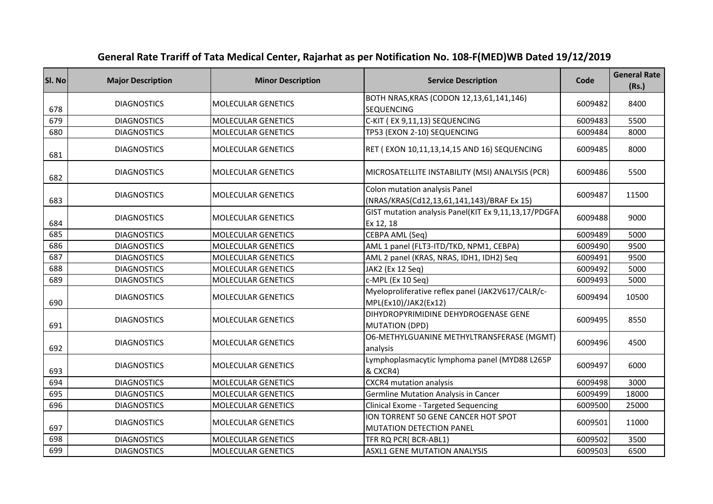| SI. No | <b>Major Description</b> | <b>Minor Description</b>  | <b>Service Description</b>                                                  | Code    | <b>General Rate</b><br>(Rs.) |
|--------|--------------------------|---------------------------|-----------------------------------------------------------------------------|---------|------------------------------|
| 678    | <b>DIAGNOSTICS</b>       | <b>MOLECULAR GENETICS</b> | BOTH NRAS, KRAS (CODON 12, 13, 61, 141, 146)<br><b>SEQUENCING</b>           | 6009482 | 8400                         |
| 679    | <b>DIAGNOSTICS</b>       | <b>MOLECULAR GENETICS</b> | C-KIT (EX 9,11,13) SEQUENCING                                               | 6009483 | 5500                         |
| 680    | <b>DIAGNOSTICS</b>       | <b>MOLECULAR GENETICS</b> | TP53 (EXON 2-10) SEQUENCING                                                 | 6009484 | 8000                         |
| 681    | <b>DIAGNOSTICS</b>       | <b>MOLECULAR GENETICS</b> | RET (EXON 10,11,13,14,15 AND 16) SEQUENCING                                 | 6009485 | 8000                         |
| 682    | <b>DIAGNOSTICS</b>       | <b>MOLECULAR GENETICS</b> | MICROSATELLITE INSTABILITY (MSI) ANALYSIS (PCR)                             | 6009486 | 5500                         |
| 683    | <b>DIAGNOSTICS</b>       | <b>MOLECULAR GENETICS</b> | Colon mutation analysis Panel<br>(NRAS/KRAS(Cd12,13,61,141,143)/BRAF Ex 15) | 6009487 | 11500                        |
| 684    | <b>DIAGNOSTICS</b>       | <b>MOLECULAR GENETICS</b> | GIST mutation analysis Panel(KIT Ex 9,11,13,17/PDGFA<br>Ex 12, 18           | 6009488 | 9000                         |
| 685    | <b>DIAGNOSTICS</b>       | <b>MOLECULAR GENETICS</b> | CEBPA AML (Seq)                                                             | 6009489 | 5000                         |
| 686    | <b>DIAGNOSTICS</b>       | <b>MOLECULAR GENETICS</b> | AML 1 panel (FLT3-ITD/TKD, NPM1, CEBPA)                                     | 6009490 | 9500                         |
| 687    | <b>DIAGNOSTICS</b>       | <b>MOLECULAR GENETICS</b> | AML 2 panel (KRAS, NRAS, IDH1, IDH2) Seq                                    | 6009491 | 9500                         |
| 688    | <b>DIAGNOSTICS</b>       | <b>MOLECULAR GENETICS</b> | JAK2 (Ex 12 Seq)                                                            | 6009492 | 5000                         |
| 689    | <b>DIAGNOSTICS</b>       | MOLECULAR GENETICS        | c-MPL (Ex 10 Seq)                                                           | 6009493 | 5000                         |
| 690    | <b>DIAGNOSTICS</b>       | <b>MOLECULAR GENETICS</b> | Myeloproliferative reflex panel (JAK2V617/CALR/c-<br>MPL(Ex10)/JAK2(Ex12)   | 6009494 | 10500                        |
| 691    | <b>DIAGNOSTICS</b>       | <b>MOLECULAR GENETICS</b> | DIHYDROPYRIMIDINE DEHYDROGENASE GENE<br><b>MUTATION (DPD)</b>               | 6009495 | 8550                         |
| 692    | <b>DIAGNOSTICS</b>       | MOLECULAR GENETICS        | O6-METHYLGUANINE METHYLTRANSFERASE (MGMT)<br>analysis                       | 6009496 | 4500                         |
| 693    | <b>DIAGNOSTICS</b>       | <b>MOLECULAR GENETICS</b> | Lymphoplasmacytic lymphoma panel (MYD88 L265P<br>& CXCR4)                   | 6009497 | 6000                         |
| 694    | <b>DIAGNOSTICS</b>       | <b>MOLECULAR GENETICS</b> | CXCR4 mutation analysis                                                     | 6009498 | 3000                         |
| 695    | <b>DIAGNOSTICS</b>       | <b>MOLECULAR GENETICS</b> | <b>Germline Mutation Analysis in Cancer</b>                                 | 6009499 | 18000                        |
| 696    | <b>DIAGNOSTICS</b>       | MOLECULAR GENETICS        | Clinical Exome - Targeted Sequencing                                        | 6009500 | 25000                        |
| 697    | <b>DIAGNOSTICS</b>       | <b>MOLECULAR GENETICS</b> | ION TORRENT 50 GENE CANCER HOT SPOT<br>MUTATION DETECTION PANEL             | 6009501 | 11000                        |
| 698    | <b>DIAGNOSTICS</b>       | <b>MOLECULAR GENETICS</b> | TFR RQ PCR(BCR-ABL1)                                                        | 6009502 | 3500                         |
| 699    | <b>DIAGNOSTICS</b>       | <b>MOLECULAR GENETICS</b> | <b>ASXL1 GENE MUTATION ANALYSIS</b>                                         | 6009503 | 6500                         |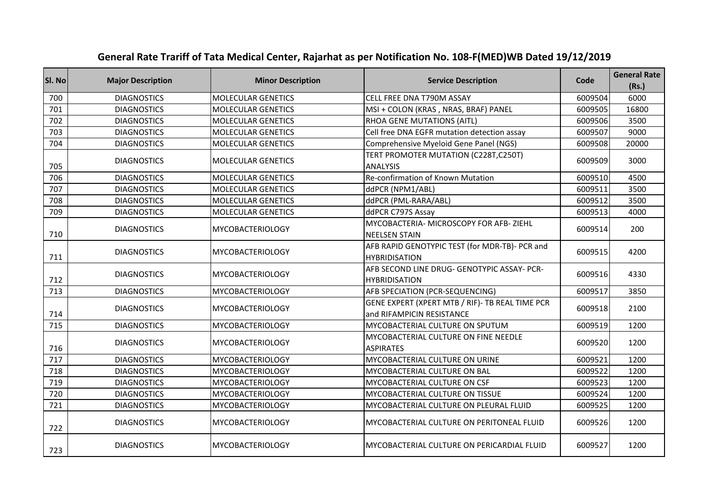| SI. No | <b>Major Description</b> | <b>Minor Description</b>  | <b>Service Description</b>                                                   | Code    | <b>General Rate</b><br>(Rs.) |
|--------|--------------------------|---------------------------|------------------------------------------------------------------------------|---------|------------------------------|
| 700    | <b>DIAGNOSTICS</b>       | <b>MOLECULAR GENETICS</b> | CELL FREE DNA T790M ASSAY                                                    | 6009504 | 6000                         |
| 701    | <b>DIAGNOSTICS</b>       | <b>MOLECULAR GENETICS</b> | MSI + COLON (KRAS, NRAS, BRAF) PANEL                                         | 6009505 | 16800                        |
| 702    | <b>DIAGNOSTICS</b>       | <b>MOLECULAR GENETICS</b> | RHOA GENE MUTATIONS (AITL)                                                   | 6009506 | 3500                         |
| 703    | <b>DIAGNOSTICS</b>       | <b>MOLECULAR GENETICS</b> | Cell free DNA EGFR mutation detection assay                                  | 6009507 | 9000                         |
| 704    | <b>DIAGNOSTICS</b>       | <b>MOLECULAR GENETICS</b> | Comprehensive Myeloid Gene Panel (NGS)                                       | 6009508 | 20000                        |
| 705    | <b>DIAGNOSTICS</b>       | <b>MOLECULAR GENETICS</b> | TERT PROMOTER MUTATION (C228T,C250T)<br><b>ANALYSIS</b>                      | 6009509 | 3000                         |
| 706    | <b>DIAGNOSTICS</b>       | <b>MOLECULAR GENETICS</b> | Re-confirmation of Known Mutation                                            | 6009510 | 4500                         |
| 707    | <b>DIAGNOSTICS</b>       | <b>MOLECULAR GENETICS</b> | ddPCR (NPM1/ABL)                                                             | 6009511 | 3500                         |
| 708    | <b>DIAGNOSTICS</b>       | <b>MOLECULAR GENETICS</b> | ddPCR (PML-RARA/ABL)                                                         | 6009512 | 3500                         |
| 709    | <b>DIAGNOSTICS</b>       | <b>MOLECULAR GENETICS</b> | ddPCR C797S Assay                                                            | 6009513 | 4000                         |
| 710    | <b>DIAGNOSTICS</b>       | <b>MYCOBACTERIOLOGY</b>   | MYCOBACTERIA- MICROSCOPY FOR AFB- ZIEHL<br><b>NEELSEN STAIN</b>              | 6009514 | 200                          |
| 711    | <b>DIAGNOSTICS</b>       | <b>MYCOBACTERIOLOGY</b>   | AFB RAPID GENOTYPIC TEST (for MDR-TB)- PCR and<br><b>HYBRIDISATION</b>       | 6009515 | 4200                         |
| 712    | <b>DIAGNOSTICS</b>       | <b>MYCOBACTERIOLOGY</b>   | AFB SECOND LINE DRUG- GENOTYPIC ASSAY- PCR-<br><b>HYBRIDISATION</b>          | 6009516 | 4330                         |
| 713    | <b>DIAGNOSTICS</b>       | <b>MYCOBACTERIOLOGY</b>   | AFB SPECIATION (PCR-SEQUENCING)                                              | 6009517 | 3850                         |
| 714    | <b>DIAGNOSTICS</b>       | MYCOBACTERIOLOGY          | GENE EXPERT (XPERT MTB / RIF)- TB REAL TIME PCR<br>and RIFAMPICIN RESISTANCE | 6009518 | 2100                         |
| 715    | <b>DIAGNOSTICS</b>       | <b>MYCOBACTERIOLOGY</b>   | MYCOBACTERIAL CULTURE ON SPUTUM                                              | 6009519 | 1200                         |
| 716    | <b>DIAGNOSTICS</b>       | <b>MYCOBACTERIOLOGY</b>   | MYCOBACTERIAL CULTURE ON FINE NEEDLE<br><b>ASPIRATES</b>                     | 6009520 | 1200                         |
| 717    | <b>DIAGNOSTICS</b>       | <b>MYCOBACTERIOLOGY</b>   | MYCOBACTERIAL CULTURE ON URINE                                               | 6009521 | 1200                         |
| 718    | <b>DIAGNOSTICS</b>       | <b>MYCOBACTERIOLOGY</b>   | MYCOBACTERIAL CULTURE ON BAL                                                 | 6009522 | 1200                         |
| 719    | <b>DIAGNOSTICS</b>       | <b>MYCOBACTERIOLOGY</b>   | MYCOBACTERIAL CULTURE ON CSF                                                 | 6009523 | 1200                         |
| 720    | <b>DIAGNOSTICS</b>       | <b>MYCOBACTERIOLOGY</b>   | MYCOBACTERIAL CULTURE ON TISSUE                                              | 6009524 | 1200                         |
| 721    | <b>DIAGNOSTICS</b>       | <b>MYCOBACTERIOLOGY</b>   | MYCOBACTERIAL CULTURE ON PLEURAL FLUID                                       | 6009525 | 1200                         |
| 722    | <b>DIAGNOSTICS</b>       | <b>MYCOBACTERIOLOGY</b>   | MYCOBACTERIAL CULTURE ON PERITONEAL FLUID                                    | 6009526 | 1200                         |
| 723    | <b>DIAGNOSTICS</b>       | <b>MYCOBACTERIOLOGY</b>   | MYCOBACTERIAL CULTURE ON PERICARDIAL FLUID                                   | 6009527 | 1200                         |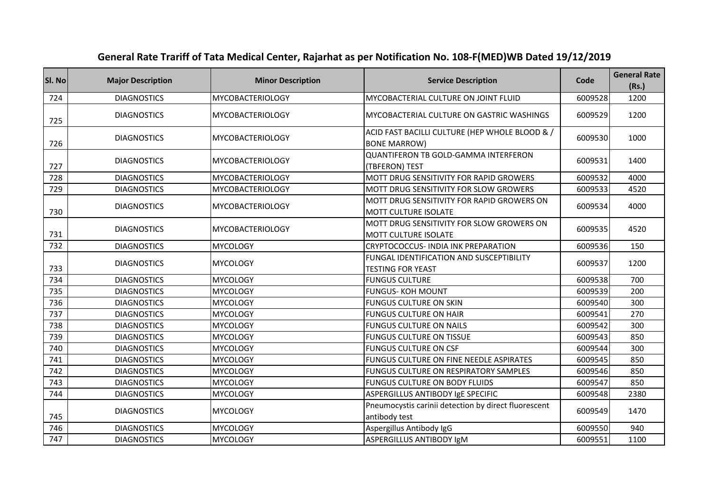| SI. No | <b>Major Description</b> | <b>Minor Description</b> | <b>Service Description</b>                                                  | Code    | <b>General Rate</b><br>(Rs.) |
|--------|--------------------------|--------------------------|-----------------------------------------------------------------------------|---------|------------------------------|
| 724    | <b>DIAGNOSTICS</b>       | <b>MYCOBACTERIOLOGY</b>  | MYCOBACTERIAL CULTURE ON JOINT FLUID                                        | 6009528 | 1200                         |
| 725    | <b>DIAGNOSTICS</b>       | <b>MYCOBACTERIOLOGY</b>  | MYCOBACTERIAL CULTURE ON GASTRIC WASHINGS                                   | 6009529 | 1200                         |
| 726    | <b>DIAGNOSTICS</b>       | <b>MYCOBACTERIOLOGY</b>  | ACID FAST BACILLI CULTURE (HEP WHOLE BLOOD & /<br><b>BONE MARROW)</b>       | 6009530 | 1000                         |
| 727    | <b>DIAGNOSTICS</b>       | <b>MYCOBACTERIOLOGY</b>  | <b>QUANTIFERON TB GOLD-GAMMA INTERFERON</b><br>(TBFERON) TEST               | 6009531 | 1400                         |
| 728    | <b>DIAGNOSTICS</b>       | <b>MYCOBACTERIOLOGY</b>  | MOTT DRUG SENSITIVITY FOR RAPID GROWERS                                     | 6009532 | 4000                         |
| 729    | <b>DIAGNOSTICS</b>       | <b>MYCOBACTERIOLOGY</b>  | MOTT DRUG SENSITIVITY FOR SLOW GROWERS                                      | 6009533 | 4520                         |
| 730    | <b>DIAGNOSTICS</b>       | <b>MYCOBACTERIOLOGY</b>  | MOTT DRUG SENSITIVITY FOR RAPID GROWERS ON<br><b>MOTT CULTURE ISOLATE</b>   | 6009534 | 4000                         |
| 731    | <b>DIAGNOSTICS</b>       | <b>MYCOBACTERIOLOGY</b>  | MOTT DRUG SENSITIVITY FOR SLOW GROWERS ON<br><b>MOTT CULTURE ISOLATE</b>    | 6009535 | 4520                         |
| 732    | <b>DIAGNOSTICS</b>       | <b>MYCOLOGY</b>          | CRYPTOCOCCUS- INDIA INK PREPARATION                                         | 6009536 | 150                          |
| 733    | <b>DIAGNOSTICS</b>       | <b>MYCOLOGY</b>          | <b>FUNGAL IDENTIFICATION AND SUSCEPTIBILITY</b><br><b>TESTING FOR YEAST</b> | 6009537 | 1200                         |
| 734    | <b>DIAGNOSTICS</b>       | <b>MYCOLOGY</b>          | <b>FUNGUS CULTURE</b>                                                       | 6009538 | 700                          |
| 735    | <b>DIAGNOSTICS</b>       | <b>MYCOLOGY</b>          | <b>FUNGUS-KOH MOUNT</b>                                                     | 6009539 | 200                          |
| 736    | <b>DIAGNOSTICS</b>       | <b>MYCOLOGY</b>          | <b>FUNGUS CULTURE ON SKIN</b>                                               | 6009540 | 300                          |
| 737    | <b>DIAGNOSTICS</b>       | <b>MYCOLOGY</b>          | <b>FUNGUS CULTURE ON HAIR</b>                                               | 6009541 | 270                          |
| 738    | <b>DIAGNOSTICS</b>       | <b>MYCOLOGY</b>          | <b>FUNGUS CULTURE ON NAILS</b>                                              | 6009542 | 300                          |
| 739    | <b>DIAGNOSTICS</b>       | <b>MYCOLOGY</b>          | <b>FUNGUS CULTURE ON TISSUE</b>                                             | 6009543 | 850                          |
| 740    | <b>DIAGNOSTICS</b>       | <b>MYCOLOGY</b>          | <b>FUNGUS CULTURE ON CSF</b>                                                | 6009544 | 300                          |
| 741    | <b>DIAGNOSTICS</b>       | <b>MYCOLOGY</b>          | FUNGUS CULTURE ON FINE NEEDLE ASPIRATES                                     | 6009545 | 850                          |
| 742    | <b>DIAGNOSTICS</b>       | <b>MYCOLOGY</b>          | FUNGUS CULTURE ON RESPIRATORY SAMPLES                                       | 6009546 | 850                          |
| 743    | <b>DIAGNOSTICS</b>       | <b>MYCOLOGY</b>          | FUNGUS CULTURE ON BODY FLUIDS                                               | 6009547 | 850                          |
| 744    | <b>DIAGNOSTICS</b>       | <b>MYCOLOGY</b>          | ASPERGILLUS ANTIBODY IgE SPECIFIC                                           | 6009548 | 2380                         |
| 745    | <b>DIAGNOSTICS</b>       | <b>MYCOLOGY</b>          | Pneumocystis carinii detection by direct fluorescent<br>antibody test       | 6009549 | 1470                         |
| 746    | <b>DIAGNOSTICS</b>       | <b>MYCOLOGY</b>          | Aspergillus Antibody IgG                                                    | 6009550 | 940                          |
| 747    | <b>DIAGNOSTICS</b>       | <b>MYCOLOGY</b>          | ASPERGILLUS ANTIBODY IgM                                                    | 6009551 | 1100                         |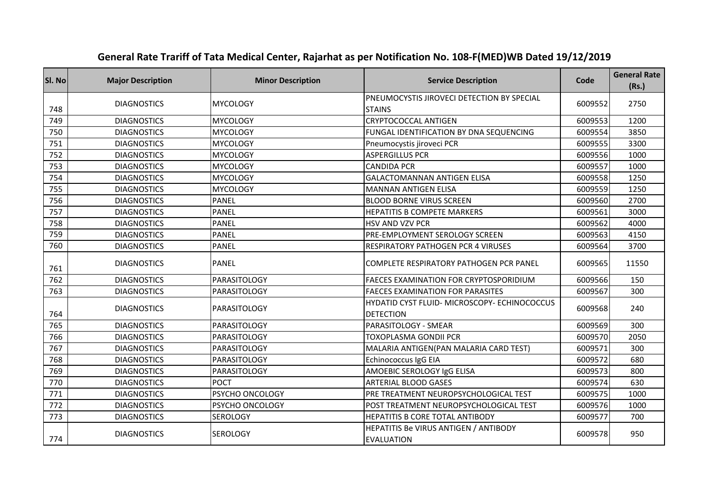| SI. No | <b>Major Description</b> | <b>Minor Description</b> | <b>Service Description</b>                                       | Code    | <b>General Rate</b><br>(Rs.) |
|--------|--------------------------|--------------------------|------------------------------------------------------------------|---------|------------------------------|
| 748    | <b>DIAGNOSTICS</b>       | <b>MYCOLOGY</b>          | PNEUMOCYSTIS JIROVECI DETECTION BY SPECIAL<br><b>STAINS</b>      | 6009552 | 2750                         |
| 749    | <b>DIAGNOSTICS</b>       | <b>MYCOLOGY</b>          | <b>CRYPTOCOCCAL ANTIGEN</b>                                      | 6009553 | 1200                         |
| 750    | <b>DIAGNOSTICS</b>       | <b>MYCOLOGY</b>          | FUNGAL IDENTIFICATION BY DNA SEQUENCING                          | 6009554 | 3850                         |
| 751    | <b>DIAGNOSTICS</b>       | <b>MYCOLOGY</b>          | Pneumocystis jiroveci PCR                                        | 6009555 | 3300                         |
| 752    | <b>DIAGNOSTICS</b>       | <b>MYCOLOGY</b>          | <b>ASPERGILLUS PCR</b>                                           | 6009556 | 1000                         |
| 753    | <b>DIAGNOSTICS</b>       | <b>MYCOLOGY</b>          | <b>CANDIDA PCR</b>                                               | 6009557 | 1000                         |
| 754    | <b>DIAGNOSTICS</b>       | <b>MYCOLOGY</b>          | <b>GALACTOMANNAN ANTIGEN ELISA</b>                               | 6009558 | 1250                         |
| 755    | <b>DIAGNOSTICS</b>       | <b>MYCOLOGY</b>          | <b>MANNAN ANTIGEN ELISA</b>                                      | 6009559 | 1250                         |
| 756    | <b>DIAGNOSTICS</b>       | <b>PANEL</b>             | <b>BLOOD BORNE VIRUS SCREEN</b>                                  | 6009560 | 2700                         |
| 757    | <b>DIAGNOSTICS</b>       | PANEL                    | HEPATITIS B COMPETE MARKERS                                      | 6009561 | 3000                         |
| 758    | <b>DIAGNOSTICS</b>       | <b>PANEL</b>             | HSV AND VZV PCR                                                  | 6009562 | 4000                         |
| 759    | <b>DIAGNOSTICS</b>       | <b>PANEL</b>             | PRE-EMPLOYMENT SEROLOGY SCREEN                                   | 6009563 | 4150                         |
| 760    | <b>DIAGNOSTICS</b>       | <b>PANEL</b>             | RESPIRATORY PATHOGEN PCR 4 VIRUSES                               | 6009564 | 3700                         |
| 761    | <b>DIAGNOSTICS</b>       | <b>PANEL</b>             | COMPLETE RESPIRATORY PATHOGEN PCR PANEL                          | 6009565 | 11550                        |
| 762    | <b>DIAGNOSTICS</b>       | PARASITOLOGY             | FAECES EXAMINATION FOR CRYPTOSPORIDIUM                           | 6009566 | 150                          |
| 763    | <b>DIAGNOSTICS</b>       | <b>PARASITOLOGY</b>      | <b>FAECES EXAMINATION FOR PARASITES</b>                          | 6009567 | 300                          |
| 764    | <b>DIAGNOSTICS</b>       | PARASITOLOGY             | HYDATID CYST FLUID- MICROSCOPY- ECHINOCOCCUS<br><b>DETECTION</b> | 6009568 | 240                          |
| 765    | <b>DIAGNOSTICS</b>       | <b>PARASITOLOGY</b>      | PARASITOLOGY - SMEAR                                             | 6009569 | 300                          |
| 766    | <b>DIAGNOSTICS</b>       | <b>PARASITOLOGY</b>      | TOXOPLASMA GONDII PCR                                            | 6009570 | 2050                         |
| 767    | <b>DIAGNOSTICS</b>       | <b>PARASITOLOGY</b>      | MALARIA ANTIGEN (PAN MALARIA CARD TEST)                          | 6009571 | 300                          |
| 768    | <b>DIAGNOSTICS</b>       | PARASITOLOGY             | Echinococcus IgG EIA                                             | 6009572 | 680                          |
| 769    | <b>DIAGNOSTICS</b>       | PARASITOLOGY             | AMOEBIC SEROLOGY IgG ELISA                                       | 6009573 | 800                          |
| 770    | <b>DIAGNOSTICS</b>       | <b>POCT</b>              | <b>ARTERIAL BLOOD GASES</b>                                      | 6009574 | 630                          |
| 771    | <b>DIAGNOSTICS</b>       | PSYCHO ONCOLOGY          | PRE TREATMENT NEUROPSYCHOLOGICAL TEST                            | 6009575 | 1000                         |
| 772    | <b>DIAGNOSTICS</b>       | PSYCHO ONCOLOGY          | POST TREATMENT NEUROPSYCHOLOGICAL TEST                           | 6009576 | 1000                         |
| 773    | <b>DIAGNOSTICS</b>       | SEROLOGY                 | HEPATITIS B CORE TOTAL ANTIBODY                                  | 6009577 | 700                          |
| 774    | <b>DIAGNOSTICS</b>       | <b>SEROLOGY</b>          | HEPATITIS Be VIRUS ANTIGEN / ANTIBODY<br><b>EVALUATION</b>       | 6009578 | 950                          |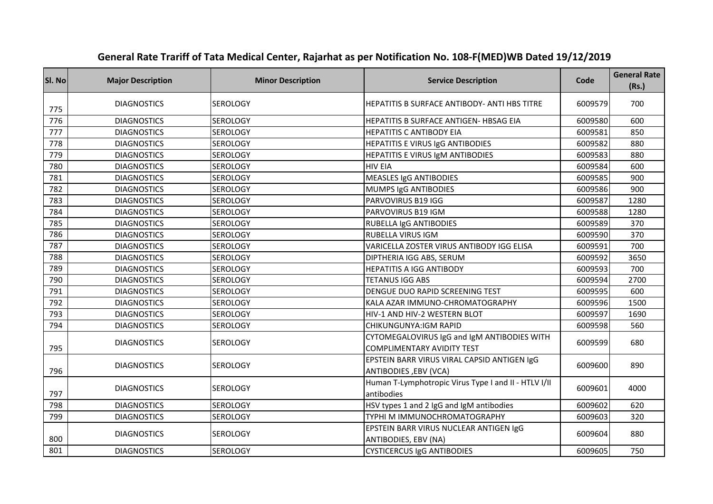| SI. No | <b>Major Description</b> | <b>Minor Description</b> | <b>Service Description</b>                                                | Code    | <b>General Rate</b><br>(Rs.) |
|--------|--------------------------|--------------------------|---------------------------------------------------------------------------|---------|------------------------------|
| 775    | <b>DIAGNOSTICS</b>       | <b>SEROLOGY</b>          | HEPATITIS B SURFACE ANTIBODY- ANTI HBS TITRE                              | 6009579 | 700                          |
| 776    | <b>DIAGNOSTICS</b>       | <b>SEROLOGY</b>          | HEPATITIS B SURFACE ANTIGEN- HBSAG EIA                                    | 6009580 | 600                          |
| 777    | <b>DIAGNOSTICS</b>       | <b>SEROLOGY</b>          | <b>HEPATITIS C ANTIBODY EIA</b>                                           | 6009581 | 850                          |
| 778    | <b>DIAGNOSTICS</b>       | <b>SEROLOGY</b>          | HEPATITIS E VIRUS IgG ANTIBODIES                                          | 6009582 | 880                          |
| 779    | <b>DIAGNOSTICS</b>       | <b>SEROLOGY</b>          | HEPATITIS E VIRUS IgM ANTIBODIES                                          | 6009583 | 880                          |
| 780    | <b>DIAGNOSTICS</b>       | <b>SEROLOGY</b>          | <b>HIV EIA</b>                                                            | 6009584 | 600                          |
| 781    | <b>DIAGNOSTICS</b>       | <b>SEROLOGY</b>          | <b>MEASLES IgG ANTIBODIES</b>                                             | 6009585 | 900                          |
| 782    | <b>DIAGNOSTICS</b>       | <b>SEROLOGY</b>          | MUMPS IgG ANTIBODIES                                                      | 6009586 | 900                          |
| 783    | <b>DIAGNOSTICS</b>       | <b>SEROLOGY</b>          | PARVOVIRUS B19 IGG                                                        | 6009587 | 1280                         |
| 784    | <b>DIAGNOSTICS</b>       | <b>SEROLOGY</b>          | PARVOVIRUS B19 IGM                                                        | 6009588 | 1280                         |
| 785    | <b>DIAGNOSTICS</b>       | <b>SEROLOGY</b>          | RUBELLA IgG ANTIBODIES                                                    | 6009589 | 370                          |
| 786    | <b>DIAGNOSTICS</b>       | <b>SEROLOGY</b>          | RUBELLA VIRUS IGM                                                         | 6009590 | 370                          |
| 787    | <b>DIAGNOSTICS</b>       | <b>SEROLOGY</b>          | VARICELLA ZOSTER VIRUS ANTIBODY IGG ELISA                                 | 6009591 | 700                          |
| 788    | <b>DIAGNOSTICS</b>       | <b>SEROLOGY</b>          | DIPTHERIA IGG ABS, SERUM                                                  | 6009592 | 3650                         |
| 789    | <b>DIAGNOSTICS</b>       | <b>SEROLOGY</b>          | <b>HEPATITIS A IGG ANTIBODY</b>                                           | 6009593 | 700                          |
| 790    | <b>DIAGNOSTICS</b>       | <b>SEROLOGY</b>          | <b>TETANUS IGG ABS</b>                                                    | 6009594 | 2700                         |
| 791    | <b>DIAGNOSTICS</b>       | SEROLOGY                 | DENGUE DUO RAPID SCREENING TEST                                           | 6009595 | 600                          |
| 792    | <b>DIAGNOSTICS</b>       | <b>SEROLOGY</b>          | KALA AZAR IMMUNO-CHROMATOGRAPHY                                           | 6009596 | 1500                         |
| 793    | <b>DIAGNOSTICS</b>       | <b>SEROLOGY</b>          | HIV-1 AND HIV-2 WESTERN BLOT                                              | 6009597 | 1690                         |
| 794    | <b>DIAGNOSTICS</b>       | <b>SEROLOGY</b>          | CHIKUNGUNYA:IGM RAPID                                                     | 6009598 | 560                          |
| 795    | <b>DIAGNOSTICS</b>       | <b>SEROLOGY</b>          | CYTOMEGALOVIRUS IgG and IgM ANTIBODIES WITH<br>COMPLIMENTARY AVIDITY TEST | 6009599 | 680                          |
| 796    | <b>DIAGNOSTICS</b>       | <b>SEROLOGY</b>          | EPSTEIN BARR VIRUS VIRAL CAPSID ANTIGEN IgG<br>ANTIBODIES, EBV (VCA)      | 6009600 | 890                          |
| 797    | <b>DIAGNOSTICS</b>       | <b>SEROLOGY</b>          | Human T-Lymphotropic Virus Type I and II - HTLV I/II<br>antibodies        | 6009601 | 4000                         |
| 798    | <b>DIAGNOSTICS</b>       | <b>SEROLOGY</b>          | HSV types 1 and 2 IgG and IgM antibodies                                  | 6009602 | 620                          |
| 799    | <b>DIAGNOSTICS</b>       | <b>SEROLOGY</b>          | TYPHI M IMMUNOCHROMATOGRAPHY                                              | 6009603 | 320                          |
| 800    | <b>DIAGNOSTICS</b>       | <b>SEROLOGY</b>          | EPSTEIN BARR VIRUS NUCLEAR ANTIGEN IgG<br>ANTIBODIES, EBV (NA)            | 6009604 | 880                          |
| 801    | <b>DIAGNOSTICS</b>       | <b>SEROLOGY</b>          | <b>CYSTICERCUS IgG ANTIBODIES</b>                                         | 6009605 | 750                          |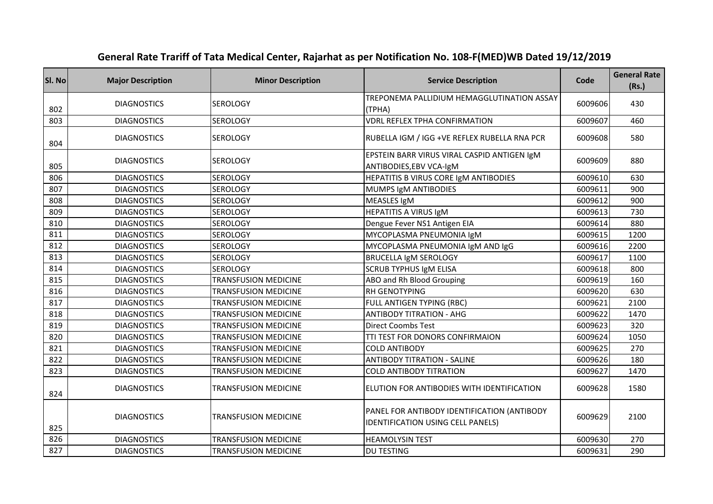| SI. No | <b>Major Description</b> | <b>Minor Description</b>    | <b>Service Description</b>                                                       | Code    | <b>General Rate</b><br>(Rs.) |
|--------|--------------------------|-----------------------------|----------------------------------------------------------------------------------|---------|------------------------------|
| 802    | <b>DIAGNOSTICS</b>       | <b>SEROLOGY</b>             | TREPONEMA PALLIDIUM HEMAGGLUTINATION ASSAY<br>(TPHA)                             | 6009606 | 430                          |
| 803    | <b>DIAGNOSTICS</b>       | <b>SEROLOGY</b>             | <b>VDRL REFLEX TPHA CONFIRMATION</b>                                             | 6009607 | 460                          |
| 804    | <b>DIAGNOSTICS</b>       | <b>SEROLOGY</b>             | RUBELLA IGM / IGG +VE REFLEX RUBELLA RNA PCR                                     | 6009608 | 580                          |
| 805    | <b>DIAGNOSTICS</b>       | <b>SEROLOGY</b>             | EPSTEIN BARR VIRUS VIRAL CASPID ANTIGEN IgM<br>ANTIBODIES, EBV VCA-IgM           | 6009609 | 880                          |
| 806    | <b>DIAGNOSTICS</b>       | <b>SEROLOGY</b>             | HEPATITIS B VIRUS CORE IgM ANTIBODIES                                            | 6009610 | 630                          |
| 807    | <b>DIAGNOSTICS</b>       | <b>SEROLOGY</b>             | MUMPS IgM ANTIBODIES                                                             | 6009611 | 900                          |
| 808    | <b>DIAGNOSTICS</b>       | <b>SEROLOGY</b>             | MEASLES IgM                                                                      | 6009612 | 900                          |
| 809    | <b>DIAGNOSTICS</b>       | SEROLOGY                    | HEPATITIS A VIRUS IgM                                                            | 6009613 | 730                          |
| 810    | <b>DIAGNOSTICS</b>       | <b>SEROLOGY</b>             | Dengue Fever NS1 Antigen EIA                                                     | 6009614 | 880                          |
| 811    | <b>DIAGNOSTICS</b>       | <b>SEROLOGY</b>             | MYCOPLASMA PNEUMONIA IgM                                                         | 6009615 | 1200                         |
| 812    | <b>DIAGNOSTICS</b>       | <b>SEROLOGY</b>             | MYCOPLASMA PNEUMONIA IgM AND IgG                                                 | 6009616 | 2200                         |
| 813    | <b>DIAGNOSTICS</b>       | <b>SEROLOGY</b>             | BRUCELLA IgM SEROLOGY                                                            | 6009617 | 1100                         |
| 814    | <b>DIAGNOSTICS</b>       | <b>SEROLOGY</b>             | <b>SCRUB TYPHUS IgM ELISA</b>                                                    | 6009618 | 800                          |
| 815    | <b>DIAGNOSTICS</b>       | <b>TRANSFUSION MEDICINE</b> | ABO and Rh Blood Grouping                                                        | 6009619 | 160                          |
| 816    | <b>DIAGNOSTICS</b>       | <b>TRANSFUSION MEDICINE</b> | RH GENOTYPING                                                                    | 6009620 | 630                          |
| 817    | <b>DIAGNOSTICS</b>       | <b>TRANSFUSION MEDICINE</b> | <b>FULL ANTIGEN TYPING (RBC)</b>                                                 | 6009621 | 2100                         |
| 818    | <b>DIAGNOSTICS</b>       | <b>TRANSFUSION MEDICINE</b> | <b>ANTIBODY TITRATION - AHG</b>                                                  | 6009622 | 1470                         |
| 819    | <b>DIAGNOSTICS</b>       | <b>TRANSFUSION MEDICINE</b> | <b>Direct Coombs Test</b>                                                        | 6009623 | 320                          |
| 820    | <b>DIAGNOSTICS</b>       | <b>TRANSFUSION MEDICINE</b> | TTI TEST FOR DONORS CONFIRMAION                                                  | 6009624 | 1050                         |
| 821    | <b>DIAGNOSTICS</b>       | <b>TRANSFUSION MEDICINE</b> | <b>COLD ANTIBODY</b>                                                             | 6009625 | 270                          |
| 822    | <b>DIAGNOSTICS</b>       | <b>TRANSFUSION MEDICINE</b> | <b>ANTIBODY TITRATION - SALINE</b>                                               | 6009626 | 180                          |
| 823    | <b>DIAGNOSTICS</b>       | <b>TRANSFUSION MEDICINE</b> | <b>COLD ANTIBODY TITRATION</b>                                                   | 6009627 | 1470                         |
| 824    | <b>DIAGNOSTICS</b>       | <b>TRANSFUSION MEDICINE</b> | ELUTION FOR ANTIBODIES WITH IDENTIFICATION                                       | 6009628 | 1580                         |
| 825    | <b>DIAGNOSTICS</b>       | <b>TRANSFUSION MEDICINE</b> | PANEL FOR ANTIBODY IDENTIFICATION (ANTIBODY<br>IDENTIFICATION USING CELL PANELS) | 6009629 | 2100                         |
| 826    | <b>DIAGNOSTICS</b>       | <b>TRANSFUSION MEDICINE</b> | <b>HEAMOLYSIN TEST</b>                                                           | 6009630 | 270                          |
| 827    | <b>DIAGNOSTICS</b>       | <b>TRANSFUSION MEDICINE</b> | <b>DU TESTING</b>                                                                | 6009631 | 290                          |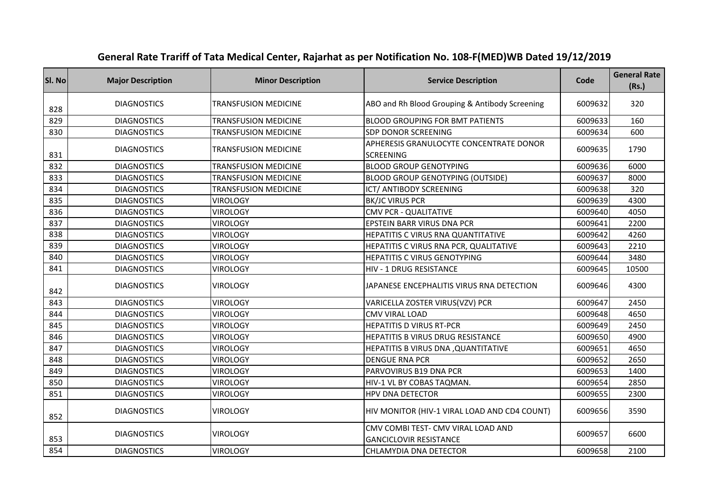| SI. No | <b>Major Description</b> | <b>Minor Description</b>    | <b>Service Description</b>                                          | Code    | <b>General Rate</b><br>(Rs.) |
|--------|--------------------------|-----------------------------|---------------------------------------------------------------------|---------|------------------------------|
| 828    | <b>DIAGNOSTICS</b>       | <b>TRANSFUSION MEDICINE</b> | ABO and Rh Blood Grouping & Antibody Screening                      | 6009632 | 320                          |
| 829    | <b>DIAGNOSTICS</b>       | <b>TRANSFUSION MEDICINE</b> | <b>BLOOD GROUPING FOR BMT PATIENTS</b>                              | 6009633 | 160                          |
| 830    | <b>DIAGNOSTICS</b>       | <b>TRANSFUSION MEDICINE</b> | <b>SDP DONOR SCREENING</b>                                          | 6009634 | 600                          |
| 831    | <b>DIAGNOSTICS</b>       | <b>TRANSFUSION MEDICINE</b> | APHERESIS GRANULOCYTE CONCENTRATE DONOR<br><b>SCREENING</b>         | 6009635 | 1790                         |
| 832    | <b>DIAGNOSTICS</b>       | <b>TRANSFUSION MEDICINE</b> | <b>BLOOD GROUP GENOTYPING</b>                                       | 6009636 | 6000                         |
| 833    | <b>DIAGNOSTICS</b>       | <b>TRANSFUSION MEDICINE</b> | <b>BLOOD GROUP GENOTYPING (OUTSIDE)</b>                             | 6009637 | 8000                         |
| 834    | <b>DIAGNOSTICS</b>       | <b>TRANSFUSION MEDICINE</b> | ICT/ ANTIBODY SCREENING                                             | 6009638 | 320                          |
| 835    | <b>DIAGNOSTICS</b>       | <b>VIROLOGY</b>             | <b>BK/JC VIRUS PCR</b>                                              | 6009639 | 4300                         |
| 836    | <b>DIAGNOSTICS</b>       | <b>VIROLOGY</b>             | <b>CMV PCR - QUALITATIVE</b>                                        | 6009640 | 4050                         |
| 837    | <b>DIAGNOSTICS</b>       | <b>VIROLOGY</b>             | EPSTEIN BARR VIRUS DNA PCR                                          | 6009641 | 2200                         |
| 838    | <b>DIAGNOSTICS</b>       | <b>VIROLOGY</b>             | HEPATITIS C VIRUS RNA QUANTITATIVE                                  | 6009642 | 4260                         |
| 839    | <b>DIAGNOSTICS</b>       | <b>VIROLOGY</b>             | HEPATITIS C VIRUS RNA PCR, QUALITATIVE                              | 6009643 | 2210                         |
| 840    | <b>DIAGNOSTICS</b>       | <b>VIROLOGY</b>             | HEPATITIS C VIRUS GENOTYPING                                        | 6009644 | 3480                         |
| 841    | <b>DIAGNOSTICS</b>       | <b>VIROLOGY</b>             | HIV - 1 DRUG RESISTANCE                                             | 6009645 | 10500                        |
| 842    | <b>DIAGNOSTICS</b>       | <b>VIROLOGY</b>             | JAPANESE ENCEPHALITIS VIRUS RNA DETECTION                           | 6009646 | 4300                         |
| 843    | <b>DIAGNOSTICS</b>       | <b>VIROLOGY</b>             | VARICELLA ZOSTER VIRUS(VZV) PCR                                     | 6009647 | 2450                         |
| 844    | <b>DIAGNOSTICS</b>       | <b>VIROLOGY</b>             | <b>CMV VIRAL LOAD</b>                                               | 6009648 | 4650                         |
| 845    | <b>DIAGNOSTICS</b>       | <b>VIROLOGY</b>             | <b>HEPATITIS D VIRUS RT-PCR</b>                                     | 6009649 | 2450                         |
| 846    | <b>DIAGNOSTICS</b>       | <b>VIROLOGY</b>             | HEPATITIS B VIRUS DRUG RESISTANCE                                   | 6009650 | 4900                         |
| 847    | <b>DIAGNOSTICS</b>       | <b>VIROLOGY</b>             | HEPATITIS B VIRUS DNA, QUANTITATIVE                                 | 6009651 | 4650                         |
| 848    | <b>DIAGNOSTICS</b>       | <b>VIROLOGY</b>             | <b>DENGUE RNA PCR</b>                                               | 6009652 | 2650                         |
| 849    | <b>DIAGNOSTICS</b>       | <b>VIROLOGY</b>             | PARVOVIRUS B19 DNA PCR                                              | 6009653 | 1400                         |
| 850    | <b>DIAGNOSTICS</b>       | <b>VIROLOGY</b>             | HIV-1 VL BY COBAS TAQMAN.                                           | 6009654 | 2850                         |
| 851    | <b>DIAGNOSTICS</b>       | <b>VIROLOGY</b>             | <b>HPV DNA DETECTOR</b>                                             | 6009655 | 2300                         |
| 852    | <b>DIAGNOSTICS</b>       | <b>VIROLOGY</b>             | HIV MONITOR (HIV-1 VIRAL LOAD AND CD4 COUNT)                        | 6009656 | 3590                         |
| 853    | <b>DIAGNOSTICS</b>       | <b>VIROLOGY</b>             | CMV COMBI TEST- CMV VIRAL LOAD AND<br><b>GANCICLOVIR RESISTANCE</b> | 6009657 | 6600                         |
| 854    | <b>DIAGNOSTICS</b>       | <b>VIROLOGY</b>             | CHLAMYDIA DNA DETECTOR                                              | 6009658 | 2100                         |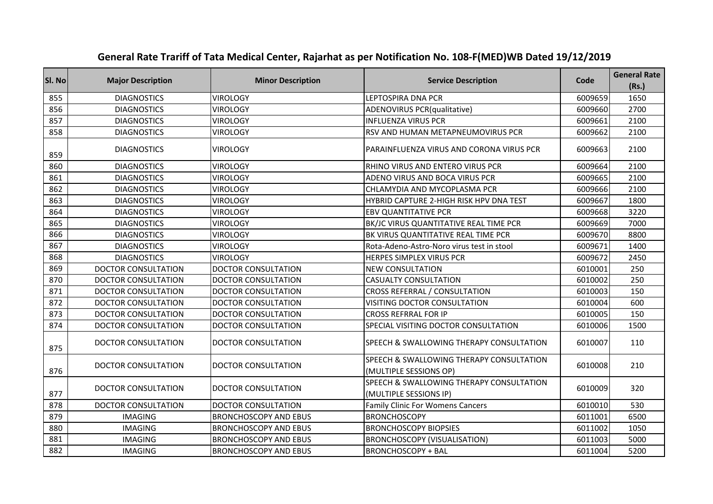| SI. No | <b>Major Description</b>   | <b>Minor Description</b>     | <b>Service Description</b>                                         | Code    | <b>General Rate</b><br>(Rs.) |
|--------|----------------------------|------------------------------|--------------------------------------------------------------------|---------|------------------------------|
| 855    | <b>DIAGNOSTICS</b>         | <b>VIROLOGY</b>              | LEPTOSPIRA DNA PCR                                                 | 6009659 | 1650                         |
| 856    | <b>DIAGNOSTICS</b>         | <b>VIROLOGY</b>              | ADENOVIRUS PCR(qualitative)                                        | 6009660 | 2700                         |
| 857    | <b>DIAGNOSTICS</b>         | <b>VIROLOGY</b>              | <b>INFLUENZA VIRUS PCR</b>                                         | 6009661 | 2100                         |
| 858    | <b>DIAGNOSTICS</b>         | <b>VIROLOGY</b>              | RSV AND HUMAN METAPNEUMOVIRUS PCR                                  | 6009662 | 2100                         |
| 859    | <b>DIAGNOSTICS</b>         | <b>VIROLOGY</b>              | PARAINFLUENZA VIRUS AND CORONA VIRUS PCR                           | 6009663 | 2100                         |
| 860    | <b>DIAGNOSTICS</b>         | <b>VIROLOGY</b>              | RHINO VIRUS AND ENTERO VIRUS PCR                                   | 6009664 | 2100                         |
| 861    | <b>DIAGNOSTICS</b>         | <b>VIROLOGY</b>              | ADENO VIRUS AND BOCA VIRUS PCR                                     | 6009665 | 2100                         |
| 862    | <b>DIAGNOSTICS</b>         | <b>VIROLOGY</b>              | CHLAMYDIA AND MYCOPLASMA PCR                                       | 6009666 | 2100                         |
| 863    | <b>DIAGNOSTICS</b>         | <b>VIROLOGY</b>              | HYBRID CAPTURE 2-HIGH RISK HPV DNA TEST                            | 6009667 | 1800                         |
| 864    | <b>DIAGNOSTICS</b>         | <b>VIROLOGY</b>              | <b>EBV QUANTITATIVE PCR</b>                                        | 6009668 | 3220                         |
| 865    | <b>DIAGNOSTICS</b>         | <b>VIROLOGY</b>              | BK/JC VIRUS QUANTITATIVE REAL TIME PCR                             | 6009669 | 7000                         |
| 866    | <b>DIAGNOSTICS</b>         | <b>VIROLOGY</b>              | BK VIRUS QUANTITATIVE REAL TIME PCR                                | 6009670 | 8800                         |
| 867    | <b>DIAGNOSTICS</b>         | <b>VIROLOGY</b>              | Rota-Adeno-Astro-Noro virus test in stool                          | 6009671 | 1400                         |
| 868    | <b>DIAGNOSTICS</b>         | <b>VIROLOGY</b>              | HERPES SIMPLEX VIRUS PCR                                           | 6009672 | 2450                         |
| 869    | <b>DOCTOR CONSULTATION</b> | <b>DOCTOR CONSULTATION</b>   | <b>NEW CONSULTATION</b>                                            | 6010001 | 250                          |
| 870    | <b>DOCTOR CONSULTATION</b> | <b>DOCTOR CONSULTATION</b>   | <b>CASUALTY CONSULTATION</b>                                       | 6010002 | 250                          |
| 871    | <b>DOCTOR CONSULTATION</b> | <b>DOCTOR CONSULTATION</b>   | CROSS REFERRAL / CONSULTATION                                      | 6010003 | 150                          |
| 872    | <b>DOCTOR CONSULTATION</b> | <b>DOCTOR CONSULTATION</b>   | VISITING DOCTOR CONSULTATION                                       | 6010004 | 600                          |
| 873    | <b>DOCTOR CONSULTATION</b> | <b>DOCTOR CONSULTATION</b>   | <b>CROSS REFRRAL FOR IP</b>                                        | 6010005 | 150                          |
| 874    | <b>DOCTOR CONSULTATION</b> | <b>DOCTOR CONSULTATION</b>   | SPECIAL VISITING DOCTOR CONSULTATION                               | 6010006 | 1500                         |
| 875    | DOCTOR CONSULTATION        | <b>DOCTOR CONSULTATION</b>   | SPEECH & SWALLOWING THERAPY CONSULTATION                           | 6010007 | 110                          |
| 876    | <b>DOCTOR CONSULTATION</b> | <b>DOCTOR CONSULTATION</b>   | SPEECH & SWALLOWING THERAPY CONSULTATION<br>(MULTIPLE SESSIONS OP) | 6010008 | 210                          |
| 877    | <b>DOCTOR CONSULTATION</b> | <b>DOCTOR CONSULTATION</b>   | SPEECH & SWALLOWING THERAPY CONSULTATION<br>(MULTIPLE SESSIONS IP) | 6010009 | 320                          |
| 878    | <b>DOCTOR CONSULTATION</b> | <b>DOCTOR CONSULTATION</b>   | <b>Family Clinic For Womens Cancers</b>                            | 6010010 | 530                          |
| 879    | <b>IMAGING</b>             | <b>BRONCHOSCOPY AND EBUS</b> | <b>BRONCHOSCOPY</b>                                                | 6011001 | 6500                         |
| 880    | <b>IMAGING</b>             | <b>BRONCHOSCOPY AND EBUS</b> | <b>BRONCHOSCOPY BIOPSIES</b>                                       | 6011002 | 1050                         |
| 881    | <b>IMAGING</b>             | <b>BRONCHOSCOPY AND EBUS</b> | <b>BRONCHOSCOPY (VISUALISATION)</b>                                | 6011003 | 5000                         |
| 882    | <b>IMAGING</b>             | <b>BRONCHOSCOPY AND EBUS</b> | <b>BRONCHOSCOPY + BAL</b>                                          | 6011004 | 5200                         |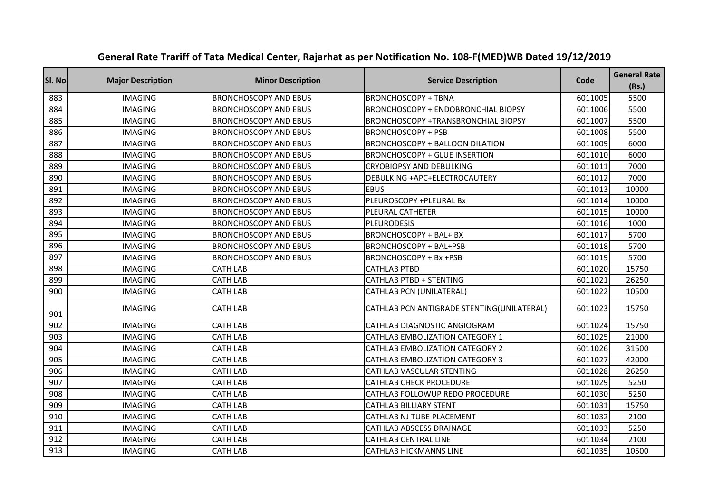| Sl. No | <b>Major Description</b> | <b>Minor Description</b>     | <b>Service Description</b>                 | Code    | <b>General Rate</b><br>(Rs.) |
|--------|--------------------------|------------------------------|--------------------------------------------|---------|------------------------------|
| 883    | <b>IMAGING</b>           | <b>BRONCHOSCOPY AND EBUS</b> | <b>BRONCHOSCOPY + TBNA</b>                 | 6011005 | 5500                         |
| 884    | <b>IMAGING</b>           | <b>BRONCHOSCOPY AND EBUS</b> | <b>BRONCHOSCOPY + ENDOBRONCHIAL BIOPSY</b> | 6011006 | 5500                         |
| 885    | <b>IMAGING</b>           | <b>BRONCHOSCOPY AND EBUS</b> | BRONCHOSCOPY +TRANSBRONCHIAL BIOPSY        | 6011007 | 5500                         |
| 886    | <b>IMAGING</b>           | <b>BRONCHOSCOPY AND EBUS</b> | <b>BRONCHOSCOPY + PSB</b>                  | 6011008 | 5500                         |
| 887    | <b>IMAGING</b>           | <b>BRONCHOSCOPY AND EBUS</b> | <b>BRONCHOSCOPY + BALLOON DILATION</b>     | 6011009 | 6000                         |
| 888    | <b>IMAGING</b>           | <b>BRONCHOSCOPY AND EBUS</b> | <b>BRONCHOSCOPY + GLUE INSERTION</b>       | 6011010 | 6000                         |
| 889    | <b>IMAGING</b>           | <b>BRONCHOSCOPY AND EBUS</b> | <b>CRYOBIOPSY AND DEBULKING</b>            | 6011011 | 7000                         |
| 890    | <b>IMAGING</b>           | <b>BRONCHOSCOPY AND EBUS</b> | DEBULKING +APC+ELECTROCAUTERY              | 6011012 | 7000                         |
| 891    | <b>IMAGING</b>           | <b>BRONCHOSCOPY AND EBUS</b> | <b>EBUS</b>                                | 6011013 | 10000                        |
| 892    | <b>IMAGING</b>           | <b>BRONCHOSCOPY AND EBUS</b> | PLEUROSCOPY +PLEURAL Bx                    | 6011014 | 10000                        |
| 893    | <b>IMAGING</b>           | <b>BRONCHOSCOPY AND EBUS</b> | PLEURAL CATHETER                           | 6011015 | 10000                        |
| 894    | <b>IMAGING</b>           | <b>BRONCHOSCOPY AND EBUS</b> | <b>PLEURODESIS</b>                         | 6011016 | 1000                         |
| 895    | <b>IMAGING</b>           | <b>BRONCHOSCOPY AND EBUS</b> | <b>BRONCHOSCOPY + BAL+ BX</b>              | 6011017 | 5700                         |
| 896    | <b>IMAGING</b>           | <b>BRONCHOSCOPY AND EBUS</b> | BRONCHOSCOPY + BAL+PSB                     | 6011018 | 5700                         |
| 897    | <b>IMAGING</b>           | <b>BRONCHOSCOPY AND EBUS</b> | BRONCHOSCOPY + Bx +PSB                     | 6011019 | 5700                         |
| 898    | <b>IMAGING</b>           | <b>CATH LAB</b>              | <b>CATHLAB PTBD</b>                        | 6011020 | 15750                        |
| 899    | <b>IMAGING</b>           | <b>CATH LAB</b>              | <b>CATHLAB PTBD + STENTING</b>             | 6011021 | 26250                        |
| 900    | <b>IMAGING</b>           | <b>CATH LAB</b>              | CATHLAB PCN (UNILATERAL)                   | 6011022 | 10500                        |
| 901    | <b>IMAGING</b>           | <b>CATH LAB</b>              | CATHLAB PCN ANTIGRADE STENTING(UNILATERAL) | 6011023 | 15750                        |
| 902    | <b>IMAGING</b>           | <b>CATH LAB</b>              | CATHLAB DIAGNOSTIC ANGIOGRAM               | 6011024 | 15750                        |
| 903    | <b>IMAGING</b>           | <b>CATH LAB</b>              | <b>CATHLAB EMBOLIZATION CATEGORY 1</b>     | 6011025 | 21000                        |
| 904    | <b>IMAGING</b>           | <b>CATH LAB</b>              | <b>CATHLAB EMBOLIZATION CATEGORY 2</b>     | 6011026 | 31500                        |
| 905    | <b>IMAGING</b>           | <b>CATH LAB</b>              | <b>CATHLAB EMBOLIZATION CATEGORY 3</b>     | 6011027 | 42000                        |
| 906    | <b>IMAGING</b>           | <b>CATH LAB</b>              | <b>CATHLAB VASCULAR STENTING</b>           | 6011028 | 26250                        |
| 907    | <b>IMAGING</b>           | <b>CATH LAB</b>              | <b>CATHLAB CHECK PROCEDURE</b>             | 6011029 | 5250                         |
| 908    | <b>IMAGING</b>           | <b>CATH LAB</b>              | CATHLAB FOLLOWUP REDO PROCEDURE            | 6011030 | 5250                         |
| 909    | <b>IMAGING</b>           | <b>CATH LAB</b>              | <b>CATHLAB BILLIARY STENT</b>              | 6011031 | 15750                        |
| 910    | <b>IMAGING</b>           | <b>CATH LAB</b>              | CATHLAB NJ TUBE PLACEMENT                  | 6011032 | 2100                         |
| 911    | <b>IMAGING</b>           | <b>CATH LAB</b>              | <b>CATHLAB ABSCESS DRAINAGE</b>            | 6011033 | 5250                         |
| 912    | <b>IMAGING</b>           | <b>CATH LAB</b>              | <b>CATHLAB CENTRAL LINE</b>                | 6011034 | 2100                         |
| 913    | <b>IMAGING</b>           | <b>CATH LAB</b>              | <b>CATHLAB HICKMANNS LINE</b>              | 6011035 | 10500                        |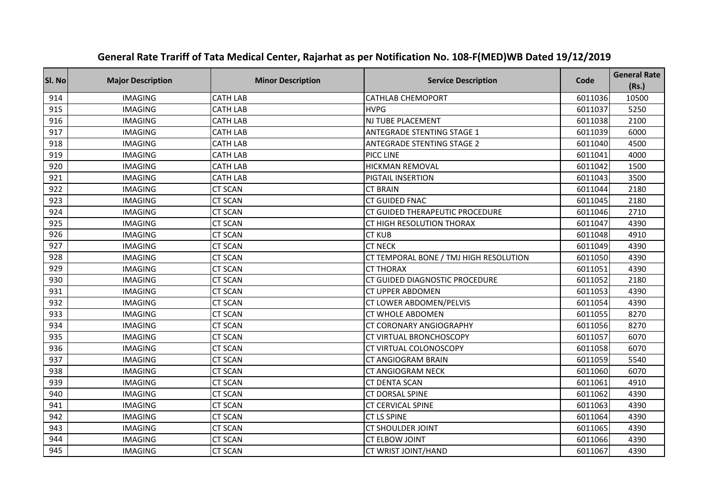| SI. No | <b>Major Description</b> | <b>Minor Description</b> | <b>Service Description</b>             | Code    | <b>General Rate</b><br>(Rs.) |
|--------|--------------------------|--------------------------|----------------------------------------|---------|------------------------------|
| 914    | <b>IMAGING</b>           | <b>CATH LAB</b>          | <b>CATHLAB CHEMOPORT</b>               | 6011036 | 10500                        |
| 915    | <b>IMAGING</b>           | <b>CATH LAB</b>          | <b>HVPG</b>                            | 6011037 | 5250                         |
| 916    | <b>IMAGING</b>           | <b>CATH LAB</b>          | NJ TUBE PLACEMENT                      | 6011038 | 2100                         |
| 917    | <b>IMAGING</b>           | <b>CATH LAB</b>          | <b>ANTEGRADE STENTING STAGE 1</b>      | 6011039 | 6000                         |
| 918    | <b>IMAGING</b>           | <b>CATH LAB</b>          | <b>ANTEGRADE STENTING STAGE 2</b>      | 6011040 | 4500                         |
| 919    | <b>IMAGING</b>           | <b>CATH LAB</b>          | PICC LINE                              | 6011041 | 4000                         |
| 920    | <b>IMAGING</b>           | <b>CATH LAB</b>          | <b>HICKMAN REMOVAL</b>                 | 6011042 | 1500                         |
| 921    | <b>IMAGING</b>           | <b>CATH LAB</b>          | PIGTAIL INSERTION                      | 6011043 | 3500                         |
| 922    | <b>IMAGING</b>           | <b>CT SCAN</b>           | <b>CT BRAIN</b>                        | 6011044 | 2180                         |
| 923    | <b>IMAGING</b>           | <b>CT SCAN</b>           | <b>CT GUIDED FNAC</b>                  | 6011045 | 2180                         |
| 924    | <b>IMAGING</b>           | <b>CT SCAN</b>           | <b>CT GUIDED THERAPEUTIC PROCEDURE</b> | 6011046 | 2710                         |
| 925    | <b>IMAGING</b>           | <b>CT SCAN</b>           | CT HIGH RESOLUTION THORAX              | 6011047 | 4390                         |
| 926    | <b>IMAGING</b>           | <b>CT SCAN</b>           | <b>CT KUB</b>                          | 6011048 | 4910                         |
| 927    | <b>IMAGING</b>           | <b>CT SCAN</b>           | <b>CT NECK</b>                         | 6011049 | 4390                         |
| 928    | <b>IMAGING</b>           | <b>CT SCAN</b>           | CT TEMPORAL BONE / TMJ HIGH RESOLUTION | 6011050 | 4390                         |
| 929    | <b>IMAGING</b>           | <b>CT SCAN</b>           | <b>CT THORAX</b>                       | 6011051 | 4390                         |
| 930    | <b>IMAGING</b>           | <b>CT SCAN</b>           | CT GUIDED DIAGNOSTIC PROCEDURE         | 6011052 | 2180                         |
| 931    | <b>IMAGING</b>           | <b>CT SCAN</b>           | <b>CT UPPER ABDOMEN</b>                | 6011053 | 4390                         |
| 932    | <b>IMAGING</b>           | <b>CT SCAN</b>           | CT LOWER ABDOMEN/PELVIS                | 6011054 | 4390                         |
| 933    | <b>IMAGING</b>           | <b>CT SCAN</b>           | <b>CT WHOLE ABDOMEN</b>                | 6011055 | 8270                         |
| 934    | <b>IMAGING</b>           | <b>CT SCAN</b>           | CT CORONARY ANGIOGRAPHY                | 6011056 | 8270                         |
| 935    | <b>IMAGING</b>           | <b>CT SCAN</b>           | CT VIRTUAL BRONCHOSCOPY                | 6011057 | 6070                         |
| 936    | <b>IMAGING</b>           | <b>CT SCAN</b>           | CT VIRTUAL COLONOSCOPY                 | 6011058 | 6070                         |
| 937    | <b>IMAGING</b>           | <b>CT SCAN</b>           | CT ANGIOGRAM BRAIN                     | 6011059 | 5540                         |
| 938    | <b>IMAGING</b>           | <b>CT SCAN</b>           | CT ANGIOGRAM NECK                      | 6011060 | 6070                         |
| 939    | <b>IMAGING</b>           | <b>CT SCAN</b>           | <b>CT DENTA SCAN</b>                   | 6011061 | 4910                         |
| 940    | <b>IMAGING</b>           | <b>CT SCAN</b>           | <b>CT DORSAL SPINE</b>                 | 6011062 | 4390                         |
| 941    | <b>IMAGING</b>           | <b>CT SCAN</b>           | <b>CT CERVICAL SPINE</b>               | 6011063 | 4390                         |
| 942    | <b>IMAGING</b>           | <b>CT SCAN</b>           | <b>CT LS SPINE</b>                     | 6011064 | 4390                         |
| 943    | <b>IMAGING</b>           | <b>CT SCAN</b>           | <b>CT SHOULDER JOINT</b>               | 6011065 | 4390                         |
| 944    | <b>IMAGING</b>           | <b>CT SCAN</b>           | <b>CT ELBOW JOINT</b>                  | 6011066 | 4390                         |
| 945    | <b>IMAGING</b>           | <b>CT SCAN</b>           | CT WRIST JOINT/HAND                    | 6011067 | 4390                         |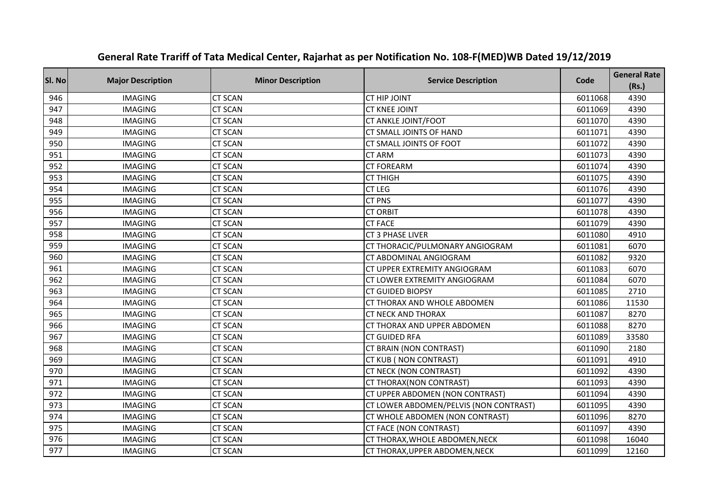| SI. No | <b>Major Description</b> | <b>Minor Description</b> | <b>Service Description</b>             | Code    | <b>General Rate</b><br>(Rs.) |
|--------|--------------------------|--------------------------|----------------------------------------|---------|------------------------------|
| 946    | <b>IMAGING</b>           | <b>CT SCAN</b>           | <b>CT HIP JOINT</b>                    | 6011068 | 4390                         |
| 947    | <b>IMAGING</b>           | <b>CT SCAN</b>           | <b>CT KNEE JOINT</b>                   | 6011069 | 4390                         |
| 948    | <b>IMAGING</b>           | <b>CT SCAN</b>           | CT ANKLE JOINT/FOOT                    | 6011070 | 4390                         |
| 949    | <b>IMAGING</b>           | <b>CT SCAN</b>           | CT SMALL JOINTS OF HAND                | 6011071 | 4390                         |
| 950    | <b>IMAGING</b>           | <b>CT SCAN</b>           | CT SMALL JOINTS OF FOOT                | 6011072 | 4390                         |
| 951    | <b>IMAGING</b>           | <b>CT SCAN</b>           | <b>CT ARM</b>                          | 6011073 | 4390                         |
| 952    | <b>IMAGING</b>           | <b>CT SCAN</b>           | <b>CT FOREARM</b>                      | 6011074 | 4390                         |
| 953    | <b>IMAGING</b>           | <b>CT SCAN</b>           | <b>CT THIGH</b>                        | 6011075 | 4390                         |
| 954    | <b>IMAGING</b>           | <b>CT SCAN</b>           | <b>CT LEG</b>                          | 6011076 | 4390                         |
| 955    | <b>IMAGING</b>           | <b>CT SCAN</b>           | <b>CT PNS</b>                          | 6011077 | 4390                         |
| 956    | <b>IMAGING</b>           | <b>CT SCAN</b>           | <b>CT ORBIT</b>                        | 6011078 | 4390                         |
| 957    | <b>IMAGING</b>           | <b>CT SCAN</b>           | <b>CT FACE</b>                         | 6011079 | 4390                         |
| 958    | <b>IMAGING</b>           | <b>CT SCAN</b>           | <b>CT 3 PHASE LIVER</b>                | 6011080 | 4910                         |
| 959    | <b>IMAGING</b>           | <b>CT SCAN</b>           | CT THORACIC/PULMONARY ANGIOGRAM        | 6011081 | 6070                         |
| 960    | <b>IMAGING</b>           | <b>CT SCAN</b>           | CT ABDOMINAL ANGIOGRAM                 | 6011082 | 9320                         |
| 961    | <b>IMAGING</b>           | <b>CT SCAN</b>           | CT UPPER EXTREMITY ANGIOGRAM           | 6011083 | 6070                         |
| 962    | <b>IMAGING</b>           | <b>CT SCAN</b>           | CT LOWER EXTREMITY ANGIOGRAM           | 6011084 | 6070                         |
| 963    | <b>IMAGING</b>           | <b>CT SCAN</b>           | <b>CT GUIDED BIOPSY</b>                | 6011085 | 2710                         |
| 964    | <b>IMAGING</b>           | <b>CT SCAN</b>           | CT THORAX AND WHOLE ABDOMEN            | 6011086 | 11530                        |
| 965    | <b>IMAGING</b>           | <b>CT SCAN</b>           | <b>CT NECK AND THORAX</b>              | 6011087 | 8270                         |
| 966    | <b>IMAGING</b>           | <b>CT SCAN</b>           | CT THORAX AND UPPER ABDOMEN            | 6011088 | 8270                         |
| 967    | <b>IMAGING</b>           | <b>CT SCAN</b>           | <b>CT GUIDED RFA</b>                   | 6011089 | 33580                        |
| 968    | <b>IMAGING</b>           | <b>CT SCAN</b>           | CT BRAIN (NON CONTRAST)                | 6011090 | 2180                         |
| 969    | <b>IMAGING</b>           | <b>CT SCAN</b>           | CT KUB (NON CONTRAST)                  | 6011091 | 4910                         |
| 970    | <b>IMAGING</b>           | <b>CT SCAN</b>           | <b>CT NECK (NON CONTRAST)</b>          | 6011092 | 4390                         |
| 971    | <b>IMAGING</b>           | <b>CT SCAN</b>           | CT THORAX(NON CONTRAST)                | 6011093 | 4390                         |
| 972    | <b>IMAGING</b>           | <b>CT SCAN</b>           | CT UPPER ABDOMEN (NON CONTRAST)        | 6011094 | 4390                         |
| 973    | <b>IMAGING</b>           | <b>CT SCAN</b>           | CT LOWER ABDOMEN/PELVIS (NON CONTRAST) | 6011095 | 4390                         |
| 974    | <b>IMAGING</b>           | <b>CT SCAN</b>           | CT WHOLE ABDOMEN (NON CONTRAST)        | 6011096 | 8270                         |
| 975    | <b>IMAGING</b>           | <b>CT SCAN</b>           | CT FACE (NON CONTRAST)                 | 6011097 | 4390                         |
| 976    | <b>IMAGING</b>           | <b>CT SCAN</b>           | CT THORAX, WHOLE ABDOMEN, NECK         | 6011098 | 16040                        |
| 977    | <b>IMAGING</b>           | <b>CT SCAN</b>           | CT THORAX, UPPER ABDOMEN, NECK         | 6011099 | 12160                        |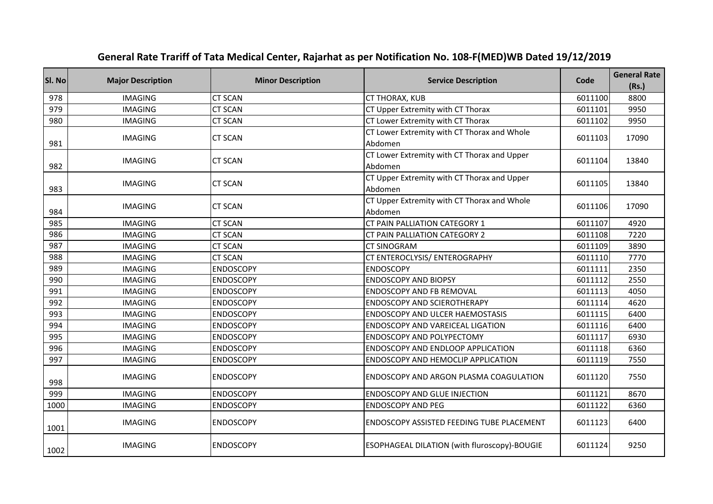| SI. No | <b>Major Description</b> | <b>Minor Description</b> | <b>Service Description</b>                             | Code    | <b>General Rate</b><br>(Rs.) |
|--------|--------------------------|--------------------------|--------------------------------------------------------|---------|------------------------------|
| 978    | <b>IMAGING</b>           | <b>CT SCAN</b>           | CT THORAX, KUB                                         | 6011100 | 8800                         |
| 979    | <b>IMAGING</b>           | <b>CT SCAN</b>           | CT Upper Extremity with CT Thorax                      | 6011101 | 9950                         |
| 980    | <b>IMAGING</b>           | <b>CT SCAN</b>           | CT Lower Extremity with CT Thorax                      | 6011102 | 9950                         |
| 981    | <b>IMAGING</b>           | <b>CT SCAN</b>           | CT Lower Extremity with CT Thorax and Whole<br>Abdomen | 6011103 | 17090                        |
| 982    | <b>IMAGING</b>           | <b>CT SCAN</b>           | CT Lower Extremity with CT Thorax and Upper<br>Abdomen | 6011104 | 13840                        |
| 983    | <b>IMAGING</b>           | <b>CT SCAN</b>           | CT Upper Extremity with CT Thorax and Upper<br>Abdomen | 6011105 | 13840                        |
| 984    | <b>IMAGING</b>           | <b>CT SCAN</b>           | CT Upper Extremity with CT Thorax and Whole<br>Abdomen | 6011106 | 17090                        |
| 985    | <b>IMAGING</b>           | <b>CT SCAN</b>           | CT PAIN PALLIATION CATEGORY 1                          | 6011107 | 4920                         |
| 986    | <b>IMAGING</b>           | <b>CT SCAN</b>           | CT PAIN PALLIATION CATEGORY 2                          | 6011108 | 7220                         |
| 987    | <b>IMAGING</b>           | <b>CT SCAN</b>           | <b>CT SINOGRAM</b>                                     | 6011109 | 3890                         |
| 988    | <b>IMAGING</b>           | <b>CT SCAN</b>           | CT ENTEROCLYSIS/ ENTEROGRAPHY                          | 6011110 | 7770                         |
| 989    | <b>IMAGING</b>           | <b>ENDOSCOPY</b>         | <b>ENDOSCOPY</b>                                       | 6011111 | 2350                         |
| 990    | <b>IMAGING</b>           | <b>ENDOSCOPY</b>         | <b>ENDOSCOPY AND BIOPSY</b>                            | 6011112 | 2550                         |
| 991    | <b>IMAGING</b>           | <b>ENDOSCOPY</b>         | <b>ENDOSCOPY AND FB REMOVAL</b>                        | 6011113 | 4050                         |
| 992    | <b>IMAGING</b>           | <b>ENDOSCOPY</b>         | ENDOSCOPY AND SCIEROTHERAPY                            | 6011114 | 4620                         |
| 993    | <b>IMAGING</b>           | <b>ENDOSCOPY</b>         | <b>ENDOSCOPY AND ULCER HAEMOSTASIS</b>                 | 6011115 | 6400                         |
| 994    | <b>IMAGING</b>           | <b>ENDOSCOPY</b>         | ENDOSCOPY AND VAREICEAL LIGATION                       | 6011116 | 6400                         |
| 995    | <b>IMAGING</b>           | <b>ENDOSCOPY</b>         | ENDOSCOPY AND POLYPECTOMY                              | 6011117 | 6930                         |
| 996    | <b>IMAGING</b>           | <b>ENDOSCOPY</b>         | ENDOSCOPY AND ENDLOOP APPLICATION                      | 6011118 | 6360                         |
| 997    | <b>IMAGING</b>           | <b>ENDOSCOPY</b>         | ENDOSCOPY AND HEMOCLIP APPLICATION                     | 6011119 | 7550                         |
| 998    | <b>IMAGING</b>           | <b>ENDOSCOPY</b>         | ENDOSCOPY AND ARGON PLASMA COAGULATION                 | 6011120 | 7550                         |
| 999    | <b>IMAGING</b>           | <b>ENDOSCOPY</b>         | <b>ENDOSCOPY AND GLUE INJECTION</b>                    | 6011121 | 8670                         |
| 1000   | <b>IMAGING</b>           | <b>ENDOSCOPY</b>         | <b>ENDOSCOPY AND PEG</b>                               | 6011122 | 6360                         |
| 1001   | <b>IMAGING</b>           | ENDOSCOPY                | <b>ENDOSCOPY ASSISTED FEEDING TUBE PLACEMENT</b>       | 6011123 | 6400                         |
| 1002   | <b>IMAGING</b>           | <b>ENDOSCOPY</b>         | ESOPHAGEAL DILATION (with fluroscopy)-BOUGIE           | 6011124 | 9250                         |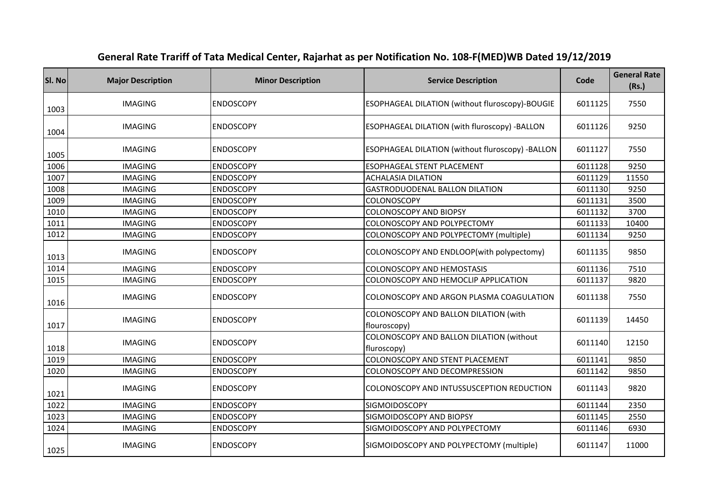| SI. No | <b>Major Description</b> | <b>Minor Description</b> | <b>Service Description</b>                              | Code    | <b>General Rate</b><br>(Rs.) |
|--------|--------------------------|--------------------------|---------------------------------------------------------|---------|------------------------------|
| 1003   | <b>IMAGING</b>           | <b>ENDOSCOPY</b>         | ESOPHAGEAL DILATION (without fluroscopy)-BOUGIE         | 6011125 | 7550                         |
| 1004   | <b>IMAGING</b>           | <b>ENDOSCOPY</b>         | ESOPHAGEAL DILATION (with fluroscopy) -BALLON           | 6011126 | 9250                         |
| 1005   | <b>IMAGING</b>           | <b>ENDOSCOPY</b>         | ESOPHAGEAL DILATION (without fluroscopy) -BALLON        | 6011127 | 7550                         |
| 1006   | <b>IMAGING</b>           | <b>ENDOSCOPY</b>         | <b>ESOPHAGEAL STENT PLACEMENT</b>                       | 6011128 | 9250                         |
| 1007   | <b>IMAGING</b>           | <b>ENDOSCOPY</b>         | <b>ACHALASIA DILATION</b>                               | 6011129 | 11550                        |
| 1008   | <b>IMAGING</b>           | <b>ENDOSCOPY</b>         | <b>GASTRODUODENAL BALLON DILATION</b>                   | 6011130 | 9250                         |
| 1009   | <b>IMAGING</b>           | <b>ENDOSCOPY</b>         | <b>COLONOSCOPY</b>                                      | 6011131 | 3500                         |
| 1010   | <b>IMAGING</b>           | <b>ENDOSCOPY</b>         | <b>COLONOSCOPY AND BIOPSY</b>                           | 6011132 | 3700                         |
| 1011   | <b>IMAGING</b>           | <b>ENDOSCOPY</b>         | COLONOSCOPY AND POLYPECTOMY                             | 6011133 | 10400                        |
| 1012   | <b>IMAGING</b>           | <b>ENDOSCOPY</b>         | COLONOSCOPY AND POLYPECTOMY (multiple)                  | 6011134 | 9250                         |
| 1013   | <b>IMAGING</b>           | <b>ENDOSCOPY</b>         | COLONOSCOPY AND ENDLOOP(with polypectomy)               | 6011135 | 9850                         |
| 1014   | <b>IMAGING</b>           | <b>ENDOSCOPY</b>         | <b>COLONOSCOPY AND HEMOSTASIS</b>                       | 6011136 | 7510                         |
| 1015   | <b>IMAGING</b>           | <b>ENDOSCOPY</b>         | COLONOSCOPY AND HEMOCLIP APPLICATION                    | 6011137 | 9820                         |
| 1016   | <b>IMAGING</b>           | <b>ENDOSCOPY</b>         | COLONOSCOPY AND ARGON PLASMA COAGULATION                | 6011138 | 7550                         |
| 1017   | <b>IMAGING</b>           | <b>ENDOSCOPY</b>         | COLONOSCOPY AND BALLON DILATION (with<br>flouroscopy)   | 6011139 | 14450                        |
| 1018   | <b>IMAGING</b>           | <b>ENDOSCOPY</b>         | COLONOSCOPY AND BALLON DILATION (without<br>fluroscopy) | 6011140 | 12150                        |
| 1019   | <b>IMAGING</b>           | <b>ENDOSCOPY</b>         | COLONOSCOPY AND STENT PLACEMENT                         | 6011141 | 9850                         |
| 1020   | <b>IMAGING</b>           | <b>ENDOSCOPY</b>         | COLONOSCOPY AND DECOMPRESSION                           | 6011142 | 9850                         |
| 1021   | <b>IMAGING</b>           | <b>ENDOSCOPY</b>         | COLONOSCOPY AND INTUSSUSCEPTION REDUCTION               | 6011143 | 9820                         |
| 1022   | <b>IMAGING</b>           | <b>ENDOSCOPY</b>         | SIGMOIDOSCOPY                                           | 6011144 | 2350                         |
| 1023   | <b>IMAGING</b>           | <b>ENDOSCOPY</b>         | SIGMOIDOSCOPY AND BIOPSY                                | 6011145 | 2550                         |
| 1024   | <b>IMAGING</b>           | <b>ENDOSCOPY</b>         | SIGMOIDOSCOPY AND POLYPECTOMY                           | 6011146 | 6930                         |
| 1025   | <b>IMAGING</b>           | <b>ENDOSCOPY</b>         | SIGMOIDOSCOPY AND POLYPECTOMY (multiple)                | 6011147 | 11000                        |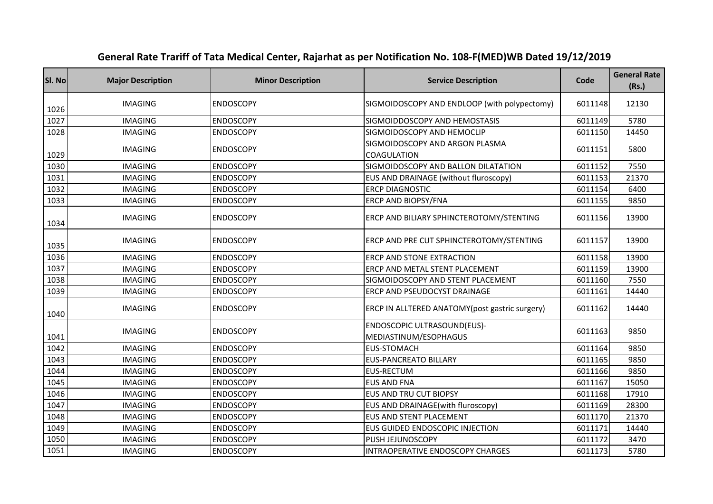| SI. No | <b>Major Description</b> | <b>Minor Description</b> | <b>Service Description</b>                           | Code    | <b>General Rate</b><br>(Rs.) |
|--------|--------------------------|--------------------------|------------------------------------------------------|---------|------------------------------|
| 1026   | <b>IMAGING</b>           | <b>ENDOSCOPY</b>         | SIGMOIDOSCOPY AND ENDLOOP (with polypectomy)         | 6011148 | 12130                        |
| 1027   | <b>IMAGING</b>           | <b>ENDOSCOPY</b>         | SIGMOIDDOSCOPY AND HEMOSTASIS                        | 6011149 | 5780                         |
| 1028   | <b>IMAGING</b>           | <b>ENDOSCOPY</b>         | SIGMOIDOSCOPY AND HEMOCLIP                           | 6011150 | 14450                        |
| 1029   | <b>IMAGING</b>           | <b>ENDOSCOPY</b>         | SIGMOIDOSCOPY AND ARGON PLASMA<br><b>COAGULATION</b> | 6011151 | 5800                         |
| 1030   | <b>IMAGING</b>           | <b>ENDOSCOPY</b>         | SIGMOIDOSCOPY AND BALLON DILATATION                  | 6011152 | 7550                         |
| 1031   | <b>IMAGING</b>           | <b>ENDOSCOPY</b>         | EUS AND DRAINAGE (without fluroscopy)                | 6011153 | 21370                        |
| 1032   | <b>IMAGING</b>           | <b>ENDOSCOPY</b>         | <b>ERCP DIAGNOSTIC</b>                               | 6011154 | 6400                         |
| 1033   | <b>IMAGING</b>           | <b>ENDOSCOPY</b>         | ERCP AND BIOPSY/FNA                                  | 6011155 | 9850                         |
| 1034   | <b>IMAGING</b>           | <b>ENDOSCOPY</b>         | ERCP AND BILIARY SPHINCTEROTOMY/STENTING             | 6011156 | 13900                        |
| 1035   | <b>IMAGING</b>           | <b>ENDOSCOPY</b>         | ERCP AND PRE CUT SPHINCTEROTOMY/STENTING             | 6011157 | 13900                        |
| 1036   | <b>IMAGING</b>           | <b>ENDOSCOPY</b>         | <b>ERCP AND STONE EXTRACTION</b>                     | 6011158 | 13900                        |
| 1037   | <b>IMAGING</b>           | <b>ENDOSCOPY</b>         | ERCP AND METAL STENT PLACEMENT                       | 6011159 | 13900                        |
| 1038   | <b>IMAGING</b>           | <b>ENDOSCOPY</b>         | SIGMOIDOSCOPY AND STENT PLACEMENT                    | 6011160 | 7550                         |
| 1039   | <b>IMAGING</b>           | <b>ENDOSCOPY</b>         | ERCP AND PSEUDOCYST DRAINAGE                         | 6011161 | 14440                        |
| 1040   | <b>IMAGING</b>           | <b>ENDOSCOPY</b>         | ERCP IN ALLTERED ANATOMY(post gastric surgery)       | 6011162 | 14440                        |
| 1041   | <b>IMAGING</b>           | <b>ENDOSCOPY</b>         | ENDOSCOPIC ULTRASOUND(EUS)-<br>MEDIASTINUM/ESOPHAGUS | 6011163 | 9850                         |
| 1042   | <b>IMAGING</b>           | <b>ENDOSCOPY</b>         | <b>EUS-STOMACH</b>                                   | 6011164 | 9850                         |
| 1043   | <b>IMAGING</b>           | <b>ENDOSCOPY</b>         | <b>EUS-PANCREATO BILLARY</b>                         | 6011165 | 9850                         |
| 1044   | <b>IMAGING</b>           | <b>ENDOSCOPY</b>         | <b>EUS-RECTUM</b>                                    | 6011166 | 9850                         |
| 1045   | <b>IMAGING</b>           | <b>ENDOSCOPY</b>         | <b>EUS AND FNA</b>                                   | 6011167 | 15050                        |
| 1046   | <b>IMAGING</b>           | <b>ENDOSCOPY</b>         | <b>EUS AND TRU CUT BIOPSY</b>                        | 6011168 | 17910                        |
| 1047   | <b>IMAGING</b>           | <b>ENDOSCOPY</b>         | EUS AND DRAINAGE(with fluroscopy)                    | 6011169 | 28300                        |
| 1048   | <b>IMAGING</b>           | <b>ENDOSCOPY</b>         | <b>EUS AND STENT PLACEMENT</b>                       | 6011170 | 21370                        |
| 1049   | <b>IMAGING</b>           | <b>ENDOSCOPY</b>         | EUS GUIDED ENDOSCOPIC INJECTION                      | 6011171 | 14440                        |
| 1050   | <b>IMAGING</b>           | <b>ENDOSCOPY</b>         | PUSH JEJUNOSCOPY                                     | 6011172 | 3470                         |
| 1051   | <b>IMAGING</b>           | <b>ENDOSCOPY</b>         | <b>INTRAOPERATIVE ENDOSCOPY CHARGES</b>              | 6011173 | 5780                         |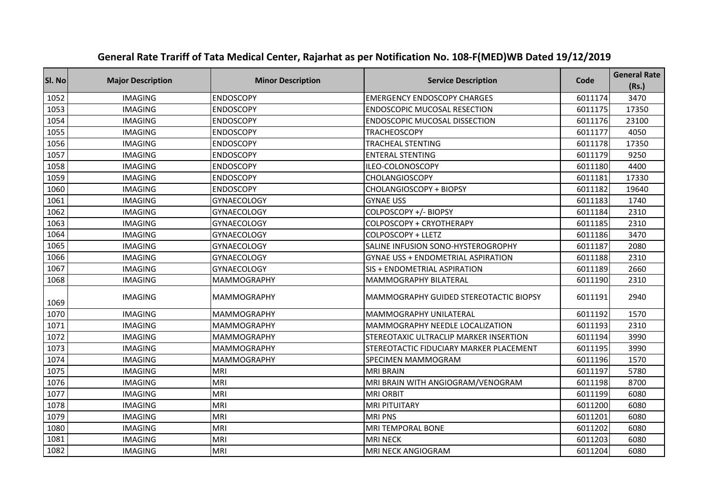| SI. No | <b>Major Description</b> | <b>Minor Description</b> | <b>Service Description</b>                | Code    | <b>General Rate</b><br>(Rs.) |
|--------|--------------------------|--------------------------|-------------------------------------------|---------|------------------------------|
| 1052   | <b>IMAGING</b>           | <b>ENDOSCOPY</b>         | <b>EMERGENCY ENDOSCOPY CHARGES</b>        | 6011174 | 3470                         |
| 1053   | <b>IMAGING</b>           | <b>ENDOSCOPY</b>         | <b>ENDOSCOPIC MUCOSAL RESECTION</b>       | 6011175 | 17350                        |
| 1054   | <b>IMAGING</b>           | <b>ENDOSCOPY</b>         | <b>ENDOSCOPIC MUCOSAL DISSECTION</b>      | 6011176 | 23100                        |
| 1055   | <b>IMAGING</b>           | <b>ENDOSCOPY</b>         | <b>TRACHEOSCOPY</b>                       | 6011177 | 4050                         |
| 1056   | <b>IMAGING</b>           | <b>ENDOSCOPY</b>         | TRACHEAL STENTING                         | 6011178 | 17350                        |
| 1057   | <b>IMAGING</b>           | <b>ENDOSCOPY</b>         | <b>ENTERAL STENTING</b>                   | 6011179 | 9250                         |
| 1058   | <b>IMAGING</b>           | <b>ENDOSCOPY</b>         | ILEO-COLONOSCOPY                          | 6011180 | 4400                         |
| 1059   | <b>IMAGING</b>           | <b>ENDOSCOPY</b>         | CHOLANGIOSCOPY                            | 6011181 | 17330                        |
| 1060   | <b>IMAGING</b>           | <b>ENDOSCOPY</b>         | <b>CHOLANGIOSCOPY + BIOPSY</b>            | 6011182 | 19640                        |
| 1061   | <b>IMAGING</b>           | <b>GYNAECOLOGY</b>       | <b>GYNAE USS</b>                          | 6011183 | 1740                         |
| 1062   | <b>IMAGING</b>           | <b>GYNAECOLOGY</b>       | COLPOSCOPY +/- BIOPSY                     | 6011184 | 2310                         |
| 1063   | <b>IMAGING</b>           | GYNAECOLOGY              | COLPOSCOPY + CRYOTHERAPY                  | 6011185 | 2310                         |
| 1064   | <b>IMAGING</b>           | <b>GYNAECOLOGY</b>       | COLPOSCOPY + LLETZ                        | 6011186 | 3470                         |
| 1065   | <b>IMAGING</b>           | <b>GYNAECOLOGY</b>       | SALINE INFUSION SONO-HYSTEROGROPHY        | 6011187 | 2080                         |
| 1066   | <b>IMAGING</b>           | <b>GYNAECOLOGY</b>       | <b>GYNAE USS + ENDOMETRIAL ASPIRATION</b> | 6011188 | 2310                         |
| 1067   | <b>IMAGING</b>           | <b>GYNAECOLOGY</b>       | SIS + ENDOMETRIAL ASPIRATION              | 6011189 | 2660                         |
| 1068   | <b>IMAGING</b>           | <b>MAMMOGRAPHY</b>       | MAMMOGRAPHY BILATERAL                     | 6011190 | 2310                         |
| 1069   | <b>IMAGING</b>           | <b>MAMMOGRAPHY</b>       | MAMMOGRAPHY GUIDED STEREOTACTIC BIOPSY    | 6011191 | 2940                         |
| 1070   | <b>IMAGING</b>           | <b>MAMMOGRAPHY</b>       | MAMMOGRAPHY UNILATERAL                    | 6011192 | 1570                         |
| 1071   | <b>IMAGING</b>           | <b>MAMMOGRAPHY</b>       | MAMMOGRAPHY NEEDLE LOCALIZATION           | 6011193 | 2310                         |
| 1072   | <b>IMAGING</b>           | <b>MAMMOGRAPHY</b>       | STEREOTAXIC ULTRACLIP MARKER INSERTION    | 6011194 | 3990                         |
| 1073   | <b>IMAGING</b>           | <b>MAMMOGRAPHY</b>       | STEREOTACTIC FIDUCIARY MARKER PLACEMENT   | 6011195 | 3990                         |
| 1074   | <b>IMAGING</b>           | <b>MAMMOGRAPHY</b>       | SPECIMEN MAMMOGRAM                        | 6011196 | 1570                         |
| 1075   | <b>IMAGING</b>           | <b>MRI</b>               | <b>MRI BRAIN</b>                          | 6011197 | 5780                         |
| 1076   | <b>IMAGING</b>           | MRI                      | MRI BRAIN WITH ANGIOGRAM/VENOGRAM         | 6011198 | 8700                         |
| 1077   | <b>IMAGING</b>           | <b>MRI</b>               | <b>MRI ORBIT</b>                          | 6011199 | 6080                         |
| 1078   | <b>IMAGING</b>           | <b>MRI</b>               | <b>MRI PITUITARY</b>                      | 6011200 | 6080                         |
| 1079   | <b>IMAGING</b>           | <b>MRI</b>               | <b>MRIPNS</b>                             | 6011201 | 6080                         |
| 1080   | <b>IMAGING</b>           | <b>MRI</b>               | MRI TEMPORAL BONE                         | 6011202 | 6080                         |
| 1081   | <b>IMAGING</b>           | <b>MRI</b>               | <b>MRI NECK</b>                           | 6011203 | 6080                         |
| 1082   | <b>IMAGING</b>           | <b>MRI</b>               | MRI NECK ANGIOGRAM                        | 6011204 | 6080                         |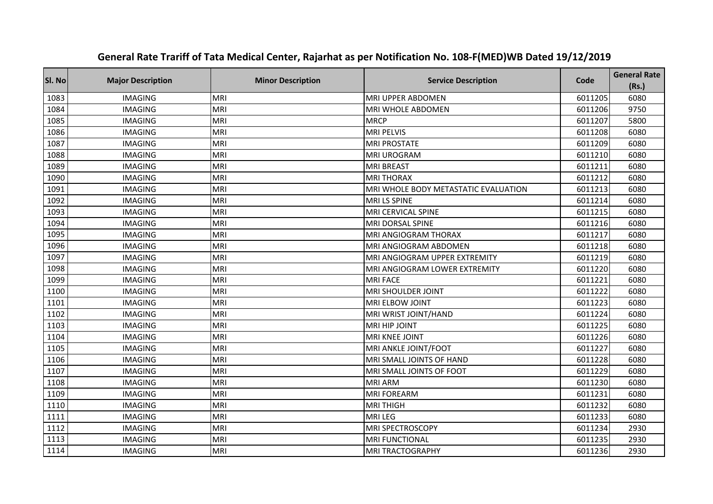| Sl. No | <b>Major Description</b> | <b>Minor Description</b> | <b>Service Description</b>           | Code    | <b>General Rate</b><br>(Rs.) |
|--------|--------------------------|--------------------------|--------------------------------------|---------|------------------------------|
| 1083   | <b>IMAGING</b>           | MRI                      | MRI UPPER ABDOMEN                    | 6011205 | 6080                         |
| 1084   | <b>IMAGING</b>           | <b>MRI</b>               | MRI WHOLE ABDOMEN                    | 6011206 | 9750                         |
| 1085   | <b>IMAGING</b>           | <b>MRI</b>               | <b>MRCP</b>                          | 6011207 | 5800                         |
| 1086   | <b>IMAGING</b>           | <b>MRI</b>               | <b>MRI PELVIS</b>                    | 6011208 | 6080                         |
| 1087   | <b>IMAGING</b>           | <b>MRI</b>               | <b>MRI PROSTATE</b>                  | 6011209 | 6080                         |
| 1088   | <b>IMAGING</b>           | <b>MRI</b>               | <b>MRI UROGRAM</b>                   | 6011210 | 6080                         |
| 1089   | <b>IMAGING</b>           | <b>MRI</b>               | <b>MRI BREAST</b>                    | 6011211 | 6080                         |
| 1090   | <b>IMAGING</b>           | <b>MRI</b>               | <b>MRI THORAX</b>                    | 6011212 | 6080                         |
| 1091   | <b>IMAGING</b>           | <b>MRI</b>               | MRI WHOLE BODY METASTATIC EVALUATION | 6011213 | 6080                         |
| 1092   | <b>IMAGING</b>           | MRI                      | MRI LS SPINE                         | 6011214 | 6080                         |
| 1093   | <b>IMAGING</b>           | <b>MRI</b>               | MRI CERVICAL SPINE                   | 6011215 | 6080                         |
| 1094   | <b>IMAGING</b>           | <b>MRI</b>               | MRI DORSAL SPINE                     | 6011216 | 6080                         |
| 1095   | <b>IMAGING</b>           | <b>MRI</b>               | MRI ANGIOGRAM THORAX                 | 6011217 | 6080                         |
| 1096   | <b>IMAGING</b>           | <b>MRI</b>               | MRI ANGIOGRAM ABDOMEN                | 6011218 | 6080                         |
| 1097   | <b>IMAGING</b>           | <b>MRI</b>               | MRI ANGIOGRAM UPPER EXTREMITY        | 6011219 | 6080                         |
| 1098   | <b>IMAGING</b>           | <b>MRI</b>               | MRI ANGIOGRAM LOWER EXTREMITY        | 6011220 | 6080                         |
| 1099   | <b>IMAGING</b>           | <b>MRI</b>               | <b>MRI FACE</b>                      | 6011221 | 6080                         |
| 1100   | <b>IMAGING</b>           | <b>MRI</b>               | MRI SHOULDER JOINT                   | 6011222 | 6080                         |
| 1101   | <b>IMAGING</b>           | <b>MRI</b>               | MRI ELBOW JOINT                      | 6011223 | 6080                         |
| 1102   | <b>IMAGING</b>           | <b>MRI</b>               | MRI WRIST JOINT/HAND                 | 6011224 | 6080                         |
| 1103   | <b>IMAGING</b>           | <b>MRI</b>               | MRI HIP JOINT                        | 6011225 | 6080                         |
| 1104   | <b>IMAGING</b>           | <b>MRI</b>               | MRI KNEE JOINT                       | 6011226 | 6080                         |
| 1105   | <b>IMAGING</b>           | <b>MRI</b>               | MRI ANKLE JOINT/FOOT                 | 6011227 | 6080                         |
| 1106   | <b>IMAGING</b>           | <b>MRI</b>               | MRI SMALL JOINTS OF HAND             | 6011228 | 6080                         |
| 1107   | <b>IMAGING</b>           | <b>MRI</b>               | MRI SMALL JOINTS OF FOOT             | 6011229 | 6080                         |
| 1108   | <b>IMAGING</b>           | <b>MRI</b>               | <b>MRI ARM</b>                       | 6011230 | 6080                         |
| 1109   | <b>IMAGING</b>           | <b>MRI</b>               | <b>MRI FOREARM</b>                   | 6011231 | 6080                         |
| 1110   | <b>IMAGING</b>           | <b>MRI</b>               | <b>MRI THIGH</b>                     | 6011232 | 6080                         |
| 1111   | <b>IMAGING</b>           | <b>MRI</b>               | <b>MRILEG</b>                        | 6011233 | 6080                         |
| 1112   | <b>IMAGING</b>           | <b>MRI</b>               | MRI SPECTROSCOPY                     | 6011234 | 2930                         |
| 1113   | <b>IMAGING</b>           | <b>MRI</b>               | <b>MRI FUNCTIONAL</b>                | 6011235 | 2930                         |
| 1114   | <b>IMAGING</b>           | <b>MRI</b>               | <b>MRI TRACTOGRAPHY</b>              | 6011236 | 2930                         |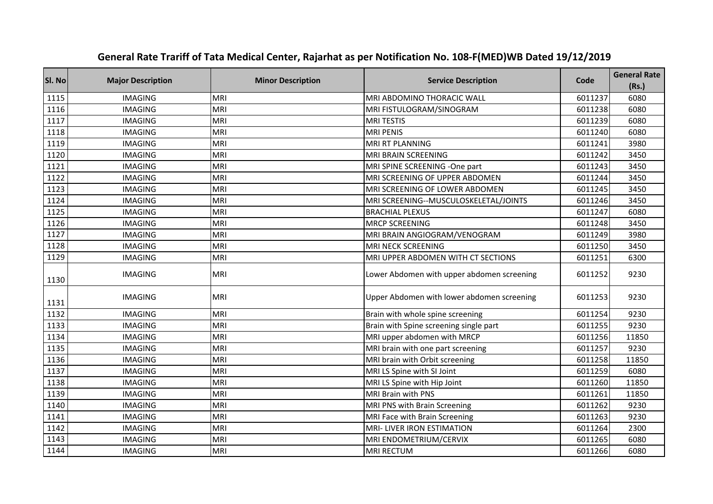| SI. No | <b>Major Description</b> | <b>Minor Description</b> | <b>Service Description</b>                 | Code    | <b>General Rate</b><br>(Rs.) |
|--------|--------------------------|--------------------------|--------------------------------------------|---------|------------------------------|
| 1115   | <b>IMAGING</b>           | <b>MRI</b>               | MRI ABDOMINO THORACIC WALL                 | 6011237 | 6080                         |
| 1116   | <b>IMAGING</b>           | <b>MRI</b>               | MRI FISTULOGRAM/SINOGRAM                   | 6011238 | 6080                         |
| 1117   | <b>IMAGING</b>           | <b>MRI</b>               | <b>MRI TESTIS</b>                          | 6011239 | 6080                         |
| 1118   | <b>IMAGING</b>           | <b>MRI</b>               | <b>MRI PENIS</b>                           | 6011240 | 6080                         |
| 1119   | <b>IMAGING</b>           | <b>MRI</b>               | MRI RT PLANNING                            | 6011241 | 3980                         |
| 1120   | <b>IMAGING</b>           | <b>MRI</b>               | MRI BRAIN SCREENING                        | 6011242 | 3450                         |
| 1121   | <b>IMAGING</b>           | <b>MRI</b>               | MRI SPINE SCREENING -One part              | 6011243 | 3450                         |
| 1122   | <b>IMAGING</b>           | <b>MRI</b>               | MRI SCREENING OF UPPER ABDOMEN             | 6011244 | 3450                         |
| 1123   | <b>IMAGING</b>           | <b>MRI</b>               | MRI SCREENING OF LOWER ABDOMEN             | 6011245 | 3450                         |
| 1124   | <b>IMAGING</b>           | <b>MRI</b>               | MRI SCREENING--MUSCULOSKELETAL/JOINTS      | 6011246 | 3450                         |
| 1125   | <b>IMAGING</b>           | <b>MRI</b>               | <b>BRACHIAL PLEXUS</b>                     | 6011247 | 6080                         |
| 1126   | <b>IMAGING</b>           | <b>MRI</b>               | <b>MRCP SCREENING</b>                      | 6011248 | 3450                         |
| 1127   | <b>IMAGING</b>           | <b>MRI</b>               | MRI BRAIN ANGIOGRAM/VENOGRAM               | 6011249 | 3980                         |
| 1128   | <b>IMAGING</b>           | <b>MRI</b>               | MRI NECK SCREENING                         | 6011250 | 3450                         |
| 1129   | <b>IMAGING</b>           | <b>MRI</b>               | MRI UPPER ABDOMEN WITH CT SECTIONS         | 6011251 | 6300                         |
| 1130   | <b>IMAGING</b>           | MRI                      | Lower Abdomen with upper abdomen screening | 6011252 | 9230                         |
| 1131   | <b>IMAGING</b>           | MRI                      | Upper Abdomen with lower abdomen screening | 6011253 | 9230                         |
| 1132   | <b>IMAGING</b>           | <b>MRI</b>               | Brain with whole spine screening           | 6011254 | 9230                         |
| 1133   | <b>IMAGING</b>           | <b>MRI</b>               | Brain with Spine screening single part     | 6011255 | 9230                         |
| 1134   | <b>IMAGING</b>           | <b>MRI</b>               | MRI upper abdomen with MRCP                | 6011256 | 11850                        |
| 1135   | <b>IMAGING</b>           | <b>MRI</b>               | MRI brain with one part screening          | 6011257 | 9230                         |
| 1136   | <b>IMAGING</b>           | <b>MRI</b>               | MRI brain with Orbit screening             | 6011258 | 11850                        |
| 1137   | <b>IMAGING</b>           | <b>MRI</b>               | MRI LS Spine with SI Joint                 | 6011259 | 6080                         |
| 1138   | <b>IMAGING</b>           | <b>MRI</b>               | MRI LS Spine with Hip Joint                | 6011260 | 11850                        |
| 1139   | <b>IMAGING</b>           | <b>MRI</b>               | MRI Brain with PNS                         | 6011261 | 11850                        |
| 1140   | <b>IMAGING</b>           | <b>MRI</b>               | MRI PNS with Brain Screening               | 6011262 | 9230                         |
| 1141   | <b>IMAGING</b>           | <b>MRI</b>               | MRI Face with Brain Screening              | 6011263 | 9230                         |
| 1142   | <b>IMAGING</b>           | <b>MRI</b>               | MRI-LIVER IRON ESTIMATION                  | 6011264 | 2300                         |
| 1143   | <b>IMAGING</b>           | <b>MRI</b>               | MRI ENDOMETRIUM/CERVIX                     | 6011265 | 6080                         |
| 1144   | <b>IMAGING</b>           | <b>MRI</b>               | <b>MRI RECTUM</b>                          | 6011266 | 6080                         |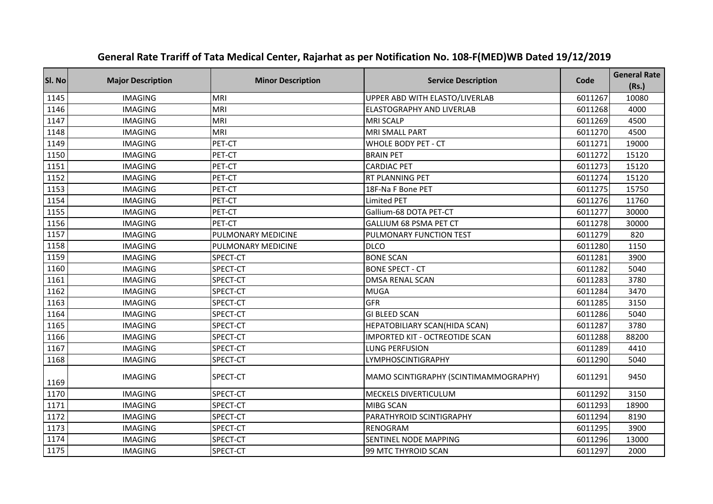| SI. No | <b>Major Description</b> | <b>Minor Description</b> | <b>Service Description</b>            | Code    | <b>General Rate</b><br>(Rs.) |
|--------|--------------------------|--------------------------|---------------------------------------|---------|------------------------------|
| 1145   | <b>IMAGING</b>           | <b>MRI</b>               | UPPER ABD WITH ELASTO/LIVERLAB        | 6011267 | 10080                        |
| 1146   | <b>IMAGING</b>           | <b>MRI</b>               | <b>ELASTOGRAPHY AND LIVERLAB</b>      | 6011268 | 4000                         |
| 1147   | <b>IMAGING</b>           | <b>MRI</b>               | <b>MRI SCALP</b>                      | 6011269 | 4500                         |
| 1148   | <b>IMAGING</b>           | <b>MRI</b>               | <b>MRI SMALL PART</b>                 | 6011270 | 4500                         |
| 1149   | <b>IMAGING</b>           | PET-CT                   | <b>WHOLE BODY PET - CT</b>            | 6011271 | 19000                        |
| 1150   | <b>IMAGING</b>           | PET-CT                   | <b>BRAIN PET</b>                      | 6011272 | 15120                        |
| 1151   | <b>IMAGING</b>           | PET-CT                   | <b>CARDIAC PET</b>                    | 6011273 | 15120                        |
| 1152   | <b>IMAGING</b>           | PET-CT                   | RT PLANNING PET                       | 6011274 | 15120                        |
| 1153   | <b>IMAGING</b>           | PET-CT                   | 18F-Na F Bone PET                     | 6011275 | 15750                        |
| 1154   | <b>IMAGING</b>           | PET-CT                   | <b>Limited PET</b>                    | 6011276 | 11760                        |
| 1155   | <b>IMAGING</b>           | PET-CT                   | Gallium-68 DOTA PET-CT                | 6011277 | 30000                        |
| 1156   | <b>IMAGING</b>           | PET-CT                   | <b>GALLIUM 68 PSMA PET CT</b>         | 6011278 | 30000                        |
| 1157   | <b>IMAGING</b>           | PULMONARY MEDICINE       | PULMONARY FUNCTION TEST               | 6011279 | 820                          |
| 1158   | <b>IMAGING</b>           | PULMONARY MEDICINE       | <b>DLCO</b>                           | 6011280 | 1150                         |
| 1159   | <b>IMAGING</b>           | SPECT-CT                 | <b>BONE SCAN</b>                      | 6011281 | 3900                         |
| 1160   | <b>IMAGING</b>           | SPECT-CT                 | <b>BONE SPECT - CT</b>                | 6011282 | 5040                         |
| 1161   | <b>IMAGING</b>           | SPECT-CT                 | <b>DMSA RENAL SCAN</b>                | 6011283 | 3780                         |
| 1162   | <b>IMAGING</b>           | SPECT-CT                 | <b>MUGA</b>                           | 6011284 | 3470                         |
| 1163   | <b>IMAGING</b>           | SPECT-CT                 | <b>GFR</b>                            | 6011285 | 3150                         |
| 1164   | <b>IMAGING</b>           | SPECT-CT                 | <b>GI BLEED SCAN</b>                  | 6011286 | 5040                         |
| 1165   | <b>IMAGING</b>           | SPECT-CT                 | HEPATOBILIARY SCAN(HIDA SCAN)         | 6011287 | 3780                         |
| 1166   | <b>IMAGING</b>           | SPECT-CT                 | IMPORTED KIT - OCTREOTIDE SCAN        | 6011288 | 88200                        |
| 1167   | <b>IMAGING</b>           | SPECT-CT                 | <b>LUNG PERFUSION</b>                 | 6011289 | 4410                         |
| 1168   | <b>IMAGING</b>           | SPECT-CT                 | LYMPHOSCINTIGRAPHY                    | 6011290 | 5040                         |
| 1169   | <b>IMAGING</b>           | SPECT-CT                 | MAMO SCINTIGRAPHY (SCINTIMAMMOGRAPHY) | 6011291 | 9450                         |
| 1170   | <b>IMAGING</b>           | SPECT-CT                 | <b>MECKELS DIVERTICULUM</b>           | 6011292 | 3150                         |
| 1171   | <b>IMAGING</b>           | SPECT-CT                 | <b>MIBG SCAN</b>                      | 6011293 | 18900                        |
| 1172   | <b>IMAGING</b>           | SPECT-CT                 | PARATHYROID SCINTIGRAPHY              | 6011294 | 8190                         |
| 1173   | <b>IMAGING</b>           | SPECT-CT                 | <b>RENOGRAM</b>                       | 6011295 | 3900                         |
| 1174   | <b>IMAGING</b>           | SPECT-CT                 | SENTINEL NODE MAPPING                 | 6011296 | 13000                        |
| 1175   | <b>IMAGING</b>           | SPECT-CT                 | 99 MTC THYROID SCAN                   | 6011297 | 2000                         |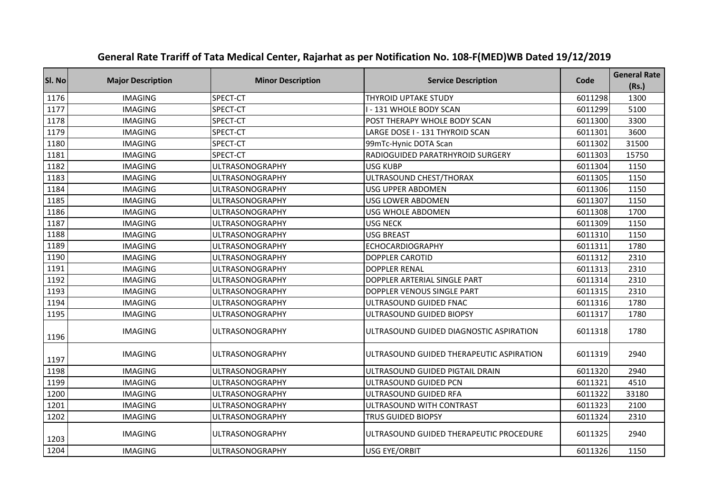| SI. No | <b>Major Description</b> | <b>Minor Description</b> | <b>Service Description</b>               | Code    | <b>General Rate</b><br>(Rs.) |
|--------|--------------------------|--------------------------|------------------------------------------|---------|------------------------------|
| 1176   | <b>IMAGING</b>           | SPECT-CT                 | <b>THYROID UPTAKE STUDY</b>              | 6011298 | 1300                         |
| 1177   | <b>IMAGING</b>           | SPECT-CT                 | I - 131 WHOLE BODY SCAN                  | 6011299 | 5100                         |
| 1178   | <b>IMAGING</b>           | SPECT-CT                 | POST THERAPY WHOLE BODY SCAN             | 6011300 | 3300                         |
| 1179   | <b>IMAGING</b>           | SPECT-CT                 | LARGE DOSE I - 131 THYROID SCAN          | 6011301 | 3600                         |
| 1180   | <b>IMAGING</b>           | SPECT-CT                 | 99mTc-Hynic DOTA Scan                    | 6011302 | 31500                        |
| 1181   | <b>IMAGING</b>           | SPECT-CT                 | RADIOGUIDED PARATRHYROID SURGERY         | 6011303 | 15750                        |
| 1182   | <b>IMAGING</b>           | <b>ULTRASONOGRAPHY</b>   | <b>USG KUBP</b>                          | 6011304 | 1150                         |
| 1183   | <b>IMAGING</b>           | <b>ULTRASONOGRAPHY</b>   | ULTRASOUND CHEST/THORAX                  | 6011305 | 1150                         |
| 1184   | <b>IMAGING</b>           | <b>ULTRASONOGRAPHY</b>   | <b>USG UPPER ABDOMEN</b>                 | 6011306 | 1150                         |
| 1185   | <b>IMAGING</b>           | <b>ULTRASONOGRAPHY</b>   | <b>USG LOWER ABDOMEN</b>                 | 6011307 | 1150                         |
| 1186   | <b>IMAGING</b>           | <b>ULTRASONOGRAPHY</b>   | <b>USG WHOLE ABDOMEN</b>                 | 6011308 | 1700                         |
| 1187   | <b>IMAGING</b>           | <b>ULTRASONOGRAPHY</b>   | <b>USG NECK</b>                          | 6011309 | 1150                         |
| 1188   | <b>IMAGING</b>           | <b>ULTRASONOGRAPHY</b>   | <b>USG BREAST</b>                        | 6011310 | 1150                         |
| 1189   | <b>IMAGING</b>           | <b>ULTRASONOGRAPHY</b>   | <b>ECHOCARDIOGRAPHY</b>                  | 6011311 | 1780                         |
| 1190   | <b>IMAGING</b>           | <b>ULTRASONOGRAPHY</b>   | <b>DOPPLER CAROTID</b>                   | 6011312 | 2310                         |
| 1191   | <b>IMAGING</b>           | <b>ULTRASONOGRAPHY</b>   | <b>DOPPLER RENAL</b>                     | 6011313 | 2310                         |
| 1192   | <b>IMAGING</b>           | <b>ULTRASONOGRAPHY</b>   | DOPPLER ARTERIAL SINGLE PART             | 6011314 | 2310                         |
| 1193   | <b>IMAGING</b>           | <b>ULTRASONOGRAPHY</b>   | DOPPLER VENOUS SINGLE PART               | 6011315 | 2310                         |
| 1194   | <b>IMAGING</b>           | <b>ULTRASONOGRAPHY</b>   | ULTRASOUND GUIDED FNAC                   | 6011316 | 1780                         |
| 1195   | <b>IMAGING</b>           | <b>ULTRASONOGRAPHY</b>   | ULTRASOUND GUIDED BIOPSY                 | 6011317 | 1780                         |
| 1196   | <b>IMAGING</b>           | <b>ULTRASONOGRAPHY</b>   | ULTRASOUND GUIDED DIAGNOSTIC ASPIRATION  | 6011318 | 1780                         |
| 1197   | <b>IMAGING</b>           | <b>ULTRASONOGRAPHY</b>   | ULTRASOUND GUIDED THERAPEUTIC ASPIRATION | 6011319 | 2940                         |
| 1198   | <b>IMAGING</b>           | <b>ULTRASONOGRAPHY</b>   | ULTRASOUND GUIDED PIGTAIL DRAIN          | 6011320 | 2940                         |
| 1199   | <b>IMAGING</b>           | <b>ULTRASONOGRAPHY</b>   | ULTRASOUND GUIDED PCN                    | 6011321 | 4510                         |
| 1200   | <b>IMAGING</b>           | <b>ULTRASONOGRAPHY</b>   | ULTRASOUND GUIDED RFA                    | 6011322 | 33180                        |
| 1201   | <b>IMAGING</b>           | <b>ULTRASONOGRAPHY</b>   | ULTRASOUND WITH CONTRAST                 | 6011323 | 2100                         |
| 1202   | <b>IMAGING</b>           | <b>ULTRASONOGRAPHY</b>   | <b>TRUS GUIDED BIOPSY</b>                | 6011324 | 2310                         |
| 1203   | <b>IMAGING</b>           | <b>ULTRASONOGRAPHY</b>   | ULTRASOUND GUIDED THERAPEUTIC PROCEDURE  | 6011325 | 2940                         |
| 1204   | <b>IMAGING</b>           | <b>ULTRASONOGRAPHY</b>   | <b>USG EYE/ORBIT</b>                     | 6011326 | 1150                         |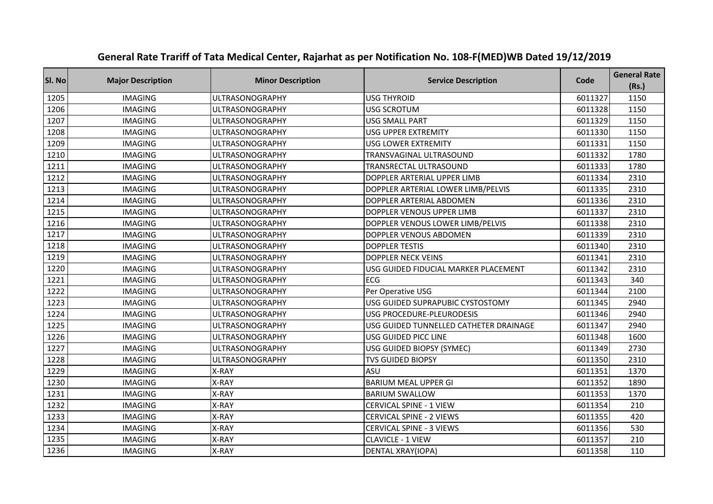| SI. No | <b>Major Description</b> | <b>Minor Description</b> | <b>Service Description</b>             | Code    | <b>General Rate</b><br>(Rs.) |
|--------|--------------------------|--------------------------|----------------------------------------|---------|------------------------------|
| 1205   | <b>IMAGING</b>           | <b>ULTRASONOGRAPHY</b>   | <b>USG THYROID</b>                     | 6011327 | 1150                         |
| 1206   | <b>IMAGING</b>           | <b>ULTRASONOGRAPHY</b>   | <b>USG SCROTUM</b>                     | 6011328 | 1150                         |
| 1207   | <b>IMAGING</b>           | <b>ULTRASONOGRAPHY</b>   | <b>USG SMALL PART</b>                  | 6011329 | 1150                         |
| 1208   | <b>IMAGING</b>           | <b>ULTRASONOGRAPHY</b>   | USG UPPER EXTREMITY                    | 6011330 | 1150                         |
| 1209   | <b>IMAGING</b>           | <b>ULTRASONOGRAPHY</b>   | <b>USG LOWER EXTREMITY</b>             | 6011331 | 1150                         |
| 1210   | <b>IMAGING</b>           | <b>ULTRASONOGRAPHY</b>   | TRANSVAGINAL ULTRASOUND                | 6011332 | 1780                         |
| 1211   | <b>IMAGING</b>           | ULTRASONOGRAPHY          | TRANSRECTAL ULTRASOUND                 | 6011333 | 1780                         |
| 1212   | <b>IMAGING</b>           | <b>ULTRASONOGRAPHY</b>   | DOPPLER ARTERIAL UPPER LIMB            | 6011334 | 2310                         |
| 1213   | <b>IMAGING</b>           | <b>ULTRASONOGRAPHY</b>   | DOPPLER ARTERIAL LOWER LIMB/PELVIS     | 6011335 | 2310                         |
| 1214   | <b>IMAGING</b>           | ULTRASONOGRAPHY          | DOPPLER ARTERIAL ABDOMEN               | 6011336 | 2310                         |
| 1215   | <b>IMAGING</b>           | <b>ULTRASONOGRAPHY</b>   | DOPPLER VENOUS UPPER LIMB              | 6011337 | 2310                         |
| 1216   | <b>IMAGING</b>           | ULTRASONOGRAPHY          | DOPPLER VENOUS LOWER LIMB/PELVIS       | 6011338 | 2310                         |
| 1217   | <b>IMAGING</b>           | <b>ULTRASONOGRAPHY</b>   | DOPPLER VENOUS ABDOMEN                 | 6011339 | 2310                         |
| 1218   | <b>IMAGING</b>           | <b>ULTRASONOGRAPHY</b>   | <b>DOPPLER TESTIS</b>                  | 6011340 | 2310                         |
| 1219   | <b>IMAGING</b>           | <b>ULTRASONOGRAPHY</b>   | <b>DOPPLER NECK VEINS</b>              | 6011341 | 2310                         |
| 1220   | <b>IMAGING</b>           | <b>ULTRASONOGRAPHY</b>   | USG GUIDED FIDUCIAL MARKER PLACEMENT   | 6011342 | 2310                         |
| 1221   | <b>IMAGING</b>           | <b>ULTRASONOGRAPHY</b>   | <b>ECG</b>                             | 6011343 | 340                          |
| 1222   | <b>IMAGING</b>           | <b>ULTRASONOGRAPHY</b>   | Per Operative USG                      | 6011344 | 2100                         |
| 1223   | <b>IMAGING</b>           | <b>ULTRASONOGRAPHY</b>   | USG GUIDED SUPRAPUBIC CYSTOSTOMY       | 6011345 | 2940                         |
| 1224   | <b>IMAGING</b>           | <b>ULTRASONOGRAPHY</b>   | USG PROCEDURE-PLEURODESIS              | 6011346 | 2940                         |
| 1225   | <b>IMAGING</b>           | <b>ULTRASONOGRAPHY</b>   | USG GUIDED TUNNELLED CATHETER DRAINAGE | 6011347 | 2940                         |
| 1226   | <b>IMAGING</b>           | <b>ULTRASONOGRAPHY</b>   | USG GUIDED PICC LINE                   | 6011348 | 1600                         |
| 1227   | <b>IMAGING</b>           | <b>ULTRASONOGRAPHY</b>   | USG GUIDED BIOPSY (SYMEC)              | 6011349 | 2730                         |
| 1228   | <b>IMAGING</b>           | <b>ULTRASONOGRAPHY</b>   | <b>TVS GUIDED BIOPSY</b>               | 6011350 | 2310                         |
| 1229   | <b>IMAGING</b>           | X-RAY                    | ASU                                    | 6011351 | 1370                         |
| 1230   | <b>IMAGING</b>           | X-RAY                    | <b>BARIUM MEAL UPPER GI</b>            | 6011352 | 1890                         |
| 1231   | <b>IMAGING</b>           | X-RAY                    | <b>BARIUM SWALLOW</b>                  | 6011353 | 1370                         |
| 1232   | <b>IMAGING</b>           | X-RAY                    | <b>CERVICAL SPINE - 1 VIEW</b>         | 6011354 | 210                          |
| 1233   | <b>IMAGING</b>           | X-RAY                    | <b>CERVICAL SPINE - 2 VIEWS</b>        | 6011355 | 420                          |
| 1234   | <b>IMAGING</b>           | X-RAY                    | <b>CERVICAL SPINE - 3 VIEWS</b>        | 6011356 | 530                          |
| 1235   | <b>IMAGING</b>           | X-RAY                    | <b>CLAVICLE - 1 VIEW</b>               | 6011357 | 210                          |
| 1236   | <b>IMAGING</b>           | X-RAY                    | DENTAL XRAY(IOPA)                      | 6011358 | 110                          |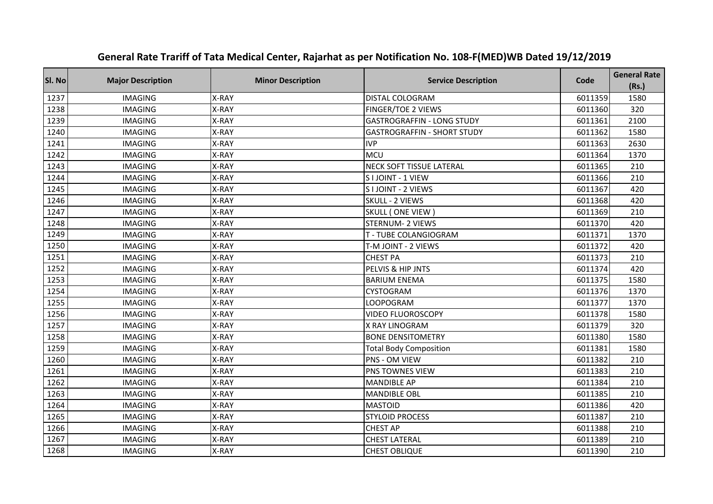| Sl. No | <b>Major Description</b> | <b>Minor Description</b> | <b>Service Description</b>         | Code    | <b>General Rate</b><br>(Rs.) |
|--------|--------------------------|--------------------------|------------------------------------|---------|------------------------------|
| 1237   | <b>IMAGING</b>           | X-RAY                    | DISTAL COLOGRAM                    | 6011359 | 1580                         |
| 1238   | <b>IMAGING</b>           | X-RAY                    | FINGER/TOE 2 VIEWS                 | 6011360 | 320                          |
| 1239   | <b>IMAGING</b>           | X-RAY                    | <b>GASTROGRAFFIN - LONG STUDY</b>  | 6011361 | 2100                         |
| 1240   | <b>IMAGING</b>           | X-RAY                    | <b>GASTROGRAFFIN - SHORT STUDY</b> | 6011362 | 1580                         |
| 1241   | <b>IMAGING</b>           | X-RAY                    | <b>IVP</b>                         | 6011363 | 2630                         |
| 1242   | <b>IMAGING</b>           | X-RAY                    | MCU                                | 6011364 | 1370                         |
| 1243   | <b>IMAGING</b>           | X-RAY                    | <b>NECK SOFT TISSUE LATERAL</b>    | 6011365 | 210                          |
| 1244   | <b>IMAGING</b>           | X-RAY                    | S I JOINT - 1 VIEW                 | 6011366 | 210                          |
| 1245   | <b>IMAGING</b>           | X-RAY                    | S I JOINT - 2 VIEWS                | 6011367 | 420                          |
| 1246   | <b>IMAGING</b>           | X-RAY                    | SKULL - 2 VIEWS                    | 6011368 | 420                          |
| 1247   | <b>IMAGING</b>           | X-RAY                    | SKULL (ONE VIEW)                   | 6011369 | 210                          |
| 1248   | <b>IMAGING</b>           | X-RAY                    | <b>STERNUM- 2 VIEWS</b>            | 6011370 | 420                          |
| 1249   | <b>IMAGING</b>           | X-RAY                    | T - TUBE COLANGIOGRAM              | 6011371 | 1370                         |
| 1250   | <b>IMAGING</b>           | X-RAY                    | T-M JOINT - 2 VIEWS                | 6011372 | 420                          |
| 1251   | <b>IMAGING</b>           | X-RAY                    | <b>CHEST PA</b>                    | 6011373 | 210                          |
| 1252   | <b>IMAGING</b>           | X-RAY                    | PELVIS & HIP JNTS                  | 6011374 | 420                          |
| 1253   | <b>IMAGING</b>           | X-RAY                    | <b>BARIUM ENEMA</b>                | 6011375 | 1580                         |
| 1254   | <b>IMAGING</b>           | X-RAY                    | CYSTOGRAM                          | 6011376 | 1370                         |
| 1255   | <b>IMAGING</b>           | X-RAY                    | <b>LOOPOGRAM</b>                   | 6011377 | 1370                         |
| 1256   | <b>IMAGING</b>           | X-RAY                    | <b>VIDEO FLUOROSCOPY</b>           | 6011378 | 1580                         |
| 1257   | <b>IMAGING</b>           | X-RAY                    | X RAY LINOGRAM                     | 6011379 | 320                          |
| 1258   | <b>IMAGING</b>           | X-RAY                    | <b>BONE DENSITOMETRY</b>           | 6011380 | 1580                         |
| 1259   | <b>IMAGING</b>           | X-RAY                    | <b>Total Body Composition</b>      | 6011381 | 1580                         |
| 1260   | <b>IMAGING</b>           | X-RAY                    | PNS - OM VIEW                      | 6011382 | 210                          |
| 1261   | <b>IMAGING</b>           | X-RAY                    | PNS TOWNES VIEW                    | 6011383 | 210                          |
| 1262   | <b>IMAGING</b>           | X-RAY                    | <b>MANDIBLE AP</b>                 | 6011384 | 210                          |
| 1263   | <b>IMAGING</b>           | X-RAY                    | <b>MANDIBLE OBL</b>                | 6011385 | 210                          |
| 1264   | <b>IMAGING</b>           | X-RAY                    | <b>MASTOID</b>                     | 6011386 | 420                          |
| 1265   | <b>IMAGING</b>           | X-RAY                    | <b>STYLOID PROCESS</b>             | 6011387 | 210                          |
| 1266   | <b>IMAGING</b>           | X-RAY                    | <b>CHEST AP</b>                    | 6011388 | 210                          |
| 1267   | <b>IMAGING</b>           | X-RAY                    | <b>CHEST LATERAL</b>               | 6011389 | 210                          |
| 1268   | <b>IMAGING</b>           | X-RAY                    | <b>CHEST OBLIQUE</b>               | 6011390 | 210                          |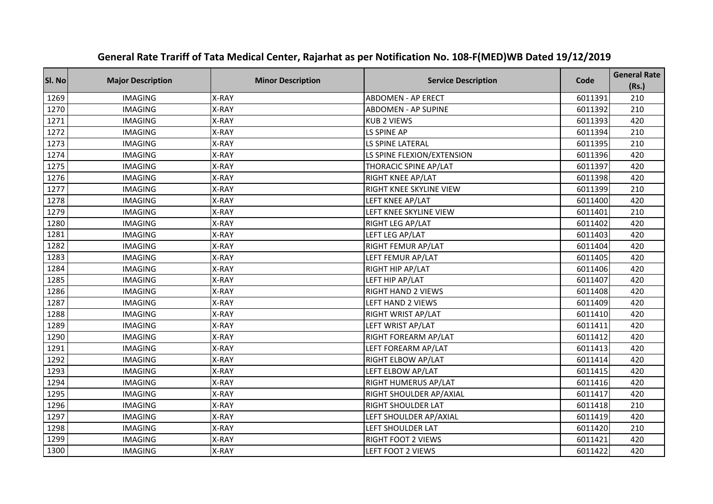| Sl. No | <b>Major Description</b> | <b>Minor Description</b> | <b>Service Description</b>     | Code    | <b>General Rate</b><br>(Rs.) |
|--------|--------------------------|--------------------------|--------------------------------|---------|------------------------------|
| 1269   | <b>IMAGING</b>           | X-RAY                    | <b>ABDOMEN - AP ERECT</b>      | 6011391 | 210                          |
| 1270   | <b>IMAGING</b>           | X-RAY                    | <b>ABDOMEN - AP SUPINE</b>     | 6011392 | 210                          |
| 1271   | <b>IMAGING</b>           | X-RAY                    | <b>KUB 2 VIEWS</b>             | 6011393 | 420                          |
| 1272   | <b>IMAGING</b>           | X-RAY                    | LS SPINE AP                    | 6011394 | 210                          |
| 1273   | <b>IMAGING</b>           | X-RAY                    | <b>LS SPINE LATERAL</b>        | 6011395 | 210                          |
| 1274   | <b>IMAGING</b>           | X-RAY                    | LS SPINE FLEXION/EXTENSION     | 6011396 | 420                          |
| 1275   | <b>IMAGING</b>           | X-RAY                    | THORACIC SPINE AP/LAT          | 6011397 | 420                          |
| 1276   | <b>IMAGING</b>           | X-RAY                    | <b>RIGHT KNEE AP/LAT</b>       | 6011398 | 420                          |
| 1277   | <b>IMAGING</b>           | X-RAY                    | RIGHT KNEE SKYLINE VIEW        | 6011399 | 210                          |
| 1278   | <b>IMAGING</b>           | X-RAY                    | LEFT KNEE AP/LAT               | 6011400 | 420                          |
| 1279   | <b>IMAGING</b>           | X-RAY                    | LEFT KNEE SKYLINE VIEW         | 6011401 | 210                          |
| 1280   | <b>IMAGING</b>           | X-RAY                    | RIGHT LEG AP/LAT               | 6011402 | 420                          |
| 1281   | <b>IMAGING</b>           | X-RAY                    | LEFT LEG AP/LAT                | 6011403 | 420                          |
| 1282   | <b>IMAGING</b>           | X-RAY                    | RIGHT FEMUR AP/LAT             | 6011404 | 420                          |
| 1283   | <b>IMAGING</b>           | X-RAY                    | LEFT FEMUR AP/LAT              | 6011405 | 420                          |
| 1284   | <b>IMAGING</b>           | X-RAY                    | RIGHT HIP AP/LAT               | 6011406 | 420                          |
| 1285   | <b>IMAGING</b>           | X-RAY                    | LEFT HIP AP/LAT                | 6011407 | 420                          |
| 1286   | <b>IMAGING</b>           | X-RAY                    | <b>RIGHT HAND 2 VIEWS</b>      | 6011408 | 420                          |
| 1287   | <b>IMAGING</b>           | X-RAY                    | LEFT HAND 2 VIEWS              | 6011409 | 420                          |
| 1288   | <b>IMAGING</b>           | X-RAY                    | RIGHT WRIST AP/LAT             | 6011410 | 420                          |
| 1289   | <b>IMAGING</b>           | X-RAY                    | LEFT WRIST AP/LAT              | 6011411 | 420                          |
| 1290   | <b>IMAGING</b>           | X-RAY                    | RIGHT FOREARM AP/LAT           | 6011412 | 420                          |
| 1291   | <b>IMAGING</b>           | X-RAY                    | LEFT FOREARM AP/LAT            | 6011413 | 420                          |
| 1292   | <b>IMAGING</b>           | X-RAY                    | RIGHT ELBOW AP/LAT             | 6011414 | 420                          |
| 1293   | <b>IMAGING</b>           | X-RAY                    | LEFT ELBOW AP/LAT              | 6011415 | 420                          |
| 1294   | <b>IMAGING</b>           | X-RAY                    | RIGHT HUMERUS AP/LAT           | 6011416 | 420                          |
| 1295   | <b>IMAGING</b>           | X-RAY                    | <b>RIGHT SHOULDER AP/AXIAL</b> | 6011417 | 420                          |
| 1296   | <b>IMAGING</b>           | X-RAY                    | <b>RIGHT SHOULDER LAT</b>      | 6011418 | 210                          |
| 1297   | <b>IMAGING</b>           | X-RAY                    | LEFT SHOULDER AP/AXIAL         | 6011419 | 420                          |
| 1298   | <b>IMAGING</b>           | X-RAY                    | LEFT SHOULDER LAT              | 6011420 | 210                          |
| 1299   | <b>IMAGING</b>           | X-RAY                    | RIGHT FOOT 2 VIEWS             | 6011421 | 420                          |
| 1300   | <b>IMAGING</b>           | X-RAY                    | LEFT FOOT 2 VIEWS              | 6011422 | 420                          |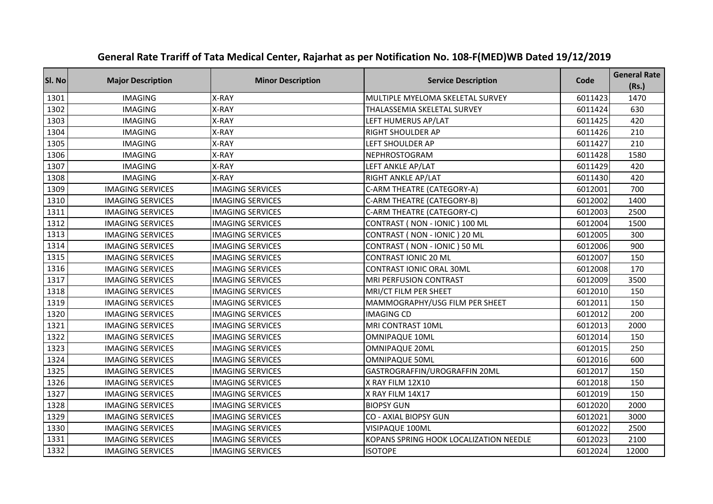| Sl. No | <b>Major Description</b> | <b>Minor Description</b> | <b>Service Description</b>             | Code    | <b>General Rate</b><br>(Rs.) |
|--------|--------------------------|--------------------------|----------------------------------------|---------|------------------------------|
| 1301   | <b>IMAGING</b>           | X-RAY                    | MULTIPLE MYELOMA SKELETAL SURVEY       | 6011423 | 1470                         |
| 1302   | <b>IMAGING</b>           | X-RAY                    | THALASSEMIA SKELETAL SURVEY            | 6011424 | 630                          |
| 1303   | <b>IMAGING</b>           | X-RAY                    | LEFT HUMERUS AP/LAT                    | 6011425 | 420                          |
| 1304   | <b>IMAGING</b>           | X-RAY                    | RIGHT SHOULDER AP                      | 6011426 | 210                          |
| 1305   | <b>IMAGING</b>           | X-RAY                    | LEFT SHOULDER AP                       | 6011427 | 210                          |
| 1306   | <b>IMAGING</b>           | X-RAY                    | NEPHROSTOGRAM                          | 6011428 | 1580                         |
| 1307   | <b>IMAGING</b>           | X-RAY                    | LEFT ANKLE AP/LAT                      | 6011429 | 420                          |
| 1308   | <b>IMAGING</b>           | X-RAY                    | RIGHT ANKLE AP/LAT                     | 6011430 | 420                          |
| 1309   | <b>IMAGING SERVICES</b>  | <b>IMAGING SERVICES</b>  | C-ARM THEATRE (CATEGORY-A)             | 6012001 | 700                          |
| 1310   | <b>IMAGING SERVICES</b>  | <b>IMAGING SERVICES</b>  | C-ARM THEATRE (CATEGORY-B)             | 6012002 | 1400                         |
| 1311   | <b>IMAGING SERVICES</b>  | <b>IMAGING SERVICES</b>  | C-ARM THEATRE (CATEGORY-C)             | 6012003 | 2500                         |
| 1312   | <b>IMAGING SERVICES</b>  | <b>IMAGING SERVICES</b>  | CONTRAST (NON - IONIC) 100 ML          | 6012004 | 1500                         |
| 1313   | <b>IMAGING SERVICES</b>  | <b>IMAGING SERVICES</b>  | CONTRAST (NON - IONIC) 20 ML           | 6012005 | 300                          |
| 1314   | <b>IMAGING SERVICES</b>  | <b>IMAGING SERVICES</b>  | CONTRAST (NON - IONIC) 50 ML           | 6012006 | 900                          |
| 1315   | <b>IMAGING SERVICES</b>  | <b>IMAGING SERVICES</b>  | CONTRAST IONIC 20 ML                   | 6012007 | 150                          |
| 1316   | <b>IMAGING SERVICES</b>  | <b>IMAGING SERVICES</b>  | <b>CONTRAST IONIC ORAL 30ML</b>        | 6012008 | 170                          |
| 1317   | <b>IMAGING SERVICES</b>  | <b>IMAGING SERVICES</b>  | MRI PERFUSION CONTRAST                 | 6012009 | 3500                         |
| 1318   | <b>IMAGING SERVICES</b>  | <b>IMAGING SERVICES</b>  | MRI/CT FILM PER SHEET                  | 6012010 | 150                          |
| 1319   | <b>IMAGING SERVICES</b>  | <b>IMAGING SERVICES</b>  | MAMMOGRAPHY/USG FILM PER SHEET         | 6012011 | 150                          |
| 1320   | <b>IMAGING SERVICES</b>  | <b>IMAGING SERVICES</b>  | <b>IMAGING CD</b>                      | 6012012 | 200                          |
| 1321   | <b>IMAGING SERVICES</b>  | <b>IMAGING SERVICES</b>  | MRI CONTRAST 10ML                      | 6012013 | 2000                         |
| 1322   | <b>IMAGING SERVICES</b>  | <b>IMAGING SERVICES</b>  | <b>OMNIPAQUE 10ML</b>                  | 6012014 | 150                          |
| 1323   | <b>IMAGING SERVICES</b>  | <b>IMAGING SERVICES</b>  | <b>OMNIPAQUE 20ML</b>                  | 6012015 | 250                          |
| 1324   | <b>IMAGING SERVICES</b>  | <b>IMAGING SERVICES</b>  | <b>OMNIPAQUE 50ML</b>                  | 6012016 | 600                          |
| 1325   | <b>IMAGING SERVICES</b>  | <b>IMAGING SERVICES</b>  | GASTROGRAFFIN/UROGRAFFIN 20ML          | 6012017 | 150                          |
| 1326   | <b>IMAGING SERVICES</b>  | <b>IMAGING SERVICES</b>  | X RAY FILM 12X10                       | 6012018 | 150                          |
| 1327   | <b>IMAGING SERVICES</b>  | <b>IMAGING SERVICES</b>  | X RAY FILM 14X17                       | 6012019 | 150                          |
| 1328   | <b>IMAGING SERVICES</b>  | <b>IMAGING SERVICES</b>  | <b>BIOPSY GUN</b>                      | 6012020 | 2000                         |
| 1329   | <b>IMAGING SERVICES</b>  | <b>IMAGING SERVICES</b>  | <b>CO - AXIAL BIOPSY GUN</b>           | 6012021 | 3000                         |
| 1330   | <b>IMAGING SERVICES</b>  | <b>IMAGING SERVICES</b>  | VISIPAQUE 100ML                        | 6012022 | 2500                         |
| 1331   | <b>IMAGING SERVICES</b>  | <b>IMAGING SERVICES</b>  | KOPANS SPRING HOOK LOCALIZATION NEEDLE | 6012023 | 2100                         |
| 1332   | <b>IMAGING SERVICES</b>  | <b>IMAGING SERVICES</b>  | <b>ISOTOPE</b>                         | 6012024 | 12000                        |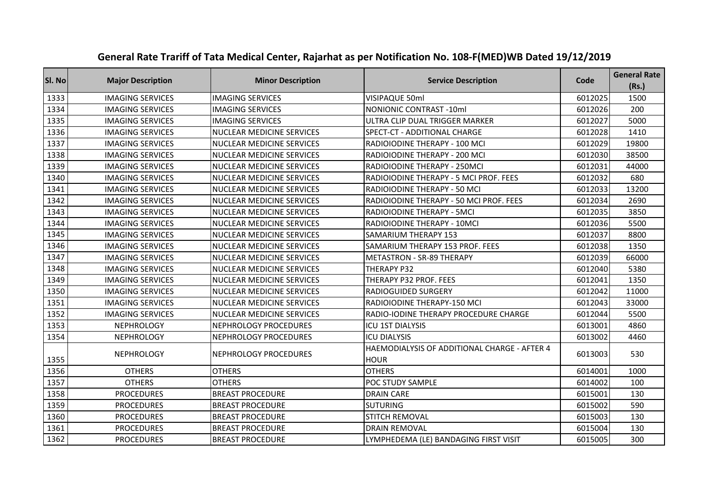| Sl. No | <b>Major Description</b> | <b>Minor Description</b>         | <b>Service Description</b>                                  | Code    | <b>General Rate</b><br>(Rs.) |
|--------|--------------------------|----------------------------------|-------------------------------------------------------------|---------|------------------------------|
| 1333   | <b>IMAGING SERVICES</b>  | <b>IMAGING SERVICES</b>          | VISIPAQUE 50ml                                              | 6012025 | 1500                         |
| 1334   | <b>IMAGING SERVICES</b>  | <b>IMAGING SERVICES</b>          | <b>NONIONIC CONTRAST -10ml</b>                              | 6012026 | 200                          |
| 1335   | <b>IMAGING SERVICES</b>  | <b>IMAGING SERVICES</b>          | ULTRA CLIP DUAL TRIGGER MARKER                              | 6012027 | 5000                         |
| 1336   | <b>IMAGING SERVICES</b>  | <b>NUCLEAR MEDICINE SERVICES</b> | SPECT-CT - ADDITIONAL CHARGE                                | 6012028 | 1410                         |
| 1337   | <b>IMAGING SERVICES</b>  | <b>NUCLEAR MEDICINE SERVICES</b> | RADIOIODINE THERAPY - 100 MCI                               | 6012029 | 19800                        |
| 1338   | <b>IMAGING SERVICES</b>  | <b>NUCLEAR MEDICINE SERVICES</b> | RADIOIODINE THERAPY - 200 MCI                               | 6012030 | 38500                        |
| 1339   | <b>IMAGING SERVICES</b>  | <b>NUCLEAR MEDICINE SERVICES</b> | RADIOIODINE THERAPY - 250MCI                                | 6012031 | 44000                        |
| 1340   | <b>IMAGING SERVICES</b>  | <b>NUCLEAR MEDICINE SERVICES</b> | RADIOIODINE THERAPY - 5 MCI PROF. FEES                      | 6012032 | 680                          |
| 1341   | <b>IMAGING SERVICES</b>  | <b>NUCLEAR MEDICINE SERVICES</b> | RADIOIODINE THERAPY - 50 MCI                                | 6012033 | 13200                        |
| 1342   | <b>IMAGING SERVICES</b>  | <b>NUCLEAR MEDICINE SERVICES</b> | RADIOIODINE THERAPY - 50 MCI PROF. FEES                     | 6012034 | 2690                         |
| 1343   | <b>IMAGING SERVICES</b>  | <b>NUCLEAR MEDICINE SERVICES</b> | RADIOIODINE THERAPY - 5MCI                                  | 6012035 | 3850                         |
| 1344   | <b>IMAGING SERVICES</b>  | <b>NUCLEAR MEDICINE SERVICES</b> | RADIOIODINE THERAPY - 10MCI                                 | 6012036 | 5500                         |
| 1345   | <b>IMAGING SERVICES</b>  | <b>NUCLEAR MEDICINE SERVICES</b> | <b>SAMARIUM THERAPY 153</b>                                 | 6012037 | 8800                         |
| 1346   | <b>IMAGING SERVICES</b>  | NUCLEAR MEDICINE SERVICES        | SAMARIUM THERAPY 153 PROF. FEES                             | 6012038 | 1350                         |
| 1347   | <b>IMAGING SERVICES</b>  | <b>NUCLEAR MEDICINE SERVICES</b> | <b>METASTRON - SR-89 THERAPY</b>                            | 6012039 | 66000                        |
| 1348   | <b>IMAGING SERVICES</b>  | <b>NUCLEAR MEDICINE SERVICES</b> | THERAPY P32                                                 | 6012040 | 5380                         |
| 1349   | <b>IMAGING SERVICES</b>  | <b>NUCLEAR MEDICINE SERVICES</b> | THERAPY P32 PROF. FEES                                      | 6012041 | 1350                         |
| 1350   | <b>IMAGING SERVICES</b>  | NUCLEAR MEDICINE SERVICES        | RADIOGUIDED SURGERY                                         | 6012042 | 11000                        |
| 1351   | <b>IMAGING SERVICES</b>  | <b>NUCLEAR MEDICINE SERVICES</b> | RADIOIODINE THERAPY-150 MCI                                 | 6012043 | 33000                        |
| 1352   | <b>IMAGING SERVICES</b>  | <b>NUCLEAR MEDICINE SERVICES</b> | RADIO-IODINE THERAPY PROCEDURE CHARGE                       | 6012044 | 5500                         |
| 1353   | <b>NEPHROLOGY</b>        | <b>NEPHROLOGY PROCEDURES</b>     | <b>ICU 1ST DIALYSIS</b>                                     | 6013001 | 4860                         |
| 1354   | <b>NEPHROLOGY</b>        | <b>NEPHROLOGY PROCEDURES</b>     | <b>ICU DIALYSIS</b>                                         | 6013002 | 4460                         |
| 1355   | <b>NEPHROLOGY</b>        | <b>NEPHROLOGY PROCEDURES</b>     | HAEMODIALYSIS OF ADDITIONAL CHARGE - AFTER 4<br><b>HOUR</b> | 6013003 | 530                          |
| 1356   | <b>OTHERS</b>            | <b>OTHERS</b>                    | <b>OTHERS</b>                                               | 6014001 | 1000                         |
| 1357   | <b>OTHERS</b>            | <b>OTHERS</b>                    | POC STUDY SAMPLE                                            | 6014002 | 100                          |
| 1358   | <b>PROCEDURES</b>        | <b>BREAST PROCEDURE</b>          | <b>DRAIN CARE</b>                                           | 6015001 | 130                          |
| 1359   | <b>PROCEDURES</b>        | <b>BREAST PROCEDURE</b>          | <b>SUTURING</b>                                             | 6015002 | 590                          |
| 1360   | <b>PROCEDURES</b>        | <b>BREAST PROCEDURE</b>          | STITCH REMOVAL                                              | 6015003 | 130                          |
| 1361   | <b>PROCEDURES</b>        | <b>BREAST PROCEDURE</b>          | <b>DRAIN REMOVAL</b>                                        | 6015004 | 130                          |
| 1362   | <b>PROCEDURES</b>        | <b>BREAST PROCEDURE</b>          | LYMPHEDEMA (LE) BANDAGING FIRST VISIT                       | 6015005 | 300                          |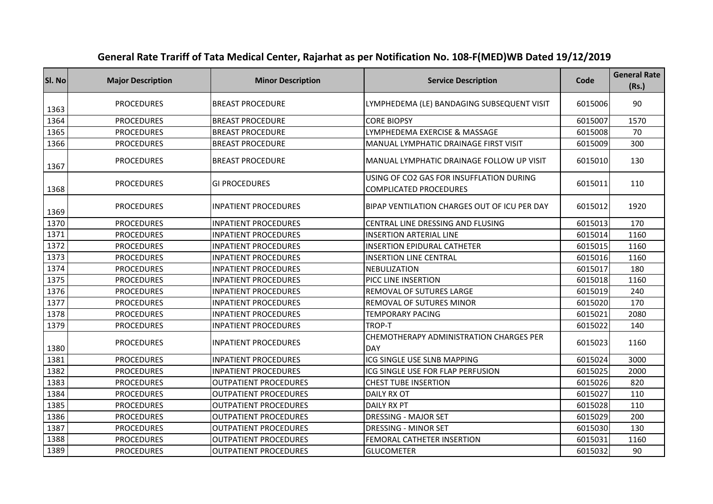| SI. No | <b>Major Description</b> | <b>Minor Description</b>     | <b>Service Description</b>                                                | Code    | <b>General Rate</b><br>(Rs.) |
|--------|--------------------------|------------------------------|---------------------------------------------------------------------------|---------|------------------------------|
| 1363   | <b>PROCEDURES</b>        | <b>BREAST PROCEDURE</b>      | LYMPHEDEMA (LE) BANDAGING SUBSEQUENT VISIT                                | 6015006 | 90                           |
| 1364   | <b>PROCEDURES</b>        | <b>BREAST PROCEDURE</b>      | <b>CORE BIOPSY</b>                                                        | 6015007 | 1570                         |
| 1365   | <b>PROCEDURES</b>        | <b>BREAST PROCEDURE</b>      | LYMPHEDEMA EXERCISE & MASSAGE                                             | 6015008 | 70                           |
| 1366   | <b>PROCEDURES</b>        | <b>BREAST PROCEDURE</b>      | MANUAL LYMPHATIC DRAINAGE FIRST VISIT                                     | 6015009 | 300                          |
| 1367   | <b>PROCEDURES</b>        | <b>BREAST PROCEDURE</b>      | MANUAL LYMPHATIC DRAINAGE FOLLOW UP VISIT                                 | 6015010 | 130                          |
| 1368   | <b>PROCEDURES</b>        | <b>GI PROCEDURES</b>         | USING OF CO2 GAS FOR INSUFFLATION DURING<br><b>COMPLICATED PROCEDURES</b> | 6015011 | 110                          |
| 1369   | <b>PROCEDURES</b>        | <b>INPATIENT PROCEDURES</b>  | BIPAP VENTILATION CHARGES OUT OF ICU PER DAY                              | 6015012 | 1920                         |
| 1370   | <b>PROCEDURES</b>        | <b>INPATIENT PROCEDURES</b>  | CENTRAL LINE DRESSING AND FLUSING                                         | 6015013 | 170                          |
| 1371   | <b>PROCEDURES</b>        | <b>INPATIENT PROCEDURES</b>  | <b>INSERTION ARTERIAL LINE</b>                                            | 6015014 | 1160                         |
| 1372   | <b>PROCEDURES</b>        | <b>INPATIENT PROCEDURES</b>  | <b>INSERTION EPIDURAL CATHETER</b>                                        | 6015015 | 1160                         |
| 1373   | <b>PROCEDURES</b>        | <b>INPATIENT PROCEDURES</b>  | <b>INSERTION LINE CENTRAL</b>                                             | 6015016 | 1160                         |
| 1374   | <b>PROCEDURES</b>        | <b>INPATIENT PROCEDURES</b>  | <b>NEBULIZATION</b>                                                       | 6015017 | 180                          |
| 1375   | <b>PROCEDURES</b>        | <b>INPATIENT PROCEDURES</b>  | PICC LINE INSERTION                                                       | 6015018 | 1160                         |
| 1376   | <b>PROCEDURES</b>        | <b>INPATIENT PROCEDURES</b>  | REMOVAL OF SUTURES LARGE                                                  | 6015019 | 240                          |
| 1377   | <b>PROCEDURES</b>        | <b>INPATIENT PROCEDURES</b>  | REMOVAL OF SUTURES MINOR                                                  | 6015020 | 170                          |
| 1378   | <b>PROCEDURES</b>        | <b>INPATIENT PROCEDURES</b>  | <b>TEMPORARY PACING</b>                                                   | 6015021 | 2080                         |
| 1379   | <b>PROCEDURES</b>        | <b>INPATIENT PROCEDURES</b>  | TROP-T                                                                    | 6015022 | 140                          |
| 1380   | <b>PROCEDURES</b>        | <b>INPATIENT PROCEDURES</b>  | CHEMOTHERAPY ADMINISTRATION CHARGES PER<br><b>DAY</b>                     | 6015023 | 1160                         |
| 1381   | <b>PROCEDURES</b>        | <b>INPATIENT PROCEDURES</b>  | ICG SINGLE USE SLNB MAPPING                                               | 6015024 | 3000                         |
| 1382   | <b>PROCEDURES</b>        | <b>INPATIENT PROCEDURES</b>  | ICG SINGLE USE FOR FLAP PERFUSION                                         | 6015025 | 2000                         |
| 1383   | <b>PROCEDURES</b>        | <b>OUTPATIENT PROCEDURES</b> | <b>CHEST TUBE INSERTION</b>                                               | 6015026 | 820                          |
| 1384   | <b>PROCEDURES</b>        | <b>OUTPATIENT PROCEDURES</b> | <b>DAILY RX OT</b>                                                        | 6015027 | 110                          |
| 1385   | <b>PROCEDURES</b>        | <b>OUTPATIENT PROCEDURES</b> | <b>DAILY RX PT</b>                                                        | 6015028 | 110                          |
| 1386   | <b>PROCEDURES</b>        | <b>OUTPATIENT PROCEDURES</b> | <b>DRESSING - MAJOR SET</b>                                               | 6015029 | 200                          |
| 1387   | <b>PROCEDURES</b>        | <b>OUTPATIENT PROCEDURES</b> | DRESSING - MINOR SET                                                      | 6015030 | 130                          |
| 1388   | <b>PROCEDURES</b>        | <b>OUTPATIENT PROCEDURES</b> | FEMORAL CATHETER INSERTION                                                | 6015031 | 1160                         |
| 1389   | <b>PROCEDURES</b>        | <b>OUTPATIENT PROCEDURES</b> | <b>GLUCOMETER</b>                                                         | 6015032 | 90                           |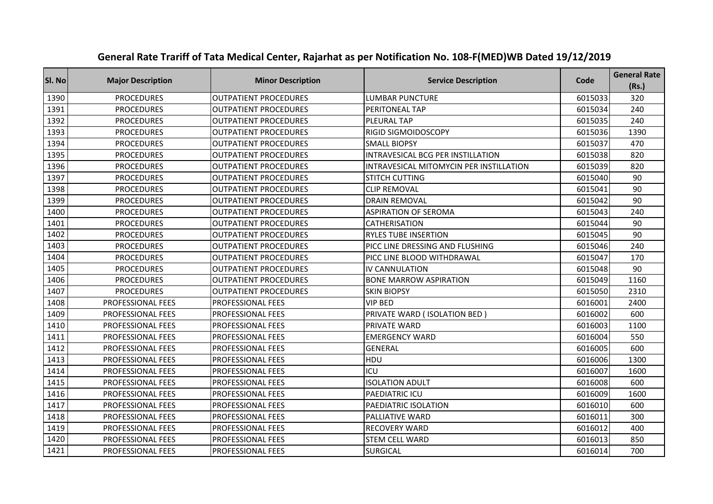| Sl. No | <b>Major Description</b> | <b>Minor Description</b>     | <b>Service Description</b>              | Code    | <b>General Rate</b><br>(Rs.) |
|--------|--------------------------|------------------------------|-----------------------------------------|---------|------------------------------|
| 1390   | <b>PROCEDURES</b>        | <b>OUTPATIENT PROCEDURES</b> | LUMBAR PUNCTURE                         | 6015033 | 320                          |
| 1391   | <b>PROCEDURES</b>        | <b>OUTPATIENT PROCEDURES</b> | PERITONEAL TAP                          | 6015034 | 240                          |
| 1392   | <b>PROCEDURES</b>        | <b>OUTPATIENT PROCEDURES</b> | <b>PLEURAL TAP</b>                      | 6015035 | 240                          |
| 1393   | <b>PROCEDURES</b>        | <b>OUTPATIENT PROCEDURES</b> | RIGID SIGMOIDOSCOPY                     | 6015036 | 1390                         |
| 1394   | <b>PROCEDURES</b>        | <b>OUTPATIENT PROCEDURES</b> | <b>SMALL BIOPSY</b>                     | 6015037 | 470                          |
| 1395   | <b>PROCEDURES</b>        | <b>OUTPATIENT PROCEDURES</b> | INTRAVESICAL BCG PER INSTILLATION       | 6015038 | 820                          |
| 1396   | <b>PROCEDURES</b>        | <b>OUTPATIENT PROCEDURES</b> | INTRAVESICAL MITOMYCIN PER INSTILLATION | 6015039 | 820                          |
| 1397   | <b>PROCEDURES</b>        | <b>OUTPATIENT PROCEDURES</b> | <b>STITCH CUTTING</b>                   | 6015040 | 90                           |
| 1398   | <b>PROCEDURES</b>        | <b>OUTPATIENT PROCEDURES</b> | <b>CLIP REMOVAL</b>                     | 6015041 | 90                           |
| 1399   | <b>PROCEDURES</b>        | <b>OUTPATIENT PROCEDURES</b> | <b>DRAIN REMOVAL</b>                    | 6015042 | 90                           |
| 1400   | <b>PROCEDURES</b>        | <b>OUTPATIENT PROCEDURES</b> | <b>ASPIRATION OF SEROMA</b>             | 6015043 | 240                          |
| 1401   | <b>PROCEDURES</b>        | <b>OUTPATIENT PROCEDURES</b> | CATHERISATION                           | 6015044 | 90                           |
| 1402   | <b>PROCEDURES</b>        | <b>OUTPATIENT PROCEDURES</b> | <b>RYLES TUBE INSERTION</b>             | 6015045 | 90                           |
| 1403   | <b>PROCEDURES</b>        | <b>OUTPATIENT PROCEDURES</b> | PICC LINE DRESSING AND FLUSHING         | 6015046 | 240                          |
| 1404   | <b>PROCEDURES</b>        | <b>OUTPATIENT PROCEDURES</b> | PICC LINE BLOOD WITHDRAWAL              | 6015047 | 170                          |
| 1405   | <b>PROCEDURES</b>        | <b>OUTPATIENT PROCEDURES</b> | IV CANNULATION                          | 6015048 | 90                           |
| 1406   | <b>PROCEDURES</b>        | <b>OUTPATIENT PROCEDURES</b> | <b>BONE MARROW ASPIRATION</b>           | 6015049 | 1160                         |
| 1407   | <b>PROCEDURES</b>        | <b>OUTPATIENT PROCEDURES</b> | <b>SKIN BIOPSY</b>                      | 6015050 | 2310                         |
| 1408   | PROFESSIONAL FEES        | <b>PROFESSIONAL FEES</b>     | <b>VIP BED</b>                          | 6016001 | 2400                         |
| 1409   | PROFESSIONAL FEES        | <b>PROFESSIONAL FEES</b>     | PRIVATE WARD (ISOLATION BED)            | 6016002 | 600                          |
| 1410   | <b>PROFESSIONAL FEES</b> | <b>PROFESSIONAL FEES</b>     | <b>PRIVATE WARD</b>                     | 6016003 | 1100                         |
| 1411   | PROFESSIONAL FEES        | PROFESSIONAL FEES            | <b>EMERGENCY WARD</b>                   | 6016004 | 550                          |
| 1412   | PROFESSIONAL FEES        | PROFESSIONAL FEES            | <b>GENERAL</b>                          | 6016005 | 600                          |
| 1413   | PROFESSIONAL FEES        | PROFESSIONAL FEES            | HDU                                     | 6016006 | 1300                         |
| 1414   | PROFESSIONAL FEES        | <b>PROFESSIONAL FEES</b>     | ICU                                     | 6016007 | 1600                         |
| 1415   | PROFESSIONAL FEES        | PROFESSIONAL FEES            | <b>ISOLATION ADULT</b>                  | 6016008 | 600                          |
| 1416   | PROFESSIONAL FEES        | <b>PROFESSIONAL FEES</b>     | PAEDIATRIC ICU                          | 6016009 | 1600                         |
| 1417   | PROFESSIONAL FEES        | PROFESSIONAL FEES            | PAEDIATRIC ISOLATION                    | 6016010 | 600                          |
| 1418   | PROFESSIONAL FEES        | PROFESSIONAL FEES            | PALLIATIVE WARD                         | 6016011 | 300                          |
| 1419   | PROFESSIONAL FEES        | PROFESSIONAL FEES            | <b>RECOVERY WARD</b>                    | 6016012 | 400                          |
| 1420   | PROFESSIONAL FEES        | PROFESSIONAL FEES            | <b>STEM CELL WARD</b>                   | 6016013 | 850                          |
| 1421   | <b>PROFESSIONAL FEES</b> | <b>PROFESSIONAL FEES</b>     | <b>SURGICAL</b>                         | 6016014 | 700                          |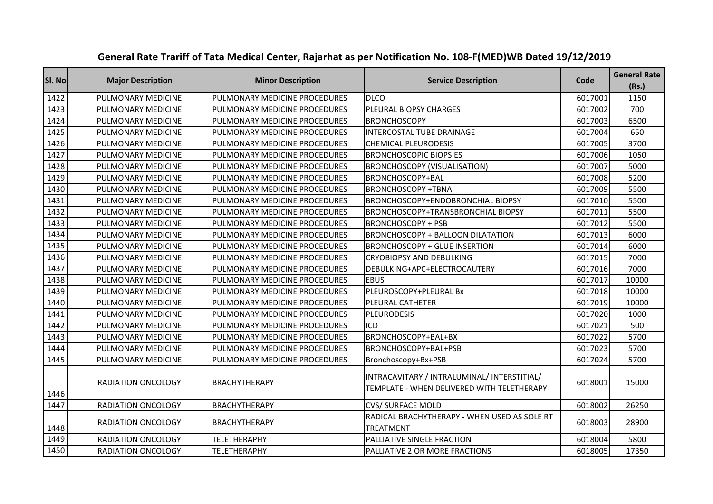| Sl. No | <b>Major Description</b>  | <b>Minor Description</b>      | <b>Service Description</b>                                                                | Code    | <b>General Rate</b><br>(Rs.) |
|--------|---------------------------|-------------------------------|-------------------------------------------------------------------------------------------|---------|------------------------------|
| 1422   | PULMONARY MEDICINE        | PULMONARY MEDICINE PROCEDURES | <b>DLCO</b>                                                                               | 6017001 | 1150                         |
| 1423   | PULMONARY MEDICINE        | PULMONARY MEDICINE PROCEDURES | PLEURAL BIOPSY CHARGES                                                                    | 6017002 | 700                          |
| 1424   | PULMONARY MEDICINE        | PULMONARY MEDICINE PROCEDURES | <b>BRONCHOSCOPY</b>                                                                       | 6017003 | 6500                         |
| 1425   | PULMONARY MEDICINE        | PULMONARY MEDICINE PROCEDURES | INTERCOSTAL TUBE DRAINAGE                                                                 | 6017004 | 650                          |
| 1426   | PULMONARY MEDICINE        | PULMONARY MEDICINE PROCEDURES | <b>CHEMICAL PLEURODESIS</b>                                                               | 6017005 | 3700                         |
| 1427   | PULMONARY MEDICINE        | PULMONARY MEDICINE PROCEDURES | <b>BRONCHOSCOPIC BIOPSIES</b>                                                             | 6017006 | 1050                         |
| 1428   | PULMONARY MEDICINE        | PULMONARY MEDICINE PROCEDURES | <b>BRONCHOSCOPY (VISUALISATION)</b>                                                       | 6017007 | 5000                         |
| 1429   | PULMONARY MEDICINE        | PULMONARY MEDICINE PROCEDURES | BRONCHOSCOPY+BAL                                                                          | 6017008 | 5200                         |
| 1430   | PULMONARY MEDICINE        | PULMONARY MEDICINE PROCEDURES | <b>BRONCHOSCOPY +TBNA</b>                                                                 | 6017009 | 5500                         |
| 1431   | PULMONARY MEDICINE        | PULMONARY MEDICINE PROCEDURES | <b>BRONCHOSCOPY+ENDOBRONCHIAL BIOPSY</b>                                                  | 6017010 | 5500                         |
| 1432   | PULMONARY MEDICINE        | PULMONARY MEDICINE PROCEDURES | BRONCHOSCOPY+TRANSBRONCHIAL BIOPSY                                                        | 6017011 | 5500                         |
| 1433   | PULMONARY MEDICINE        | PULMONARY MEDICINE PROCEDURES | <b>BRONCHOSCOPY + PSB</b>                                                                 | 6017012 | 5500                         |
| 1434   | PULMONARY MEDICINE        | PULMONARY MEDICINE PROCEDURES | <b>BRONCHOSCOPY + BALLOON DILATATION</b>                                                  | 6017013 | 6000                         |
| 1435   | PULMONARY MEDICINE        | PULMONARY MEDICINE PROCEDURES | <b>BRONCHOSCOPY + GLUE INSERTION</b>                                                      | 6017014 | 6000                         |
| 1436   | PULMONARY MEDICINE        | PULMONARY MEDICINE PROCEDURES | <b>CRYOBIOPSY AND DEBULKING</b>                                                           | 6017015 | 7000                         |
| 1437   | PULMONARY MEDICINE        | PULMONARY MEDICINE PROCEDURES | DEBULKING+APC+ELECTROCAUTERY                                                              | 6017016 | 7000                         |
| 1438   | PULMONARY MEDICINE        | PULMONARY MEDICINE PROCEDURES | <b>EBUS</b>                                                                               | 6017017 | 10000                        |
| 1439   | PULMONARY MEDICINE        | PULMONARY MEDICINE PROCEDURES | PLEUROSCOPY+PLEURAL Bx                                                                    | 6017018 | 10000                        |
| 1440   | PULMONARY MEDICINE        | PULMONARY MEDICINE PROCEDURES | PLEURAL CATHETER                                                                          | 6017019 | 10000                        |
| 1441   | PULMONARY MEDICINE        | PULMONARY MEDICINE PROCEDURES | <b>PLEURODESIS</b>                                                                        | 6017020 | 1000                         |
| 1442   | PULMONARY MEDICINE        | PULMONARY MEDICINE PROCEDURES | ICD                                                                                       | 6017021 | 500                          |
| 1443   | PULMONARY MEDICINE        | PULMONARY MEDICINE PROCEDURES | BRONCHOSCOPY+BAL+BX                                                                       | 6017022 | 5700                         |
| 1444   | PULMONARY MEDICINE        | PULMONARY MEDICINE PROCEDURES | BRONCHOSCOPY+BAL+PSB                                                                      | 6017023 | 5700                         |
| 1445   | PULMONARY MEDICINE        | PULMONARY MEDICINE PROCEDURES | Bronchoscopy+Bx+PSB                                                                       | 6017024 | 5700                         |
| 1446   | <b>RADIATION ONCOLOGY</b> | BRACHYTHERAPY                 | INTRACAVITARY / INTRALUMINAL/ INTERSTITIAL/<br>TEMPLATE - WHEN DELIVERED WITH TELETHERAPY | 6018001 | 15000                        |
| 1447   | RADIATION ONCOLOGY        | <b>BRACHYTHERAPY</b>          | <b>CVS/ SURFACE MOLD</b>                                                                  | 6018002 | 26250                        |
| 1448   | RADIATION ONCOLOGY        | BRACHYTHERAPY                 | RADICAL BRACHYTHERAPY - WHEN USED AS SOLE RT<br><b>TREATMENT</b>                          | 6018003 | 28900                        |
| 1449   | <b>RADIATION ONCOLOGY</b> | <b>TELETHERAPHY</b>           | PALLIATIVE SINGLE FRACTION                                                                | 6018004 | 5800                         |
| 1450   | <b>RADIATION ONCOLOGY</b> | <b>TELETHERAPHY</b>           | IPALLIATIVE 2 OR MORE FRACTIONS                                                           | 6018005 | 17350                        |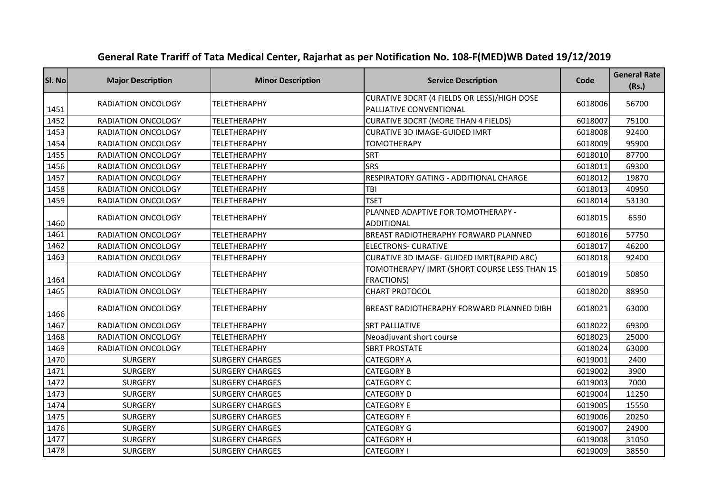| SI. No | <b>Major Description</b>  | <b>Minor Description</b> | <b>Service Description</b>                                             | Code    | <b>General Rate</b><br>(Rs.) |
|--------|---------------------------|--------------------------|------------------------------------------------------------------------|---------|------------------------------|
| 1451   | <b>RADIATION ONCOLOGY</b> | <b>TELETHERAPHY</b>      | CURATIVE 3DCRT (4 FIELDS OR LESS)/HIGH DOSE<br>PALLIATIVE CONVENTIONAL | 6018006 | 56700                        |
| 1452   | RADIATION ONCOLOGY        | <b>TELETHERAPHY</b>      | CURATIVE 3DCRT (MORE THAN 4 FIELDS)                                    | 6018007 | 75100                        |
| 1453   | <b>RADIATION ONCOLOGY</b> | <b>TELETHERAPHY</b>      | <b>CURATIVE 3D IMAGE-GUIDED IMRT</b>                                   | 6018008 | 92400                        |
| 1454   | <b>RADIATION ONCOLOGY</b> | <b>TELETHERAPHY</b>      | <b>TOMOTHERAPY</b>                                                     | 6018009 | 95900                        |
| 1455   | <b>RADIATION ONCOLOGY</b> | <b>TELETHERAPHY</b>      | <b>SRT</b>                                                             | 6018010 | 87700                        |
| 1456   | RADIATION ONCOLOGY        | TELETHERAPHY             | <b>SRS</b>                                                             | 6018011 | 69300                        |
| 1457   | <b>RADIATION ONCOLOGY</b> | <b>TELETHERAPHY</b>      | RESPIRATORY GATING - ADDITIONAL CHARGE                                 | 6018012 | 19870                        |
| 1458   | RADIATION ONCOLOGY        | <b>TELETHERAPHY</b>      | TBI                                                                    | 6018013 | 40950                        |
| 1459   | RADIATION ONCOLOGY        | <b>TELETHERAPHY</b>      | <b>TSET</b>                                                            | 6018014 | 53130                        |
| 1460   | RADIATION ONCOLOGY        | <b>TELETHERAPHY</b>      | PLANNED ADAPTIVE FOR TOMOTHERAPY -<br><b>ADDITIONAL</b>                | 6018015 | 6590                         |
| 1461   | RADIATION ONCOLOGY        | <b>TELETHERAPHY</b>      | BREAST RADIOTHERAPHY FORWARD PLANNED                                   | 6018016 | 57750                        |
| 1462   | RADIATION ONCOLOGY        | <b>TELETHERAPHY</b>      | <b>ELECTRONS- CURATIVE</b>                                             | 6018017 | 46200                        |
| 1463   | RADIATION ONCOLOGY        | <b>TELETHERAPHY</b>      | CURATIVE 3D IMAGE- GUIDED IMRT(RAPID ARC)                              | 6018018 | 92400                        |
| 1464   | RADIATION ONCOLOGY        | <b>TELETHERAPHY</b>      | TOMOTHERAPY/ IMRT (SHORT COURSE LESS THAN 15<br><b>FRACTIONS)</b>      | 6018019 | 50850                        |
| 1465   | RADIATION ONCOLOGY        | <b>TELETHERAPHY</b>      | <b>CHART PROTOCOL</b>                                                  | 6018020 | 88950                        |
| 1466   | RADIATION ONCOLOGY        | <b>TELETHERAPHY</b>      | BREAST RADIOTHERAPHY FORWARD PLANNED DIBH                              | 6018021 | 63000                        |
| 1467   | RADIATION ONCOLOGY        | <b>TELETHERAPHY</b>      | <b>SRT PALLIATIVE</b>                                                  | 6018022 | 69300                        |
| 1468   | RADIATION ONCOLOGY        | <b>TELETHERAPHY</b>      | Neoadjuvant short course                                               | 6018023 | 25000                        |
| 1469   | RADIATION ONCOLOGY        | <b>TELETHERAPHY</b>      | <b>SBRT PROSTATE</b>                                                   | 6018024 | 63000                        |
| 1470   | <b>SURGERY</b>            | <b>SURGERY CHARGES</b>   | <b>CATEGORY A</b>                                                      | 6019001 | 2400                         |
| 1471   | <b>SURGERY</b>            | <b>SURGERY CHARGES</b>   | <b>CATEGORY B</b>                                                      | 6019002 | 3900                         |
| 1472   | <b>SURGERY</b>            | <b>SURGERY CHARGES</b>   | <b>CATEGORY C</b>                                                      | 6019003 | 7000                         |
| 1473   | <b>SURGERY</b>            | <b>SURGERY CHARGES</b>   | <b>CATEGORY D</b>                                                      | 6019004 | 11250                        |
| 1474   | <b>SURGERY</b>            | <b>SURGERY CHARGES</b>   | <b>CATEGORY E</b>                                                      | 6019005 | 15550                        |
| 1475   | <b>SURGERY</b>            | <b>SURGERY CHARGES</b>   | <b>CATEGORY F</b>                                                      | 6019006 | 20250                        |
| 1476   | <b>SURGERY</b>            | <b>SURGERY CHARGES</b>   | <b>CATEGORY G</b>                                                      | 6019007 | 24900                        |
| 1477   | <b>SURGERY</b>            | <b>SURGERY CHARGES</b>   | <b>CATEGORY H</b>                                                      | 6019008 | 31050                        |
| 1478   | <b>SURGERY</b>            | <b>SURGERY CHARGES</b>   | <b>CATEGORY I</b>                                                      | 6019009 | 38550                        |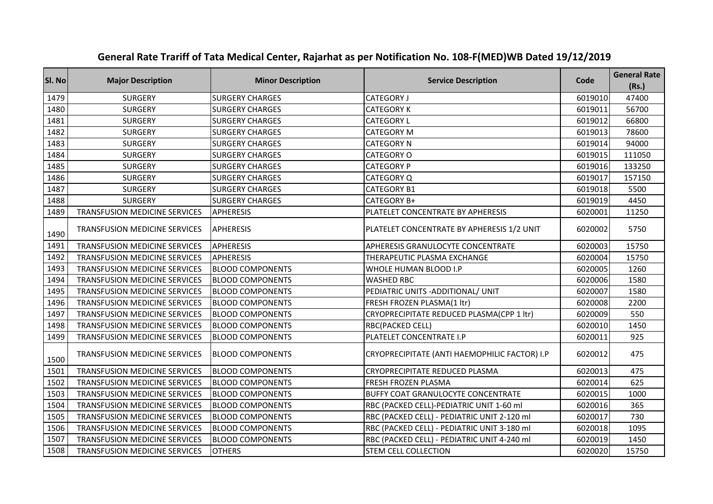| SI. No | <b>Major Description</b>             | <b>Minor Description</b> | <b>Service Description</b>                    | Code    | <b>General Rate</b><br>(Rs.) |
|--------|--------------------------------------|--------------------------|-----------------------------------------------|---------|------------------------------|
| 1479   | <b>SURGERY</b>                       | <b>SURGERY CHARGES</b>   | <b>CATEGORY J</b>                             | 6019010 | 47400                        |
| 1480   | <b>SURGERY</b>                       | <b>SURGERY CHARGES</b>   | <b>CATEGORY K</b>                             | 6019011 | 56700                        |
| 1481   | <b>SURGERY</b>                       | <b>SURGERY CHARGES</b>   | <b>CATEGORY L</b>                             | 6019012 | 66800                        |
| 1482   | <b>SURGERY</b>                       | <b>SURGERY CHARGES</b>   | <b>CATEGORY M</b>                             | 6019013 | 78600                        |
| 1483   | <b>SURGERY</b>                       | <b>SURGERY CHARGES</b>   | <b>CATEGORY N</b>                             | 6019014 | 94000                        |
| 1484   | <b>SURGERY</b>                       | <b>SURGERY CHARGES</b>   | CATEGORY O                                    | 6019015 | 111050                       |
| 1485   | <b>SURGERY</b>                       | <b>SURGERY CHARGES</b>   | <b>CATEGORY P</b>                             | 6019016 | 133250                       |
| 1486   | <b>SURGERY</b>                       | <b>SURGERY CHARGES</b>   | CATEGORY Q                                    | 6019017 | 157150                       |
| 1487   | <b>SURGERY</b>                       | <b>SURGERY CHARGES</b>   | <b>CATEGORY B1</b>                            | 6019018 | 5500                         |
| 1488   | <b>SURGERY</b>                       | <b>SURGERY CHARGES</b>   | CATEGORY B+                                   | 6019019 | 4450                         |
| 1489   | TRANSFUSION MEDICINE SERVICES        | <b>APHERESIS</b>         | PLATELET CONCENTRATE BY APHERESIS             | 6020001 | 11250                        |
| 1490   | TRANSFUSION MEDICINE SERVICES        | <b>APHERESIS</b>         | PLATELET CONCENTRATE BY APHERESIS 1/2 UNIT    | 6020002 | 5750                         |
| 1491   | <b>TRANSFUSION MEDICINE SERVICES</b> | <b>APHERESIS</b>         | APHERESIS GRANULOCYTE CONCENTRATE             | 6020003 | 15750                        |
| 1492   | <b>TRANSFUSION MEDICINE SERVICES</b> | <b>APHERESIS</b>         | THERAPEUTIC PLASMA EXCHANGE                   | 6020004 | 15750                        |
| 1493   | TRANSFUSION MEDICINE SERVICES        | <b>BLOOD COMPONENTS</b>  | WHOLE HUMAN BLOOD I.P                         | 6020005 | 1260                         |
| 1494   | <b>TRANSFUSION MEDICINE SERVICES</b> | <b>BLOOD COMPONENTS</b>  | <b>WASHED RBC</b>                             | 6020006 | 1580                         |
| 1495   | TRANSFUSION MEDICINE SERVICES        | <b>BLOOD COMPONENTS</b>  | PEDIATRIC UNITS - ADDITIONAL/ UNIT            | 6020007 | 1580                         |
| 1496   | TRANSFUSION MEDICINE SERVICES        | <b>BLOOD COMPONENTS</b>  | FRESH FROZEN PLASMA(1 ltr)                    | 6020008 | 2200                         |
| 1497   | <b>TRANSFUSION MEDICINE SERVICES</b> | <b>BLOOD COMPONENTS</b>  | CRYOPRECIPITATE REDUCED PLASMA(CPP 1 ltr)     | 6020009 | 550                          |
| 1498   | <b>TRANSFUSION MEDICINE SERVICES</b> | <b>BLOOD COMPONENTS</b>  | <b>RBC(PACKED CELL)</b>                       | 6020010 | 1450                         |
| 1499   | <b>TRANSFUSION MEDICINE SERVICES</b> | <b>BLOOD COMPONENTS</b>  | PLATELET CONCENTRATE I.P                      | 6020011 | 925                          |
| 1500   | TRANSFUSION MEDICINE SERVICES        | <b>BLOOD COMPONENTS</b>  | CRYOPRECIPITATE (ANTI HAEMOPHILIC FACTOR) I.P | 6020012 | 475                          |
| 1501   | TRANSFUSION MEDICINE SERVICES        | <b>BLOOD COMPONENTS</b>  | CRYOPRECIPITATE REDUCED PLASMA                | 6020013 | 475                          |
| 1502   | TRANSFUSION MEDICINE SERVICES        | <b>BLOOD COMPONENTS</b>  | FRESH FROZEN PLASMA                           | 6020014 | 625                          |
| 1503   | <b>TRANSFUSION MEDICINE SERVICES</b> | <b>BLOOD COMPONENTS</b>  | BUFFY COAT GRANULOCYTE CONCENTRATE            | 6020015 | 1000                         |
| 1504   | TRANSFUSION MEDICINE SERVICES        | <b>BLOOD COMPONENTS</b>  | RBC (PACKED CELL)-PEDIATRIC UNIT 1-60 ml      | 6020016 | 365                          |
| 1505   | <b>TRANSFUSION MEDICINE SERVICES</b> | <b>BLOOD COMPONENTS</b>  | RBC (PACKED CELL) - PEDIATRIC UNIT 2-120 ml   | 6020017 | 730                          |
| 1506   | <b>TRANSFUSION MEDICINE SERVICES</b> | <b>BLOOD COMPONENTS</b>  | RBC (PACKED CELL) - PEDIATRIC UNIT 3-180 ml   | 6020018 | 1095                         |
| 1507   | <b>TRANSFUSION MEDICINE SERVICES</b> | <b>BLOOD COMPONENTS</b>  | RBC (PACKED CELL) - PEDIATRIC UNIT 4-240 ml   | 6020019 | 1450                         |
| 1508   | <b>TRANSFUSION MEDICINE SERVICES</b> | <b>OTHERS</b>            | <b>STEM CELL COLLECTION</b>                   | 6020020 | 15750                        |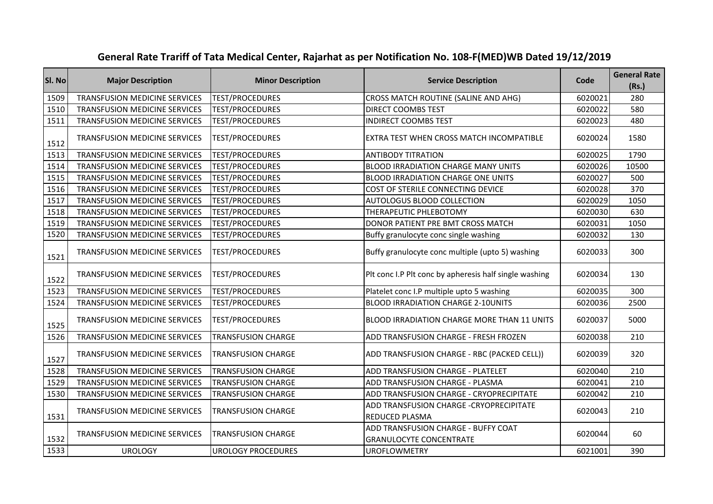| SI. No | <b>Major Description</b>             | <b>Minor Description</b>  | <b>Service Description</b>                                            | Code    | <b>General Rate</b><br>(Rs.) |
|--------|--------------------------------------|---------------------------|-----------------------------------------------------------------------|---------|------------------------------|
| 1509   | <b>TRANSFUSION MEDICINE SERVICES</b> | <b>TEST/PROCEDURES</b>    | CROSS MATCH ROUTINE (SALINE AND AHG)                                  | 6020021 | 280                          |
| 1510   | <b>TRANSFUSION MEDICINE SERVICES</b> | <b>TEST/PROCEDURES</b>    | DIRECT COOMBS TEST                                                    | 6020022 | 580                          |
| 1511   | <b>TRANSFUSION MEDICINE SERVICES</b> | <b>TEST/PROCEDURES</b>    | <b>INDIRECT COOMBS TEST</b>                                           | 6020023 | 480                          |
| 1512   | TRANSFUSION MEDICINE SERVICES        | <b>TEST/PROCEDURES</b>    | EXTRA TEST WHEN CROSS MATCH INCOMPATIBLE                              | 6020024 | 1580                         |
| 1513   | <b>TRANSFUSION MEDICINE SERVICES</b> | <b>TEST/PROCEDURES</b>    | <b>ANTIBODY TITRATION</b>                                             | 6020025 | 1790                         |
| 1514   | <b>TRANSFUSION MEDICINE SERVICES</b> | <b>TEST/PROCEDURES</b>    | <b>BLOOD IRRADIATION CHARGE MANY UNITS</b>                            | 6020026 | 10500                        |
| 1515   | <b>TRANSFUSION MEDICINE SERVICES</b> | <b>TEST/PROCEDURES</b>    | <b>BLOOD IRRADIATION CHARGE ONE UNITS</b>                             | 6020027 | 500                          |
| 1516   | <b>TRANSFUSION MEDICINE SERVICES</b> | <b>TEST/PROCEDURES</b>    | COST OF STERILE CONNECTING DEVICE                                     | 6020028 | 370                          |
| 1517   | TRANSFUSION MEDICINE SERVICES        | TEST/PROCEDURES           | AUTOLOGUS BLOOD COLLECTION                                            | 6020029 | 1050                         |
| 1518   | <b>TRANSFUSION MEDICINE SERVICES</b> | <b>TEST/PROCEDURES</b>    | THERAPEUTIC PHLEBOTOMY                                                | 6020030 | 630                          |
| 1519   | <b>TRANSFUSION MEDICINE SERVICES</b> | <b>TEST/PROCEDURES</b>    | DONOR PATIENT PRE BMT CROSS MATCH                                     | 6020031 | 1050                         |
| 1520   | <b>TRANSFUSION MEDICINE SERVICES</b> | <b>TEST/PROCEDURES</b>    | Buffy granulocyte conc single washing                                 | 6020032 | 130                          |
| 1521   | TRANSFUSION MEDICINE SERVICES        | <b>TEST/PROCEDURES</b>    | Buffy granulocyte conc multiple (upto 5) washing                      | 6020033 | 300                          |
| 1522   | <b>TRANSFUSION MEDICINE SERVICES</b> | <b>TEST/PROCEDURES</b>    | Plt conc I.P Plt conc by apheresis half single washing                | 6020034 | 130                          |
| 1523   | TRANSFUSION MEDICINE SERVICES        | <b>TEST/PROCEDURES</b>    | Platelet conc I.P multiple upto 5 washing                             | 6020035 | 300                          |
| 1524   | TRANSFUSION MEDICINE SERVICES        | <b>TEST/PROCEDURES</b>    | <b>BLOOD IRRADIATION CHARGE 2-10UNITS</b>                             | 6020036 | 2500                         |
| 1525   | TRANSFUSION MEDICINE SERVICES        | <b>TEST/PROCEDURES</b>    | BLOOD IRRADIATION CHARGE MORE THAN 11 UNITS                           | 6020037 | 5000                         |
| 1526   | <b>TRANSFUSION MEDICINE SERVICES</b> | <b>TRANSFUSION CHARGE</b> | ADD TRANSFUSION CHARGE - FRESH FROZEN                                 | 6020038 | 210                          |
| 1527   | TRANSFUSION MEDICINE SERVICES        | <b>TRANSFUSION CHARGE</b> | ADD TRANSFUSION CHARGE - RBC (PACKED CELL))                           | 6020039 | 320                          |
| 1528   | <b>TRANSFUSION MEDICINE SERVICES</b> | <b>TRANSFUSION CHARGE</b> | ADD TRANSFUSION CHARGE - PLATELET                                     | 6020040 | 210                          |
| 1529   | <b>TRANSFUSION MEDICINE SERVICES</b> | <b>TRANSFUSION CHARGE</b> | ADD TRANSFUSION CHARGE - PLASMA                                       | 6020041 | 210                          |
| 1530   | TRANSFUSION MEDICINE SERVICES        | <b>TRANSFUSION CHARGE</b> | ADD TRANSFUSION CHARGE - CRYOPRECIPITATE                              | 6020042 | 210                          |
| 1531   | <b>TRANSFUSION MEDICINE SERVICES</b> | <b>TRANSFUSION CHARGE</b> | ADD TRANSFUSION CHARGE - CRYOPRECIPITATE<br>REDUCED PLASMA            | 6020043 | 210                          |
| 1532   | <b>TRANSFUSION MEDICINE SERVICES</b> | <b>TRANSFUSION CHARGE</b> | ADD TRANSFUSION CHARGE - BUFFY COAT<br><b>GRANULOCYTE CONCENTRATE</b> | 6020044 | 60                           |
| 1533   | <b>UROLOGY</b>                       | <b>UROLOGY PROCEDURES</b> | <b>UROFLOWMETRY</b>                                                   | 6021001 | 390                          |